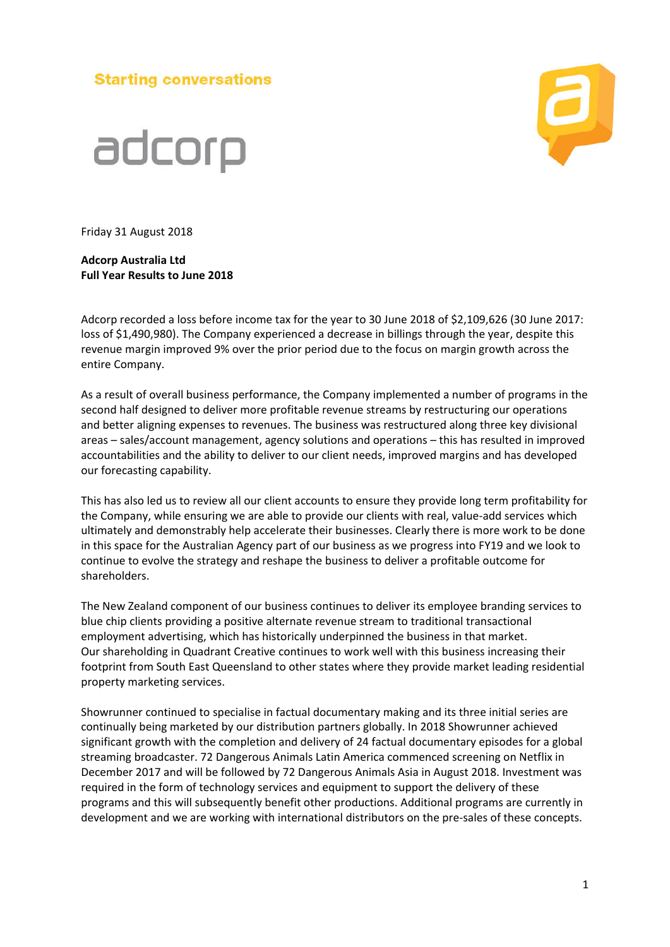# **Starting conversations**





Friday 31 August 2018

**Adcorp Australia Ltd Full Year Results to June 2018**

Adcorp recorded a loss before income tax for the year to 30 June 2018 of \$2,109,626 (30 June 2017: loss of \$1,490,980). The Company experienced a decrease in billings through the year, despite this revenue margin improved 9% over the prior period due to the focus on margin growth across the entire Company.

As a result of overall business performance, the Company implemented a number of programs in the second half designed to deliver more profitable revenue streams by restructuring our operations and better aligning expenses to revenues. The business was restructured along three key divisional areas – sales/account management, agency solutions and operations – this has resulted in improved accountabilities and the ability to deliver to our client needs, improved margins and has developed our forecasting capability.

This has also led us to review all our client accounts to ensure they provide long term profitability for the Company, while ensuring we are able to provide our clients with real, value-add services which ultimately and demonstrably help accelerate their businesses. Clearly there is more work to be done in this space for the Australian Agency part of our business as we progress into FY19 and we look to continue to evolve the strategy and reshape the business to deliver a profitable outcome for shareholders.

The New Zealand component of our business continues to deliver its employee branding services to blue chip clients providing a positive alternate revenue stream to traditional transactional employment advertising, which has historically underpinned the business in that market. Our shareholding in Quadrant Creative continues to work well with this business increasing their footprint from South East Queensland to other states where they provide market leading residential property marketing services.

Showrunner continued to specialise in factual documentary making and its three initial series are continually being marketed by our distribution partners globally. In 2018 Showrunner achieved significant growth with the completion and delivery of 24 factual documentary episodes for a global streaming broadcaster. 72 Dangerous Animals Latin America commenced screening on Netflix in December 2017 and will be followed by 72 Dangerous Animals Asia in August 2018. Investment was required in the form of technology services and equipment to support the delivery of these programs and this will subsequently benefit other productions. Additional programs are currently in development and we are working with international distributors on the pre-sales of these concepts.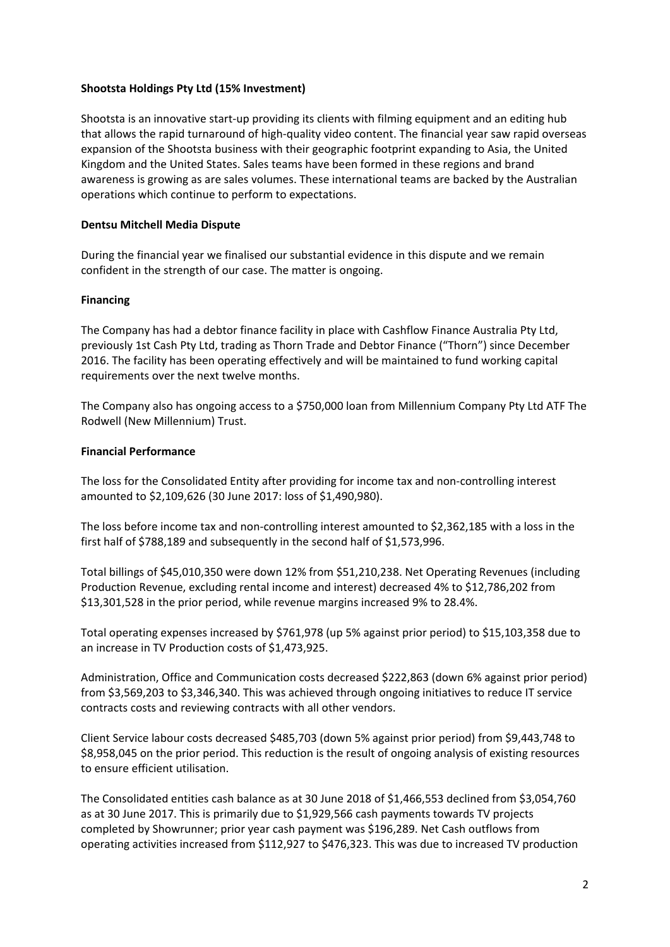# **Shootsta Holdings Pty Ltd (15% Investment)**

Shootsta is an innovative start-up providing its clients with filming equipment and an editing hub that allows the rapid turnaround of high-quality video content. The financial year saw rapid overseas expansion of the Shootsta business with their geographic footprint expanding to Asia, the United Kingdom and the United States. Sales teams have been formed in these regions and brand awareness is growing as are sales volumes. These international teams are backed by the Australian operations which continue to perform to expectations.

# **Dentsu Mitchell Media Dispute**

During the financial year we finalised our substantial evidence in this dispute and we remain confident in the strength of our case. The matter is ongoing.

# **Financing**

The Company has had a debtor finance facility in place with Cashflow Finance Australia Pty Ltd, previously 1st Cash Pty Ltd, trading as Thorn Trade and Debtor Finance ("Thorn") since December 2016. The facility has been operating effectively and will be maintained to fund working capital requirements over the next twelve months.

The Company also has ongoing access to a \$750,000 loan from Millennium Company Pty Ltd ATF The Rodwell (New Millennium) Trust.

# **Financial Performance**

The loss for the Consolidated Entity after providing for income tax and non-controlling interest amounted to \$2,109,626 (30 June 2017: loss of \$1,490,980).

The loss before income tax and non-controlling interest amounted to \$2,362,185 with a loss in the first half of \$788,189 and subsequently in the second half of \$1,573,996.

Total billings of \$45,010,350 were down 12% from \$51,210,238. Net Operating Revenues (including Production Revenue, excluding rental income and interest) decreased 4% to \$12,786,202 from \$13,301,528 in the prior period, while revenue margins increased 9% to 28.4%.

Total operating expenses increased by \$761,978 (up 5% against prior period) to \$15,103,358 due to an increase in TV Production costs of \$1,473,925.

Administration, Office and Communication costs decreased \$222,863 (down 6% against prior period) from \$3,569,203 to \$3,346,340. This was achieved through ongoing initiatives to reduce IT service contracts costs and reviewing contracts with all other vendors.

Client Service labour costs decreased \$485,703 (down 5% against prior period) from \$9,443,748 to \$8,958,045 on the prior period. This reduction is the result of ongoing analysis of existing resources to ensure efficient utilisation.

The Consolidated entities cash balance as at 30 June 2018 of \$1,466,553 declined from \$3,054,760 as at 30 June 2017. This is primarily due to \$1,929,566 cash payments towards TV projects completed by Showrunner; prior year cash payment was \$196,289. Net Cash outflows from operating activities increased from \$112,927 to \$476,323. This was due to increased TV production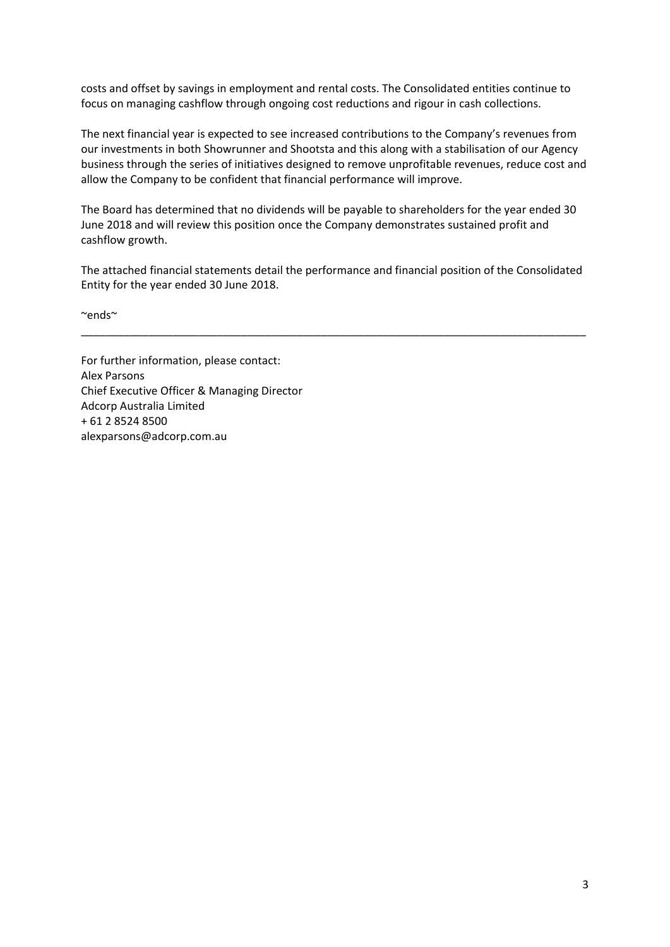costs and offset by savings in employment and rental costs. The Consolidated entities continue to focus on managing cashflow through ongoing cost reductions and rigour in cash collections.

The next financial year is expected to see increased contributions to the Company's revenues from our investments in both Showrunner and Shootsta and this along with a stabilisation of our Agency business through the series of initiatives designed to remove unprofitable revenues, reduce cost and allow the Company to be confident that financial performance will improve.

The Board has determined that no dividends will be payable to shareholders for the year ended 30 June 2018 and will review this position once the Company demonstrates sustained profit and cashflow growth.

The attached financial statements detail the performance and financial position of the Consolidated Entity for the year ended 30 June 2018.

\_\_\_\_\_\_\_\_\_\_\_\_\_\_\_\_\_\_\_\_\_\_\_\_\_\_\_\_\_\_\_\_\_\_\_\_\_\_\_\_\_\_\_\_\_\_\_\_\_\_\_\_\_\_\_\_\_\_\_\_\_\_\_\_\_\_\_\_\_\_\_\_\_\_\_\_\_\_\_\_\_\_

~ends~

For further information, please contact: Alex Parsons Chief Executive Officer & Managing Director Adcorp Australia Limited + 61 2 8524 8500 alexparsons@adcorp.com.au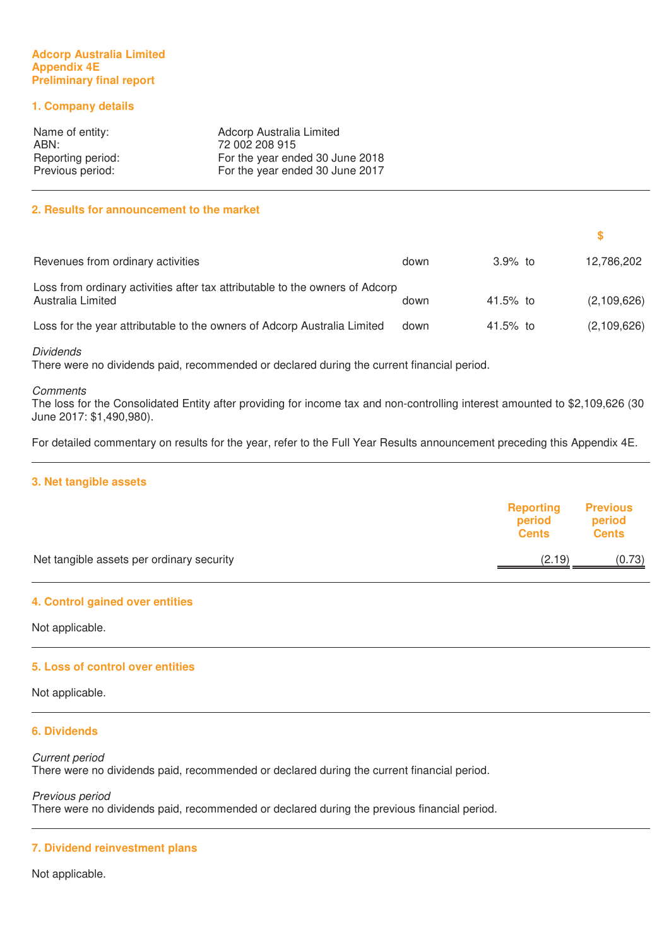# **Adcorp Australia Limited Appendix 4E Preliminary final report**

# **1. Company details**

| Name of entity:   | Adcorp Australia Limited        |
|-------------------|---------------------------------|
| ABN:              | 72 002 208 915                  |
| Reporting period: | For the year ended 30 June 2018 |
| Previous period:  | For the year ended 30 June 2017 |

#### **2. Results for announcement to the market**

| Revenues from ordinary activities                                                                 | down | $3.9\%$ to | 12,786,202  |
|---------------------------------------------------------------------------------------------------|------|------------|-------------|
| Loss from ordinary activities after tax attributable to the owners of Adcorp<br>Australia Limited | down | 41.5% to   | (2,109,626) |
| Loss for the year attributable to the owners of Adcorp Australia Limited                          | down | 41.5% to   | (2,109,626) |

#### Dividends

There were no dividends paid, recommended or declared during the current financial period.

#### **Comments**

The loss for the Consolidated Entity after providing for income tax and non-controlling interest amounted to \$2,109,626 (30 June 2017: \$1,490,980).

For detailed commentary on results for the year, refer to the Full Year Results announcement preceding this Appendix 4E.

# **3. Net tangible assets**

|                                           | Reporting<br>period<br><b>Cents</b> | <b>Previous</b><br>period<br><b>Cents</b> |
|-------------------------------------------|-------------------------------------|-------------------------------------------|
| Net tangible assets per ordinary security | (2.19)                              | (0.73)                                    |

# **4. Control gained over entities**

Not applicable.

# **5. Loss of control over entities**

Not applicable.

# **6. Dividends**

Current period There were no dividends paid, recommended or declared during the current financial period.

Previous period There were no dividends paid, recommended or declared during the previous financial period.

# **7. Dividend reinvestment plans**

Not applicable.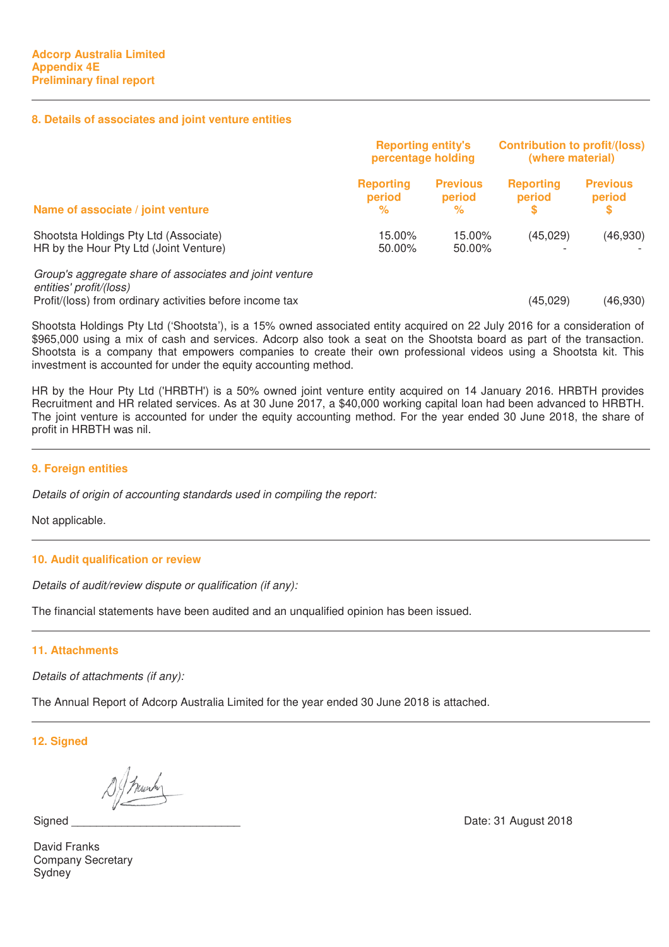# **8. Details of associates and joint venture entities**

|                                                                                                                                                | <b>Reporting entity's</b><br>percentage holding |                                | <b>Contribution to profit/(loss)</b><br>(where material) |                                |
|------------------------------------------------------------------------------------------------------------------------------------------------|-------------------------------------------------|--------------------------------|----------------------------------------------------------|--------------------------------|
| Name of associate / joint venture                                                                                                              | <b>Reporting</b><br>period<br>%                 | <b>Previous</b><br>period<br>℅ | <b>Reporting</b><br>period                               | <b>Previous</b><br>period<br>S |
| Shootsta Holdings Pty Ltd (Associate)<br>HR by the Hour Pty Ltd (Joint Venture)                                                                | 15.00%<br>50.00%                                | 15.00%<br>50.00%               | (45,029)                                                 | (46,930)                       |
| Group's aggregate share of associates and joint venture<br>entities' profit/(loss)<br>Profit/(loss) from ordinary activities before income tax |                                                 |                                | (45, 029)                                                | (46, 930)                      |

Shootsta Holdings Pty Ltd ('Shootsta'), is a 15% owned associated entity acquired on 22 July 2016 for a consideration of \$965,000 using a mix of cash and services. Adcorp also took a seat on the Shootsta board as part of the transaction. Shootsta is a company that empowers companies to create their own professional videos using a Shootsta kit. This investment is accounted for under the equity accounting method.

HR by the Hour Pty Ltd ('HRBTH') is a 50% owned joint venture entity acquired on 14 January 2016. HRBTH provides Recruitment and HR related services. As at 30 June 2017, a \$40,000 working capital loan had been advanced to HRBTH. The joint venture is accounted for under the equity accounting method. For the year ended 30 June 2018, the share of profit in HRBTH was nil.

# **9. Foreign entities**

Details of origin of accounting standards used in compiling the report:

Not applicable.

# **10. Audit qualification or review**

Details of audit/review dispute or qualification (if any):

The financial statements have been audited and an unqualified opinion has been issued.

# **11. Attachments**

Details of attachments (if any):

The Annual Report of Adcorp Australia Limited for the year ended 30 June 2018 is attached.

**12. Signed** 

Signed

Date: 31 August 2018

David Franks Company Secretary Sydney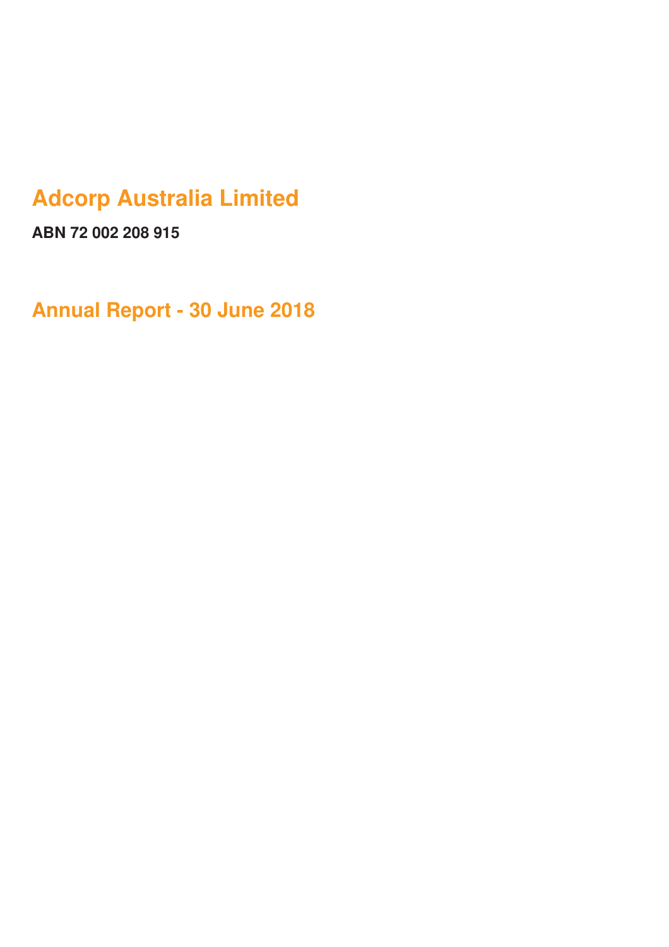# **Adcorp Australia Limited**

**ABN 72 002 208 915**

**Annual Report - 30 June 2018**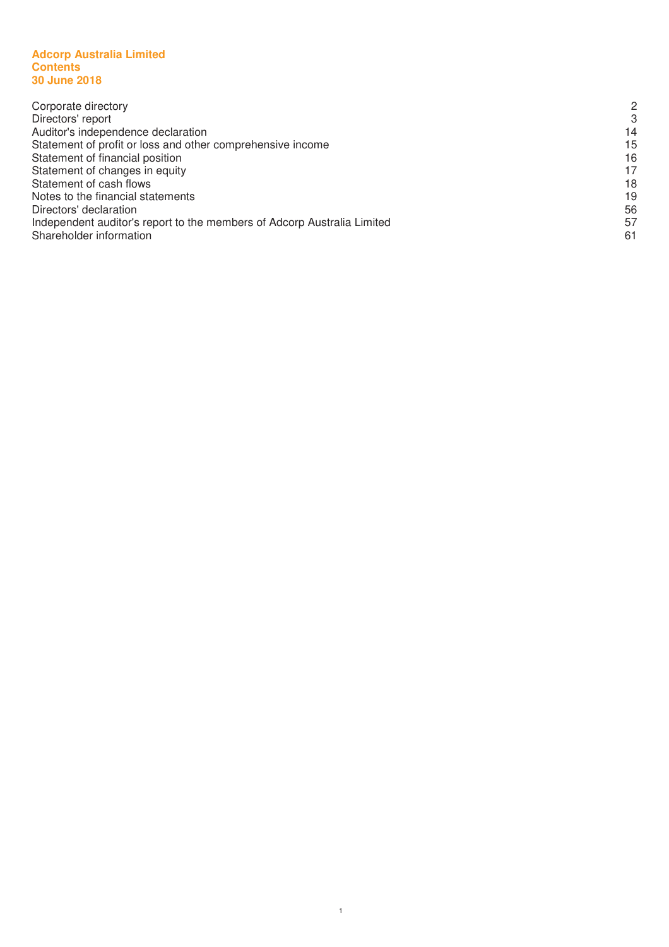# **Adcorp Australia Limited Contents 30 June 2018**

| Corporate directory                                                     | 2  |
|-------------------------------------------------------------------------|----|
| Directors' report                                                       | 3  |
| Auditor's independence declaration                                      | 14 |
| Statement of profit or loss and other comprehensive income              | 15 |
| Statement of financial position                                         | 16 |
| Statement of changes in equity                                          | 17 |
| Statement of cash flows                                                 | 18 |
| Notes to the financial statements                                       | 19 |
| Directors' declaration                                                  | 56 |
| Independent auditor's report to the members of Adcorp Australia Limited | 57 |
| Shareholder information                                                 | 61 |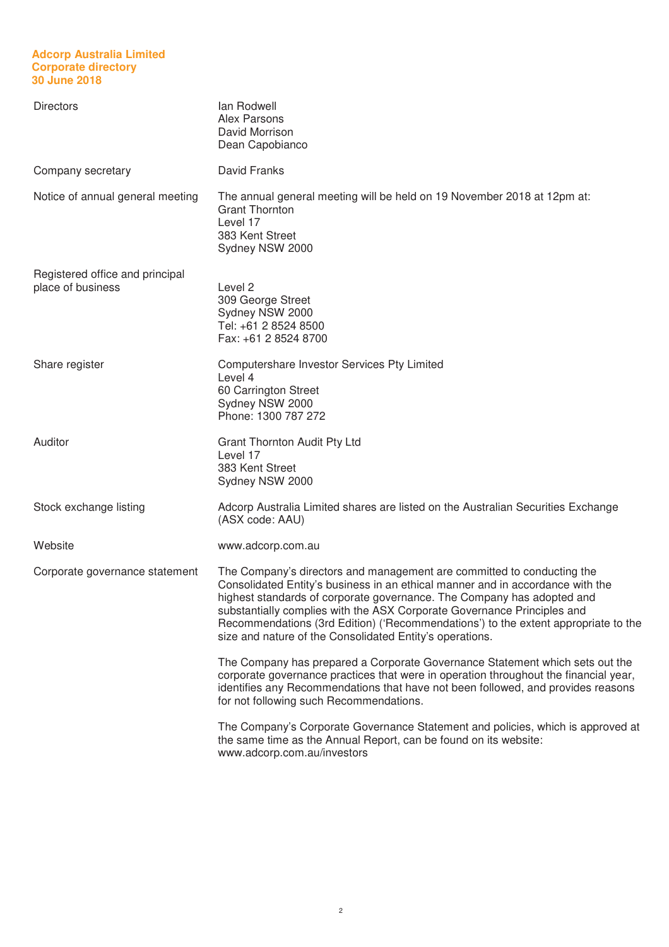# **Adcorp Australia Limited Corporate directory 30 June 2018**

| <b>Directors</b>                                     | lan Rodwell<br>Alex Parsons<br>David Morrison<br>Dean Capobianco                                                                                                                                                                                                                                                                                                                                                                                                |
|------------------------------------------------------|-----------------------------------------------------------------------------------------------------------------------------------------------------------------------------------------------------------------------------------------------------------------------------------------------------------------------------------------------------------------------------------------------------------------------------------------------------------------|
| Company secretary                                    | David Franks                                                                                                                                                                                                                                                                                                                                                                                                                                                    |
| Notice of annual general meeting                     | The annual general meeting will be held on 19 November 2018 at 12pm at:<br><b>Grant Thornton</b><br>Level 17<br>383 Kent Street<br>Sydney NSW 2000                                                                                                                                                                                                                                                                                                              |
| Registered office and principal<br>place of business | Level 2<br>309 George Street<br>Sydney NSW 2000<br>Tel: +61 2 8524 8500<br>Fax: +61 2 8524 8700                                                                                                                                                                                                                                                                                                                                                                 |
| Share register                                       | Computershare Investor Services Pty Limited<br>Level 4<br>60 Carrington Street<br>Sydney NSW 2000<br>Phone: 1300 787 272                                                                                                                                                                                                                                                                                                                                        |
| Auditor                                              | <b>Grant Thornton Audit Pty Ltd</b><br>Level 17<br>383 Kent Street<br>Sydney NSW 2000                                                                                                                                                                                                                                                                                                                                                                           |
| Stock exchange listing                               | Adcorp Australia Limited shares are listed on the Australian Securities Exchange<br>(ASX code: AAU)                                                                                                                                                                                                                                                                                                                                                             |
| Website                                              | www.adcorp.com.au                                                                                                                                                                                                                                                                                                                                                                                                                                               |
| Corporate governance statement                       | The Company's directors and management are committed to conducting the<br>Consolidated Entity's business in an ethical manner and in accordance with the<br>highest standards of corporate governance. The Company has adopted and<br>substantially complies with the ASX Corporate Governance Principles and<br>Recommendations (3rd Edition) ('Recommendations') to the extent appropriate to the<br>size and nature of the Consolidated Entity's operations. |
|                                                      | The Company has prepared a Corporate Governance Statement which sets out the<br>corporate governance practices that were in operation throughout the financial year,<br>identifies any Recommendations that have not been followed, and provides reasons<br>for not following such Recommendations.                                                                                                                                                             |
|                                                      | The Company's Corporate Governance Statement and policies, which is approved at<br>the same time as the Annual Report, can be found on its website:<br>www.adcorp.com.au/investors                                                                                                                                                                                                                                                                              |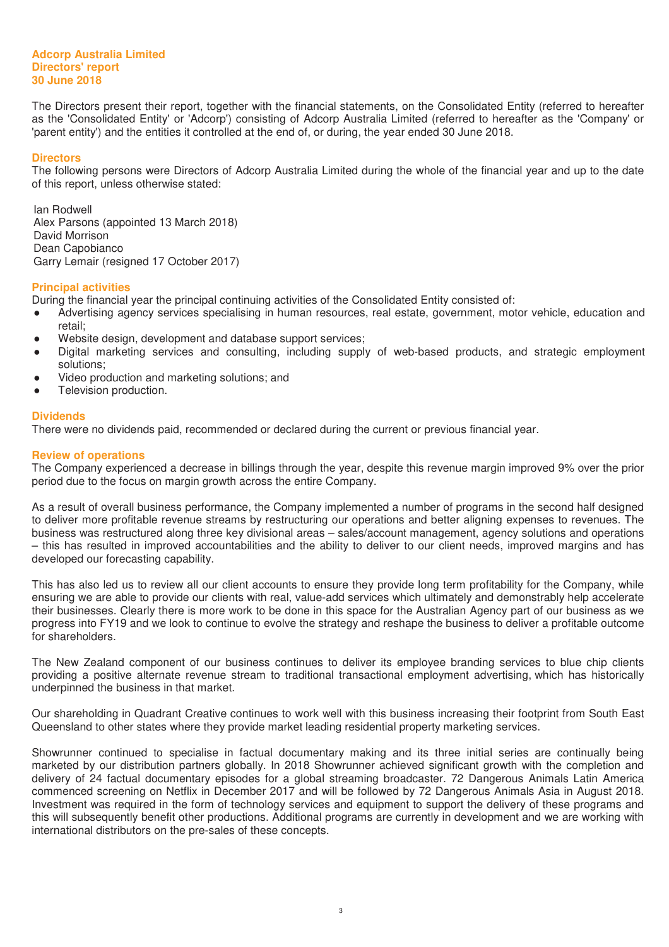The Directors present their report, together with the financial statements, on the Consolidated Entity (referred to hereafter as the 'Consolidated Entity' or 'Adcorp') consisting of Adcorp Australia Limited (referred to hereafter as the 'Company' or 'parent entity') and the entities it controlled at the end of, or during, the year ended 30 June 2018.

# **Directors**

The following persons were Directors of Adcorp Australia Limited during the whole of the financial year and up to the date of this report, unless otherwise stated:

Ian Rodwell Alex Parsons (appointed 13 March 2018) David Morrison Dean Capobianco Garry Lemair (resigned 17 October 2017)

# **Principal activities**

During the financial year the principal continuing activities of the Consolidated Entity consisted of:

- Advertising agency services specialising in human resources, real estate, government, motor vehicle, education and retail;
- Ɣ Website design, development and database support services;
- Digital marketing services and consulting, including supply of web-based products, and strategic employment solutions;
- Video production and marketing solutions; and
- Television production.

# **Dividends**

There were no dividends paid, recommended or declared during the current or previous financial year.

# **Review of operations**

The Company experienced a decrease in billings through the year, despite this revenue margin improved 9% over the prior period due to the focus on margin growth across the entire Company.

As a result of overall business performance, the Company implemented a number of programs in the second half designed to deliver more profitable revenue streams by restructuring our operations and better aligning expenses to revenues. The business was restructured along three key divisional areas – sales/account management, agency solutions and operations – this has resulted in improved accountabilities and the ability to deliver to our client needs, improved margins and has developed our forecasting capability.

This has also led us to review all our client accounts to ensure they provide long term profitability for the Company, while ensuring we are able to provide our clients with real, value-add services which ultimately and demonstrably help accelerate their businesses. Clearly there is more work to be done in this space for the Australian Agency part of our business as we progress into FY19 and we look to continue to evolve the strategy and reshape the business to deliver a profitable outcome for shareholders.

The New Zealand component of our business continues to deliver its employee branding services to blue chip clients providing a positive alternate revenue stream to traditional transactional employment advertising, which has historically underpinned the business in that market.

Our shareholding in Quadrant Creative continues to work well with this business increasing their footprint from South East Queensland to other states where they provide market leading residential property marketing services.

Showrunner continued to specialise in factual documentary making and its three initial series are continually being marketed by our distribution partners globally. In 2018 Showrunner achieved significant growth with the completion and delivery of 24 factual documentary episodes for a global streaming broadcaster. 72 Dangerous Animals Latin America commenced screening on Netflix in December 2017 and will be followed by 72 Dangerous Animals Asia in August 2018. Investment was required in the form of technology services and equipment to support the delivery of these programs and this will subsequently benefit other productions. Additional programs are currently in development and we are working with international distributors on the pre-sales of these concepts.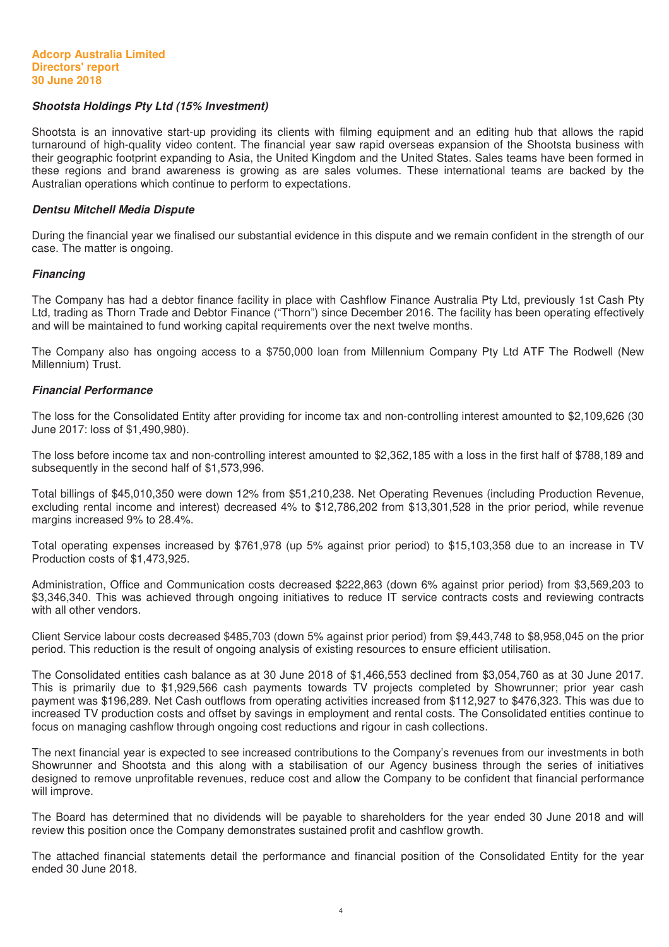# *Shootsta Holdings Pty Ltd (15% Investment)*

Shootsta is an innovative start-up providing its clients with filming equipment and an editing hub that allows the rapid turnaround of high-quality video content. The financial year saw rapid overseas expansion of the Shootsta business with their geographic footprint expanding to Asia, the United Kingdom and the United States. Sales teams have been formed in these regions and brand awareness is growing as are sales volumes. These international teams are backed by the Australian operations which continue to perform to expectations.

# *Dentsu Mitchell Media Dispute*

During the financial year we finalised our substantial evidence in this dispute and we remain confident in the strength of our case. The matter is ongoing.

#### *Financing*

The Company has had a debtor finance facility in place with Cashflow Finance Australia Pty Ltd, previously 1st Cash Pty Ltd, trading as Thorn Trade and Debtor Finance ("Thorn") since December 2016. The facility has been operating effectively and will be maintained to fund working capital requirements over the next twelve months.

The Company also has ongoing access to a \$750,000 loan from Millennium Company Pty Ltd ATF The Rodwell (New Millennium) Trust.

# *Financial Performance*

The loss for the Consolidated Entity after providing for income tax and non-controlling interest amounted to \$2,109,626 (30 June 2017: loss of \$1,490,980).

The loss before income tax and non-controlling interest amounted to \$2,362,185 with a loss in the first half of \$788,189 and subsequently in the second half of \$1,573,996.

Total billings of \$45,010,350 were down 12% from \$51,210,238. Net Operating Revenues (including Production Revenue, excluding rental income and interest) decreased 4% to \$12,786,202 from \$13,301,528 in the prior period, while revenue margins increased 9% to 28.4%.

Total operating expenses increased by \$761,978 (up 5% against prior period) to \$15,103,358 due to an increase in TV Production costs of \$1,473,925.

Administration, Office and Communication costs decreased \$222,863 (down 6% against prior period) from \$3,569,203 to \$3,346,340. This was achieved through ongoing initiatives to reduce IT service contracts costs and reviewing contracts with all other vendors.

Client Service labour costs decreased \$485,703 (down 5% against prior period) from \$9,443,748 to \$8,958,045 on the prior period. This reduction is the result of ongoing analysis of existing resources to ensure efficient utilisation.

The Consolidated entities cash balance as at 30 June 2018 of \$1,466,553 declined from \$3,054,760 as at 30 June 2017. This is primarily due to \$1,929,566 cash payments towards TV projects completed by Showrunner; prior year cash payment was \$196,289. Net Cash outflows from operating activities increased from \$112,927 to \$476,323. This was due to increased TV production costs and offset by savings in employment and rental costs. The Consolidated entities continue to focus on managing cashflow through ongoing cost reductions and rigour in cash collections.

The next financial year is expected to see increased contributions to the Company's revenues from our investments in both Showrunner and Shootsta and this along with a stabilisation of our Agency business through the series of initiatives designed to remove unprofitable revenues, reduce cost and allow the Company to be confident that financial performance will improve.

The Board has determined that no dividends will be payable to shareholders for the year ended 30 June 2018 and will review this position once the Company demonstrates sustained profit and cashflow growth.

The attached financial statements detail the performance and financial position of the Consolidated Entity for the year ended 30 June 2018.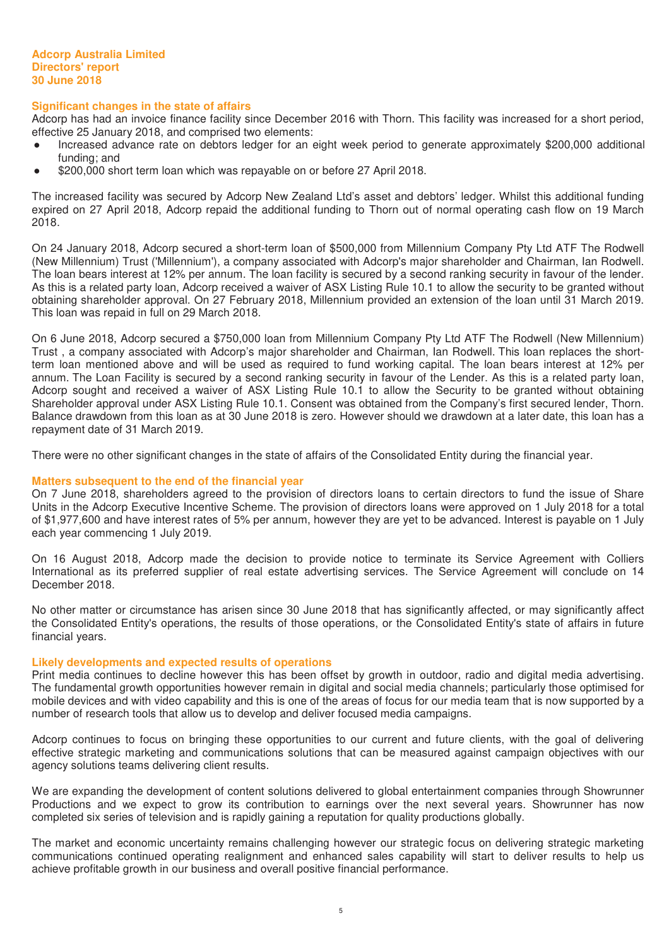# **Significant changes in the state of affairs**

Adcorp has had an invoice finance facility since December 2016 with Thorn. This facility was increased for a short period, effective 25 January 2018, and comprised two elements:

- Increased advance rate on debtors ledger for an eight week period to generate approximately \$200,000 additional funding; and
- \$200,000 short term loan which was repayable on or before 27 April 2018.

The increased facility was secured by Adcorp New Zealand Ltd's asset and debtors' ledger. Whilst this additional funding expired on 27 April 2018, Adcorp repaid the additional funding to Thorn out of normal operating cash flow on 19 March 2018.

On 24 January 2018, Adcorp secured a short-term loan of \$500,000 from Millennium Company Pty Ltd ATF The Rodwell (New Millennium) Trust ('Millennium'), a company associated with Adcorp's major shareholder and Chairman, Ian Rodwell. The loan bears interest at 12% per annum. The loan facility is secured by a second ranking security in favour of the lender. As this is a related party loan, Adcorp received a waiver of ASX Listing Rule 10.1 to allow the security to be granted without obtaining shareholder approval. On 27 February 2018, Millennium provided an extension of the loan until 31 March 2019. This loan was repaid in full on 29 March 2018.

On 6 June 2018, Adcorp secured a \$750,000 loan from Millennium Company Pty Ltd ATF The Rodwell (New Millennium) Trust , a company associated with Adcorp's major shareholder and Chairman, Ian Rodwell. This loan replaces the shortterm loan mentioned above and will be used as required to fund working capital. The loan bears interest at 12% per annum. The Loan Facility is secured by a second ranking security in favour of the Lender. As this is a related party loan, Adcorp sought and received a waiver of ASX Listing Rule 10.1 to allow the Security to be granted without obtaining Shareholder approval under ASX Listing Rule 10.1. Consent was obtained from the Company's first secured lender, Thorn. Balance drawdown from this loan as at 30 June 2018 is zero. However should we drawdown at a later date, this loan has a repayment date of 31 March 2019.

There were no other significant changes in the state of affairs of the Consolidated Entity during the financial year.

# **Matters subsequent to the end of the financial year**

On 7 June 2018, shareholders agreed to the provision of directors loans to certain directors to fund the issue of Share Units in the Adcorp Executive Incentive Scheme. The provision of directors loans were approved on 1 July 2018 for a total of \$1,977,600 and have interest rates of 5% per annum, however they are yet to be advanced. Interest is payable on 1 July each year commencing 1 July 2019.

On 16 August 2018, Adcorp made the decision to provide notice to terminate its Service Agreement with Colliers International as its preferred supplier of real estate advertising services. The Service Agreement will conclude on 14 December 2018.

No other matter or circumstance has arisen since 30 June 2018 that has significantly affected, or may significantly affect the Consolidated Entity's operations, the results of those operations, or the Consolidated Entity's state of affairs in future financial years.

# **Likely developments and expected results of operations**

Print media continues to decline however this has been offset by growth in outdoor, radio and digital media advertising. The fundamental growth opportunities however remain in digital and social media channels; particularly those optimised for mobile devices and with video capability and this is one of the areas of focus for our media team that is now supported by a number of research tools that allow us to develop and deliver focused media campaigns.

Adcorp continues to focus on bringing these opportunities to our current and future clients, with the goal of delivering effective strategic marketing and communications solutions that can be measured against campaign objectives with our agency solutions teams delivering client results.

We are expanding the development of content solutions delivered to global entertainment companies through Showrunner Productions and we expect to grow its contribution to earnings over the next several years. Showrunner has now completed six series of television and is rapidly gaining a reputation for quality productions globally.

The market and economic uncertainty remains challenging however our strategic focus on delivering strategic marketing communications continued operating realignment and enhanced sales capability will start to deliver results to help us achieve profitable growth in our business and overall positive financial performance.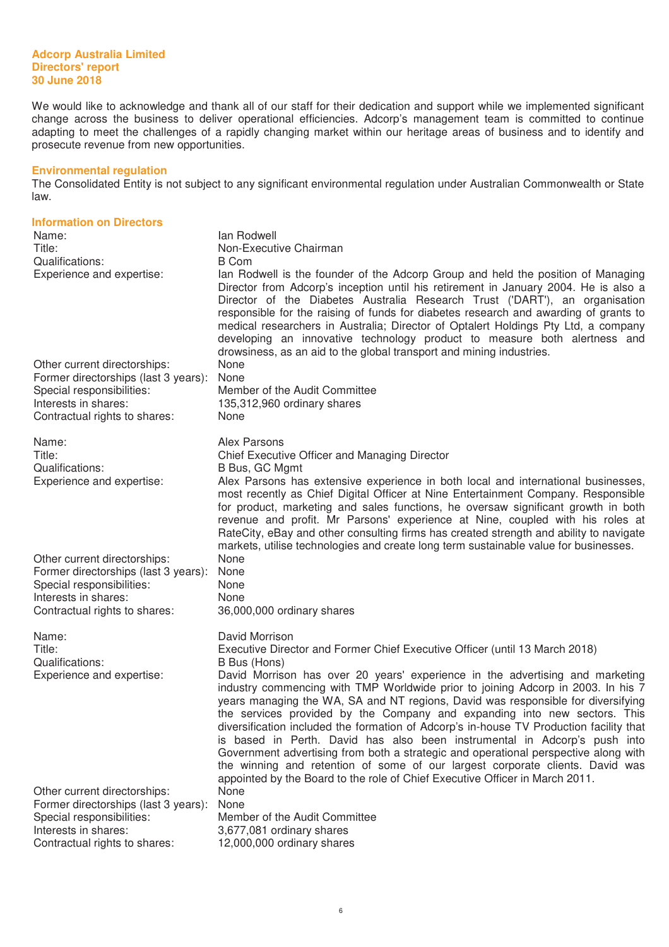We would like to acknowledge and thank all of our staff for their dedication and support while we implemented significant change across the business to deliver operational efficiencies. Adcorp's management team is committed to continue adapting to meet the challenges of a rapidly changing market within our heritage areas of business and to identify and prosecute revenue from new opportunities.

# **Environmental regulation**

The Consolidated Entity is not subject to any significant environmental regulation under Australian Commonwealth or State law.

| <b>Information on Directors</b><br>Name:<br>Title:<br>Qualifications: | lan Rodwell<br>Non-Executive Chairman<br><b>B</b> Com                                                                                                                                                                                                                                                                                                                                                                                                                                                                                                                                                                                                                                                                                                                              |
|-----------------------------------------------------------------------|------------------------------------------------------------------------------------------------------------------------------------------------------------------------------------------------------------------------------------------------------------------------------------------------------------------------------------------------------------------------------------------------------------------------------------------------------------------------------------------------------------------------------------------------------------------------------------------------------------------------------------------------------------------------------------------------------------------------------------------------------------------------------------|
| Experience and expertise:                                             | lan Rodwell is the founder of the Adcorp Group and held the position of Managing<br>Director from Adcorp's inception until his retirement in January 2004. He is also a<br>Director of the Diabetes Australia Research Trust ('DART'), an organisation<br>responsible for the raising of funds for diabetes research and awarding of grants to<br>medical researchers in Australia; Director of Optalert Holdings Pty Ltd, a company<br>developing an innovative technology product to measure both alertness and<br>drowsiness, as an aid to the global transport and mining industries.                                                                                                                                                                                          |
| Other current directorships:                                          | None                                                                                                                                                                                                                                                                                                                                                                                                                                                                                                                                                                                                                                                                                                                                                                               |
| Former directorships (last 3 years):                                  | None                                                                                                                                                                                                                                                                                                                                                                                                                                                                                                                                                                                                                                                                                                                                                                               |
| Special responsibilities:                                             | Member of the Audit Committee                                                                                                                                                                                                                                                                                                                                                                                                                                                                                                                                                                                                                                                                                                                                                      |
| Interests in shares:                                                  | 135,312,960 ordinary shares                                                                                                                                                                                                                                                                                                                                                                                                                                                                                                                                                                                                                                                                                                                                                        |
| Contractual rights to shares:                                         | None                                                                                                                                                                                                                                                                                                                                                                                                                                                                                                                                                                                                                                                                                                                                                                               |
| Name:<br>Title:<br>Qualifications:<br>Experience and expertise:       | Alex Parsons<br>Chief Executive Officer and Managing Director<br>B Bus, GC Mgmt<br>Alex Parsons has extensive experience in both local and international businesses,<br>most recently as Chief Digital Officer at Nine Entertainment Company. Responsible<br>for product, marketing and sales functions, he oversaw significant growth in both<br>revenue and profit. Mr Parsons' experience at Nine, coupled with his roles at<br>RateCity, eBay and other consulting firms has created strength and ability to navigate<br>markets, utilise technologies and create long term sustainable value for businesses.                                                                                                                                                                  |
| Other current directorships:                                          | None                                                                                                                                                                                                                                                                                                                                                                                                                                                                                                                                                                                                                                                                                                                                                                               |
| Former directorships (last 3 years):                                  | None                                                                                                                                                                                                                                                                                                                                                                                                                                                                                                                                                                                                                                                                                                                                                                               |
| Special responsibilities:                                             | None                                                                                                                                                                                                                                                                                                                                                                                                                                                                                                                                                                                                                                                                                                                                                                               |
| Interests in shares:                                                  | None                                                                                                                                                                                                                                                                                                                                                                                                                                                                                                                                                                                                                                                                                                                                                                               |
| Contractual rights to shares:                                         | 36,000,000 ordinary shares                                                                                                                                                                                                                                                                                                                                                                                                                                                                                                                                                                                                                                                                                                                                                         |
| Name:                                                                 | David Morrison                                                                                                                                                                                                                                                                                                                                                                                                                                                                                                                                                                                                                                                                                                                                                                     |
| Title:                                                                | Executive Director and Former Chief Executive Officer (until 13 March 2018)                                                                                                                                                                                                                                                                                                                                                                                                                                                                                                                                                                                                                                                                                                        |
| Qualifications:<br>Experience and expertise:                          | B Bus (Hons)<br>David Morrison has over 20 years' experience in the advertising and marketing<br>industry commencing with TMP Worldwide prior to joining Adcorp in 2003. In his 7<br>years managing the WA, SA and NT regions, David was responsible for diversifying<br>the services provided by the Company and expanding into new sectors. This<br>diversification included the formation of Adcorp's in-house TV Production facility that<br>is based in Perth. David has also been instrumental in Adcorp's push into<br>Government advertising from both a strategic and operational perspective along with<br>the winning and retention of some of our largest corporate clients. David was<br>appointed by the Board to the role of Chief Executive Officer in March 2011. |
| Other current directorships:                                          | None                                                                                                                                                                                                                                                                                                                                                                                                                                                                                                                                                                                                                                                                                                                                                                               |
| Former directorships (last 3 years):                                  | None                                                                                                                                                                                                                                                                                                                                                                                                                                                                                                                                                                                                                                                                                                                                                                               |
| Special responsibilities:                                             | Member of the Audit Committee                                                                                                                                                                                                                                                                                                                                                                                                                                                                                                                                                                                                                                                                                                                                                      |
| Interests in shares:                                                  | 3,677,081 ordinary shares                                                                                                                                                                                                                                                                                                                                                                                                                                                                                                                                                                                                                                                                                                                                                          |
| Contractual rights to shares:                                         | 12,000,000 ordinary shares                                                                                                                                                                                                                                                                                                                                                                                                                                                                                                                                                                                                                                                                                                                                                         |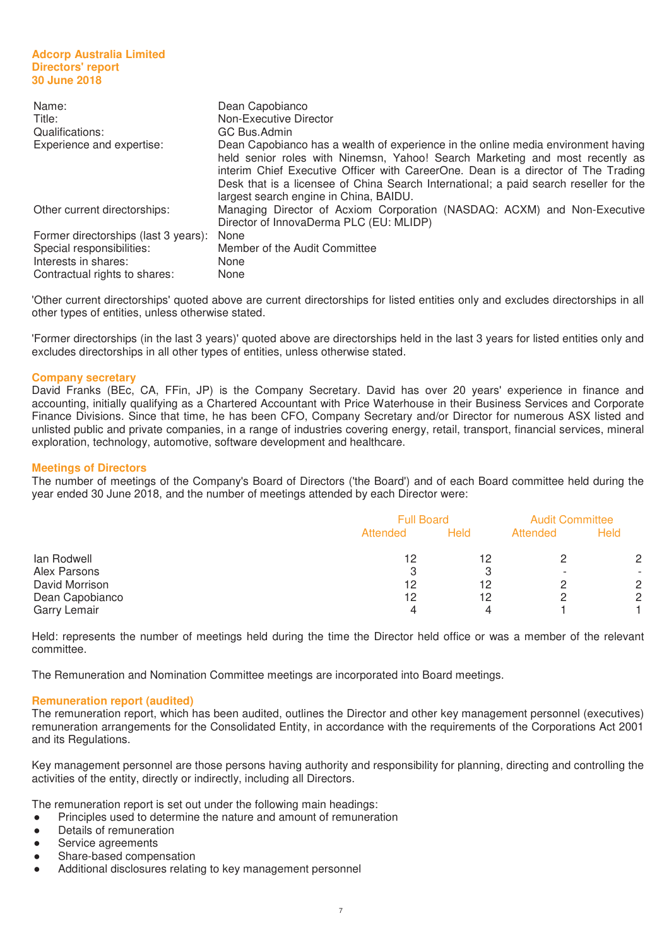| Name:<br>Title:                      | Dean Capobianco<br>Non-Executive Director                                                                                                                                                                                                                                                                                                                                                 |
|--------------------------------------|-------------------------------------------------------------------------------------------------------------------------------------------------------------------------------------------------------------------------------------------------------------------------------------------------------------------------------------------------------------------------------------------|
| Qualifications:                      | GC Bus.Admin                                                                                                                                                                                                                                                                                                                                                                              |
| Experience and expertise:            | Dean Capobianco has a wealth of experience in the online media environment having<br>held senior roles with Ninemsn, Yahoo! Search Marketing and most recently as<br>interim Chief Executive Officer with CareerOne. Dean is a director of The Trading<br>Desk that is a licensee of China Search International; a paid search reseller for the<br>largest search engine in China, BAIDU. |
| Other current directorships:         | Managing Director of Acxiom Corporation (NASDAQ: ACXM) and Non-Executive<br>Director of InnovaDerma PLC (EU: MLIDP)                                                                                                                                                                                                                                                                       |
| Former directorships (last 3 years): | None                                                                                                                                                                                                                                                                                                                                                                                      |
| Special responsibilities:            | Member of the Audit Committee                                                                                                                                                                                                                                                                                                                                                             |
| Interests in shares:                 | None                                                                                                                                                                                                                                                                                                                                                                                      |
| Contractual rights to shares:        | None                                                                                                                                                                                                                                                                                                                                                                                      |

'Other current directorships' quoted above are current directorships for listed entities only and excludes directorships in all other types of entities, unless otherwise stated.

'Former directorships (in the last 3 years)' quoted above are directorships held in the last 3 years for listed entities only and excludes directorships in all other types of entities, unless otherwise stated.

# **Company secretary**

David Franks (BEc, CA, FFin, JP) is the Company Secretary. David has over 20 years' experience in finance and accounting, initially qualifying as a Chartered Accountant with Price Waterhouse in their Business Services and Corporate Finance Divisions. Since that time, he has been CFO, Company Secretary and/or Director for numerous ASX listed and unlisted public and private companies, in a range of industries covering energy, retail, transport, financial services, mineral exploration, technology, automotive, software development and healthcare.

#### **Meetings of Directors**

The number of meetings of the Company's Board of Directors ('the Board') and of each Board committee held during the year ended 30 June 2018, and the number of meetings attended by each Director were:

|                 |          | <b>Full Board</b> |          |      |
|-----------------|----------|-------------------|----------|------|
|                 | Attended | <b>Held</b>       | Attended | Held |
| lan Rodwell     | 12       | 12                |          | 2    |
| Alex Parsons    | 3        |                   |          |      |
| David Morrison  | 12       | 12                |          | 2    |
| Dean Capobianco | 12       | 12                |          | 2    |
| Garry Lemair    | 4        |                   |          |      |

Held: represents the number of meetings held during the time the Director held office or was a member of the relevant committee.

The Remuneration and Nomination Committee meetings are incorporated into Board meetings.

#### **Remuneration report (audited)**

The remuneration report, which has been audited, outlines the Director and other key management personnel (executives) remuneration arrangements for the Consolidated Entity, in accordance with the requirements of the Corporations Act 2001 and its Regulations.

Key management personnel are those persons having authority and responsibility for planning, directing and controlling the activities of the entity, directly or indirectly, including all Directors.

The remuneration report is set out under the following main headings:

- Principles used to determine the nature and amount of remuneration
- Details of remuneration<br>• Service agreements
- Service agreements
- Share-based compensation
- Additional disclosures relating to key management personnel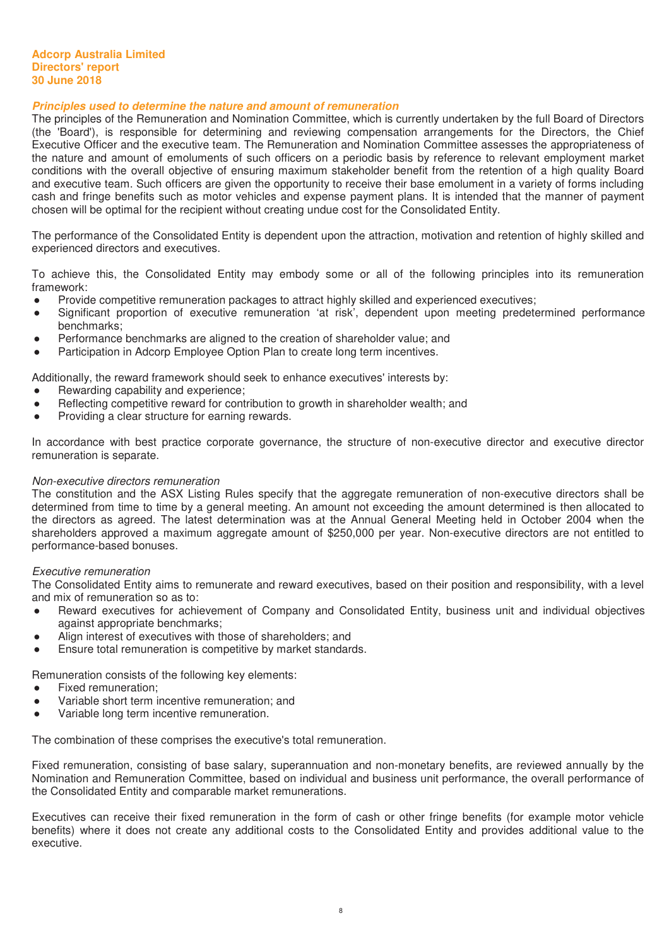# *Principles used to determine the nature and amount of remuneration*

The principles of the Remuneration and Nomination Committee, which is currently undertaken by the full Board of Directors (the 'Board'), is responsible for determining and reviewing compensation arrangements for the Directors, the Chief Executive Officer and the executive team. The Remuneration and Nomination Committee assesses the appropriateness of the nature and amount of emoluments of such officers on a periodic basis by reference to relevant employment market conditions with the overall objective of ensuring maximum stakeholder benefit from the retention of a high quality Board and executive team. Such officers are given the opportunity to receive their base emolument in a variety of forms including cash and fringe benefits such as motor vehicles and expense payment plans. It is intended that the manner of payment chosen will be optimal for the recipient without creating undue cost for the Consolidated Entity.

The performance of the Consolidated Entity is dependent upon the attraction, motivation and retention of highly skilled and experienced directors and executives.

To achieve this, the Consolidated Entity may embody some or all of the following principles into its remuneration framework:

- Provide competitive remuneration packages to attract highly skilled and experienced executives;
- Significant proportion of executive remuneration 'at risk', dependent upon meeting predetermined performance benchmarks;
- Performance benchmarks are aligned to the creation of shareholder value; and
- Participation in Adcorp Employee Option Plan to create long term incentives.

Additionally, the reward framework should seek to enhance executives' interests by:

- Rewarding capability and experience;
- Reflecting competitive reward for contribution to growth in shareholder wealth; and
- Providing a clear structure for earning rewards.

In accordance with best practice corporate governance, the structure of non-executive director and executive director remuneration is separate.

# Non-executive directors remuneration

The constitution and the ASX Listing Rules specify that the aggregate remuneration of non-executive directors shall be determined from time to time by a general meeting. An amount not exceeding the amount determined is then allocated to the directors as agreed. The latest determination was at the Annual General Meeting held in October 2004 when the shareholders approved a maximum aggregate amount of \$250,000 per year. Non-executive directors are not entitled to performance-based bonuses.

# Executive remuneration

The Consolidated Entity aims to remunerate and reward executives, based on their position and responsibility, with a level and mix of remuneration so as to:

- Ɣ Reward executives for achievement of Company and Consolidated Entity, business unit and individual objectives against appropriate benchmarks;
- Align interest of executives with those of shareholders; and
- Ensure total remuneration is competitive by market standards.

Remuneration consists of the following key elements:

- Fixed remuneration:
- Variable short term incentive remuneration; and
- Ɣ Variable long term incentive remuneration.

The combination of these comprises the executive's total remuneration.

Fixed remuneration, consisting of base salary, superannuation and non-monetary benefits, are reviewed annually by the Nomination and Remuneration Committee, based on individual and business unit performance, the overall performance of the Consolidated Entity and comparable market remunerations.

Executives can receive their fixed remuneration in the form of cash or other fringe benefits (for example motor vehicle benefits) where it does not create any additional costs to the Consolidated Entity and provides additional value to the executive.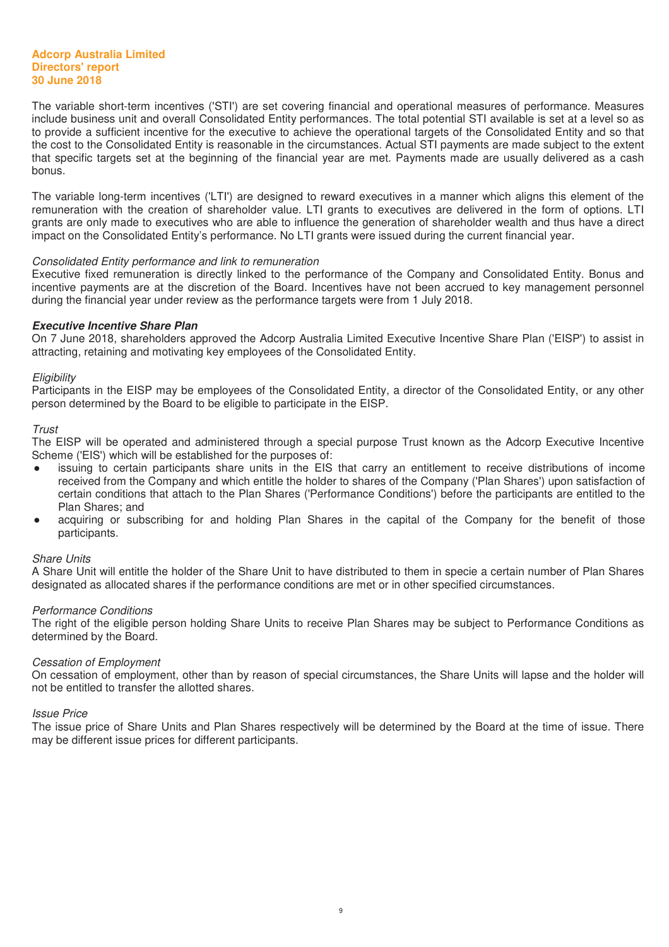The variable short-term incentives ('STI') are set covering financial and operational measures of performance. Measures include business unit and overall Consolidated Entity performances. The total potential STI available is set at a level so as to provide a sufficient incentive for the executive to achieve the operational targets of the Consolidated Entity and so that the cost to the Consolidated Entity is reasonable in the circumstances. Actual STI payments are made subject to the extent that specific targets set at the beginning of the financial year are met. Payments made are usually delivered as a cash bonus.

The variable long-term incentives ('LTI') are designed to reward executives in a manner which aligns this element of the remuneration with the creation of shareholder value. LTI grants to executives are delivered in the form of options. LTI grants are only made to executives who are able to influence the generation of shareholder wealth and thus have a direct impact on the Consolidated Entity's performance. No LTI grants were issued during the current financial year.

# Consolidated Entity performance and link to remuneration

Executive fixed remuneration is directly linked to the performance of the Company and Consolidated Entity. Bonus and incentive payments are at the discretion of the Board. Incentives have not been accrued to key management personnel during the financial year under review as the performance targets were from 1 July 2018.

# *Executive Incentive Share Plan*

On 7 June 2018, shareholders approved the Adcorp Australia Limited Executive Incentive Share Plan ('EISP') to assist in attracting, retaining and motivating key employees of the Consolidated Entity.

# **Eligibility**

Participants in the EISP may be employees of the Consolidated Entity, a director of the Consolidated Entity, or any other person determined by the Board to be eligible to participate in the EISP.

# **Trust**

The EISP will be operated and administered through a special purpose Trust known as the Adcorp Executive Incentive Scheme ('EIS') which will be established for the purposes of:

- Ɣ issuing to certain participants share units in the EIS that carry an entitlement to receive distributions of income received from the Company and which entitle the holder to shares of the Company ('Plan Shares') upon satisfaction of certain conditions that attach to the Plan Shares ('Performance Conditions') before the participants are entitled to the Plan Shares; and
- acquiring or subscribing for and holding Plan Shares in the capital of the Company for the benefit of those participants.

# Share Units

A Share Unit will entitle the holder of the Share Unit to have distributed to them in specie a certain number of Plan Shares designated as allocated shares if the performance conditions are met or in other specified circumstances.

# Performance Conditions

The right of the eligible person holding Share Units to receive Plan Shares may be subject to Performance Conditions as determined by the Board.

# Cessation of Employment

On cessation of employment, other than by reason of special circumstances, the Share Units will lapse and the holder will not be entitled to transfer the allotted shares.

# Issue Price

The issue price of Share Units and Plan Shares respectively will be determined by the Board at the time of issue. There may be different issue prices for different participants.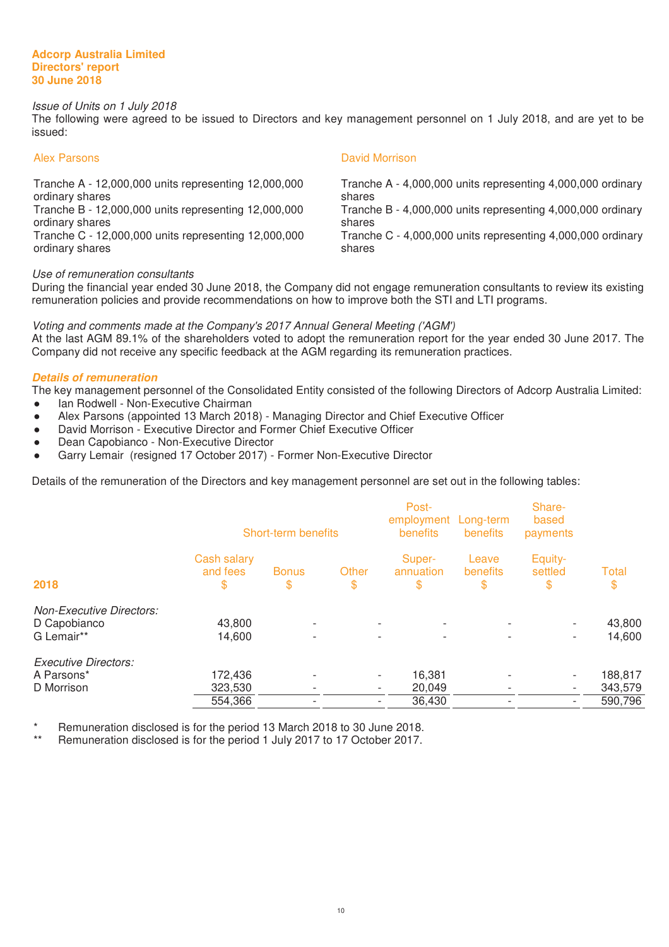# Issue of Units on 1 July 2018

The following were agreed to be issued to Directors and key management personnel on 1 July 2018, and are yet to be issued:

#### Alex Parsons David Morrison

Tranche A - 12,000,000 units representing 12,000,000 ordinary shares

Tranche B - 12,000,000 units representing 12,000,000 ordinary shares Tranche C - 12,000,000 units representing 12,000,000 ordinary shares

Use of remuneration consultants

 Tranche A - 4,000,000 units representing 4,000,000 ordinary shares

 Tranche B - 4,000,000 units representing 4,000,000 ordinary shares

 Tranche C - 4,000,000 units representing 4,000,000 ordinary shares

During the financial year ended 30 June 2018, the Company did not engage remuneration consultants to review its existing remuneration policies and provide recommendations on how to improve both the STI and LTI programs.

Voting and comments made at the Company's 2017 Annual General Meeting ('AGM') At the last AGM 89.1% of the shareholders voted to adopt the remuneration report for the year ended 30 June 2017. The Company did not receive any specific feedback at the AGM regarding its remuneration practices.

#### *Details of remuneration*

The key management personnel of the Consolidated Entity consisted of the following Directors of Adcorp Australia Limited:

- Ian Rodwell Non-Executive Chairman
- Alex Parsons (appointed 13 March 2018) Managing Director and Chief Executive Officer
- David Morrison Executive Director and Former Chief Executive Officer
- Dean Capobianco Non-Executive Director
- Ɣ Garry Lemair (resigned 17 October 2017) Former Non-Executive Director

Details of the remuneration of the Directors and key management personnel are set out in the following tables:

|                                 |                               | Short-term benefits          |             | Post-<br>employment Long-term<br>benefits            | benefits                     | Share-<br>based<br>payments |                    |
|---------------------------------|-------------------------------|------------------------------|-------------|------------------------------------------------------|------------------------------|-----------------------------|--------------------|
| 2018                            | Cash salary<br>and fees<br>\$ | <b>Bonus</b><br>\$           | Other<br>\$ | Super-<br>annuation<br>\$                            | Leave<br>benefits<br>\$      | Equity-<br>settled<br>\$    | <b>Total</b><br>\$ |
| <b>Non-Executive Directors:</b> |                               |                              |             |                                                      |                              |                             |                    |
| D Capobianco                    | 43,800                        | $\overline{\phantom{a}}$     |             | $\overline{\phantom{a}}$<br>$\overline{\phantom{a}}$ | $\qquad \qquad \blacksquare$ | $\overline{\phantom{a}}$    | 43,800             |
| G Lemair**                      | 14,600                        | $\overline{\phantom{a}}$     |             | $\overline{\phantom{a}}$<br>$\overline{\phantom{a}}$ | $\overline{\phantom{a}}$     | $\overline{\phantom{a}}$    | 14,600             |
| <b>Executive Directors:</b>     |                               |                              |             |                                                      |                              |                             |                    |
| A Parsons*                      | 172,436                       | $\overline{\phantom{a}}$     |             | 16,381<br>$\overline{\phantom{a}}$                   |                              | $\overline{\phantom{a}}$    | 188,817            |
| D Morrison                      | 323,530                       | $\overline{\phantom{a}}$     |             | 20,049<br>$\overline{\phantom{a}}$                   |                              | $\overline{\phantom{a}}$    | 343,579            |
|                                 | 554,366                       | $\qquad \qquad \blacksquare$ |             | 36,430<br>$\overline{\phantom{a}}$                   |                              | $\overline{\phantom{a}}$    | 590,796            |
|                                 |                               |                              |             |                                                      |                              |                             |                    |

Remuneration disclosed is for the period 13 March 2018 to 30 June 2018.

Remuneration disclosed is for the period 1 July 2017 to 17 October 2017.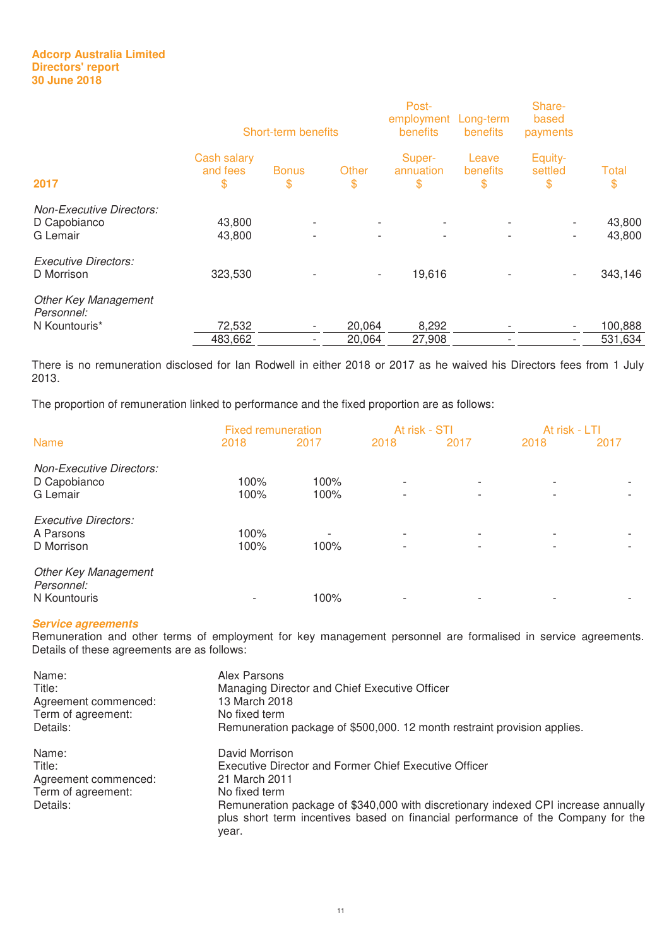|                                                             |                               | Short-term benefits                                  |                                                      | Post-<br>employment<br>benefits                      | Long-term<br>benefits                                | Share-<br>based<br>payments                          |                    |
|-------------------------------------------------------------|-------------------------------|------------------------------------------------------|------------------------------------------------------|------------------------------------------------------|------------------------------------------------------|------------------------------------------------------|--------------------|
| 2017                                                        | Cash salary<br>and fees<br>\$ | <b>Bonus</b><br>\$                                   | Other<br>\$                                          | Super-<br>annuation<br>\$                            | Leave<br>benefits<br>\$                              | Equity-<br>settled<br>\$                             | <b>Total</b><br>\$ |
| <b>Non-Executive Directors:</b><br>D Capobianco<br>G Lemair | 43,800<br>43,800              | $\overline{\phantom{a}}$<br>$\overline{\phantom{a}}$ | $\overline{\phantom{a}}$<br>$\overline{\phantom{a}}$ | $\overline{\phantom{a}}$<br>$\overline{\phantom{a}}$ | $\overline{\phantom{a}}$<br>$\overline{\phantom{a}}$ | $\overline{\phantom{a}}$<br>$\overline{\phantom{a}}$ | 43,800<br>43,800   |
| <b>Executive Directors:</b><br>D Morrison                   | 323,530                       | $\overline{\phantom{a}}$                             | $\overline{\phantom{a}}$                             | 19,616                                               |                                                      | $\overline{\phantom{a}}$                             | 343,146            |
| <b>Other Key Management</b><br>Personnel:<br>N Kountouris*  | 72,532                        | $\overline{\phantom{a}}$                             | 20,064                                               | 8,292                                                |                                                      | $\overline{\phantom{a}}$                             | 100,888            |
|                                                             | 483,662                       | $\overline{\phantom{0}}$                             | 20,064                                               | 27,908                                               |                                                      | $\overline{\phantom{a}}$                             | 531,634            |

There is no remuneration disclosed for Ian Rodwell in either 2018 or 2017 as he waived his Directors fees from 1 July 2013.

The proportion of remuneration linked to performance and the fixed proportion are as follows:

|                                                             |              | <b>Fixed remuneration</b> |                                                      | At risk - STI                                        |      | At risk - LTI |  |
|-------------------------------------------------------------|--------------|---------------------------|------------------------------------------------------|------------------------------------------------------|------|---------------|--|
| <b>Name</b>                                                 | 2018         | 2017                      | 2018                                                 | 2017                                                 | 2018 | 2017          |  |
| <b>Non-Executive Directors:</b><br>D Capobianco<br>G Lemair | 100%<br>100% | 100%<br>100%              | $\overline{\phantom{a}}$<br>$\overline{\phantom{0}}$ | $\overline{\phantom{0}}$<br>$\overline{\phantom{0}}$ |      |               |  |
| <b>Executive Directors:</b><br>A Parsons<br>D Morrison      | 100%<br>100% | 100%                      | $\overline{\phantom{a}}$                             | $\overline{\phantom{0}}$<br>$\overline{\phantom{0}}$ |      |               |  |
| <b>Other Key Management</b><br>Personnel:<br>N Kountouris   |              | 100%                      |                                                      | $\overline{\phantom{0}}$                             |      |               |  |

# *Service agreements*

Remuneration and other terms of employment for key management personnel are formalised in service agreements. Details of these agreements are as follows:

| Name:                                                                     | Alex Parsons                                                                                                                                                                                                                                                                                 |
|---------------------------------------------------------------------------|----------------------------------------------------------------------------------------------------------------------------------------------------------------------------------------------------------------------------------------------------------------------------------------------|
| Title:                                                                    | Managing Director and Chief Executive Officer                                                                                                                                                                                                                                                |
| Agreement commenced:                                                      | 13 March 2018                                                                                                                                                                                                                                                                                |
| Term of agreement:                                                        | No fixed term                                                                                                                                                                                                                                                                                |
| Details:                                                                  | Remuneration package of \$500,000. 12 month restraint provision applies.                                                                                                                                                                                                                     |
| Name:<br>Title:<br>Agreement commenced:<br>Term of agreement:<br>Details: | David Morrison<br>Executive Director and Former Chief Executive Officer<br>21 March 2011<br>No fixed term<br>Remuneration package of \$340,000 with discretionary indexed CPI increase annually<br>plus short term incentives based on financial performance of the Company for the<br>year. |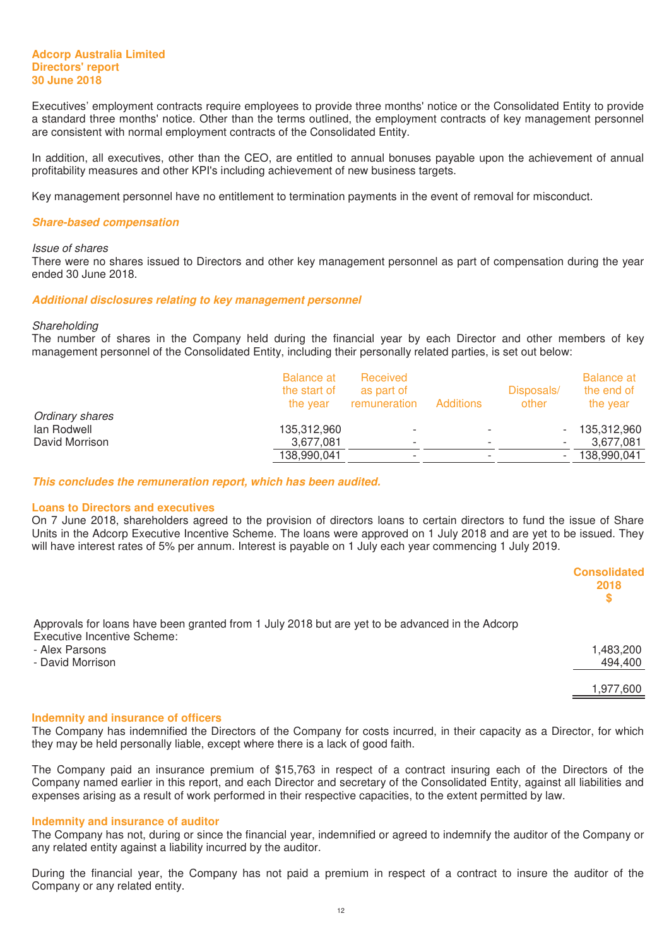Executives' employment contracts require employees to provide three months' notice or the Consolidated Entity to provide a standard three months' notice. Other than the terms outlined, the employment contracts of key management personnel are consistent with normal employment contracts of the Consolidated Entity.

In addition, all executives, other than the CEO, are entitled to annual bonuses payable upon the achievement of annual profitability measures and other KPI's including achievement of new business targets.

Key management personnel have no entitlement to termination payments in the event of removal for misconduct.

#### *Share-based compensation*

#### Issue of shares

There were no shares issued to Directors and other key management personnel as part of compensation during the year ended 30 June 2018.

#### *Additional disclosures relating to key management personnel*

#### **Shareholding**

The number of shares in the Company held during the financial year by each Director and other members of key management personnel of the Consolidated Entity, including their personally related parties, is set out below:

|                 | <b>Balance at</b><br>the start of<br>the year | Received<br>as part of<br>remuneration | <b>Additions</b> | Disposals/<br>other | <b>Balance at</b><br>the end of<br>the year |
|-----------------|-----------------------------------------------|----------------------------------------|------------------|---------------------|---------------------------------------------|
| Ordinary shares |                                               |                                        |                  |                     |                                             |
| lan Rodwell     | 135,312,960                                   |                                        |                  |                     | 135,312,960                                 |
| David Morrison  | 3,677,081                                     | $\overline{\phantom{0}}$               |                  |                     | 3,677,081                                   |
|                 | 138,990,041                                   |                                        |                  |                     | 138,990,041                                 |
|                 |                                               |                                        |                  |                     |                                             |

*This concludes the remuneration report, which has been audited.* 

#### **Loans to Directors and executives**

On 7 June 2018, shareholders agreed to the provision of directors loans to certain directors to fund the issue of Share Units in the Adcorp Executive Incentive Scheme. The loans were approved on 1 July 2018 and are yet to be issued. They will have interest rates of 5% per annum. Interest is payable on 1 July each year commencing 1 July 2019.

|                                                                                                                                                                             | <b>Consolidated</b><br>2018<br>S |
|-----------------------------------------------------------------------------------------------------------------------------------------------------------------------------|----------------------------------|
| Approvals for loans have been granted from 1 July 2018 but are yet to be advanced in the Adcorp<br><b>Executive Incentive Scheme:</b><br>- Alex Parsons<br>- David Morrison | 1,483,200<br>494,400             |
|                                                                                                                                                                             | 1,977,600                        |

#### **Indemnity and insurance of officers**

The Company has indemnified the Directors of the Company for costs incurred, in their capacity as a Director, for which they may be held personally liable, except where there is a lack of good faith.

The Company paid an insurance premium of \$15,763 in respect of a contract insuring each of the Directors of the Company named earlier in this report, and each Director and secretary of the Consolidated Entity, against all liabilities and expenses arising as a result of work performed in their respective capacities, to the extent permitted by law.

#### **Indemnity and insurance of auditor**

The Company has not, during or since the financial year, indemnified or agreed to indemnify the auditor of the Company or any related entity against a liability incurred by the auditor.

During the financial year, the Company has not paid a premium in respect of a contract to insure the auditor of the Company or any related entity.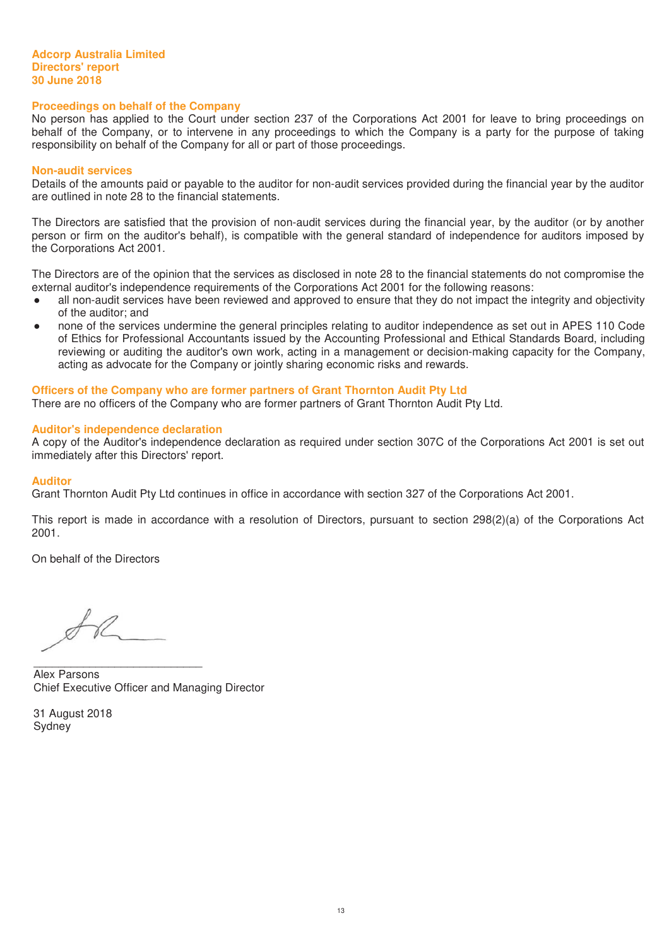# **Proceedings on behalf of the Company**

No person has applied to the Court under section 237 of the Corporations Act 2001 for leave to bring proceedings on behalf of the Company, or to intervene in any proceedings to which the Company is a party for the purpose of taking responsibility on behalf of the Company for all or part of those proceedings.

#### **Non-audit services**

Details of the amounts paid or payable to the auditor for non-audit services provided during the financial year by the auditor are outlined in note 28 to the financial statements.

The Directors are satisfied that the provision of non-audit services during the financial year, by the auditor (or by another person or firm on the auditor's behalf), is compatible with the general standard of independence for auditors imposed by the Corporations Act 2001.

The Directors are of the opinion that the services as disclosed in note 28 to the financial statements do not compromise the external auditor's independence requirements of the Corporations Act 2001 for the following reasons:

- all non-audit services have been reviewed and approved to ensure that they do not impact the integrity and objectivity of the auditor; and
- none of the services undermine the general principles relating to auditor independence as set out in APES 110 Code of Ethics for Professional Accountants issued by the Accounting Professional and Ethical Standards Board, including reviewing or auditing the auditor's own work, acting in a management or decision-making capacity for the Company, acting as advocate for the Company or jointly sharing economic risks and rewards.

# **Officers of the Company who are former partners of Grant Thornton Audit Pty Ltd**

There are no officers of the Company who are former partners of Grant Thornton Audit Pty Ltd.

# **Auditor's independence declaration**

A copy of the Auditor's independence declaration as required under section 307C of the Corporations Act 2001 is set out immediately after this Directors' report.

#### **Auditor**

Grant Thornton Audit Pty Ltd continues in office in accordance with section 327 of the Corporations Act 2001.

This report is made in accordance with a resolution of Directors, pursuant to section 298(2)(a) of the Corporations Act 2001.

On behalf of the Directors

 $\overline{\phantom{a}}$  , and the set of the set of the set of the set of the set of the set of the set of the set of the set of the set of the set of the set of the set of the set of the set of the set of the set of the set of the s

Alex Parsons Chief Executive Officer and Managing Director

31 August 2018 **Sydney**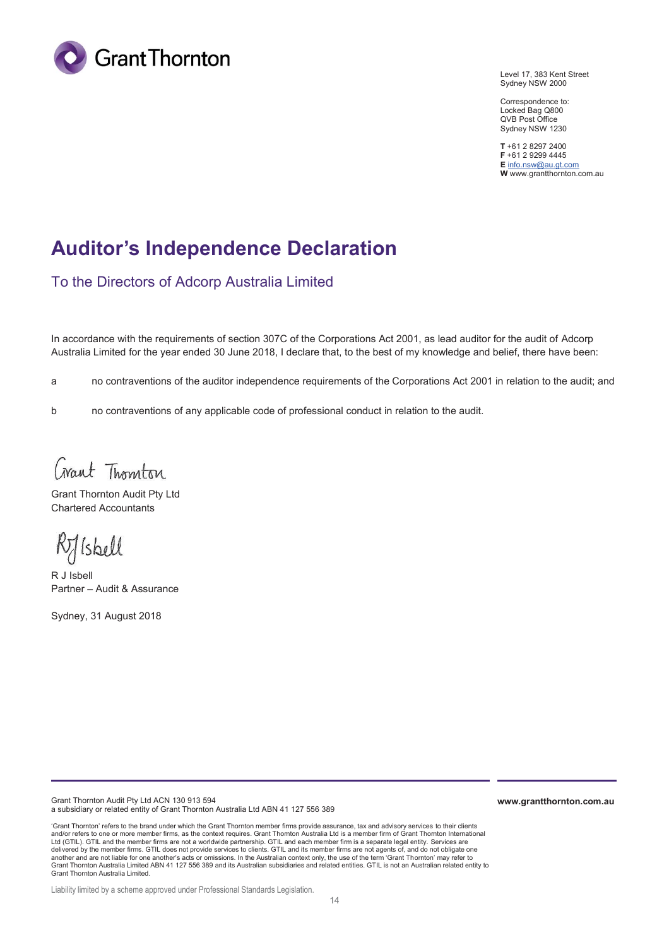

Level 17, 383 Kent Street Sydney NSW 2000

Correspondence to: Locked Bag Q800 QVB Post Office Sydney NSW 1230

**T** +61 2 8297 2400 **F** +61 2 9299 4445 **E** info.nsw@au.gt.com **W** www.grantthornton.com.au

# **Auditor's Independence Declaration**

To the Directors of Adcorp Australia Limited

In accordance with the requirements of section 307C of the Corporations Act 2001, as lead auditor for the audit of Adcorp Australia Limited for the year ended 30 June 2018, I declare that, to the best of my knowledge and belief, there have been:

a no contraventions of the auditor independence requirements of the Corporations Act 2001 in relation to the audit; and

b no contraventions of any applicable code of professional conduct in relation to the audit.

Crant Thomton

Grant Thornton Audit Pty Ltd Chartered Accountants

Rylsbell

R J Isbell Partner – Audit & Assurance

Sydney, 31 August 2018

Grant Thornton Audit Pty Ltd ACN 130 913 594 a subsidiary or related entity of Grant Thornton Australia Ltd ABN 41 127 556 389

'Grant Thornton' refers to the brand under which the Grant Thornton member firms provide assurance, tax and advisory services to their clients and/or refers to one or more member firms, as the context requires. Grant Thornton Australia Ltd is a member firm of Grant Thornton International Ltd (GTIL). GTIL and the member firms are not a worldwide partnership. GTIL and each member firm is a separate legal entity. Services are<br>delivered by the member firms. GTIL does not provide services to clients. GTIL and i another and are not liable for one another's acts or omissions. In the Australian context only, the use of the term 'Grant Thomton' may refer to<br>Grant Thornton Australia Limited ABN 41 127 556 389 and its Australian subsid Grant Thornton Australia Limited.

Liability limited by a scheme approved under Professional Standards Legislation.

**www.grantthornton.com.au**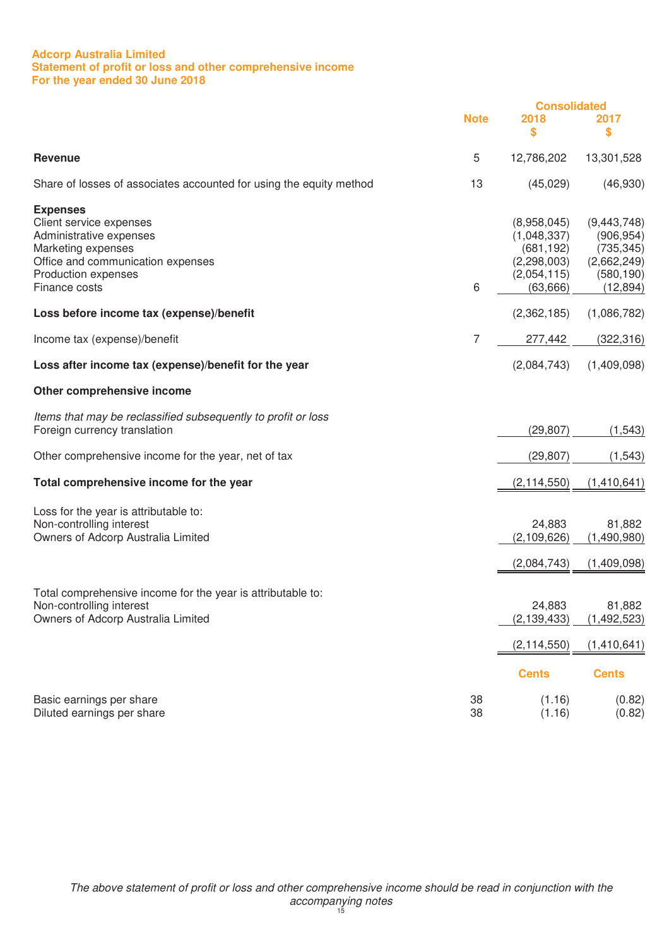# **Adcorp Australia Limited Statement of profit or loss and other comprehensive income For the year ended 30 June 2018**

|                                                                                                                                                                                                                      |             | <b>Consolidated</b>                                                                                  |                                                                                                  |
|----------------------------------------------------------------------------------------------------------------------------------------------------------------------------------------------------------------------|-------------|------------------------------------------------------------------------------------------------------|--------------------------------------------------------------------------------------------------|
|                                                                                                                                                                                                                      | <b>Note</b> | 2018<br>\$                                                                                           | 2017<br>\$                                                                                       |
| <b>Revenue</b>                                                                                                                                                                                                       | 5           | 12,786,202                                                                                           | 13,301,528                                                                                       |
| Share of losses of associates accounted for using the equity method                                                                                                                                                  | 13          | (45,029)                                                                                             | (46,930)                                                                                         |
| <b>Expenses</b><br>Client service expenses<br>Administrative expenses<br>Marketing expenses<br>Office and communication expenses<br>Production expenses<br>Finance costs<br>Loss before income tax (expense)/benefit | 6           | (8,958,045)<br>(1,048,337)<br>(681, 192)<br>(2, 298, 003)<br>(2,054,115)<br>(63, 666)<br>(2,362,185) | (9,443,748)<br>(906, 954)<br>(735, 345)<br>(2,662,249)<br>(580, 190)<br>(12, 894)<br>(1,086,782) |
| Income tax (expense)/benefit                                                                                                                                                                                         | 7           | 277,442                                                                                              | (322, 316)                                                                                       |
| Loss after income tax (expense)/benefit for the year                                                                                                                                                                 |             | (2,084,743)                                                                                          | (1,409,098)                                                                                      |
| Other comprehensive income                                                                                                                                                                                           |             |                                                                                                      |                                                                                                  |
| Items that may be reclassified subsequently to profit or loss<br>Foreign currency translation                                                                                                                        |             | (29, 807)                                                                                            | (1, 543)                                                                                         |
| Other comprehensive income for the year, net of tax                                                                                                                                                                  |             | (29, 807)                                                                                            | (1, 543)                                                                                         |
| Total comprehensive income for the year                                                                                                                                                                              |             | (2, 114, 550)                                                                                        | (1,410,641)                                                                                      |
| Loss for the year is attributable to:<br>Non-controlling interest<br>Owners of Adcorp Australia Limited                                                                                                              |             | 24,883<br>(2,109,626)<br>(2,084,743)                                                                 | 81,882<br>(1,490,980)<br>(1,409,098)                                                             |
| Total comprehensive income for the year is attributable to:<br>Non-controlling interest<br>Owners of Adcorp Australia Limited                                                                                        |             | 24,883<br>(2, 139, 433)<br>(2, 114, 550)                                                             | 81,882<br>(1, 492, 523)<br>(1,410,641)                                                           |
|                                                                                                                                                                                                                      |             | <b>Cents</b>                                                                                         | <b>Cents</b>                                                                                     |
| Basic earnings per share<br>Diluted earnings per share                                                                                                                                                               | 38<br>38    | (1.16)<br>(1.16)                                                                                     | (0.82)<br>(0.82)                                                                                 |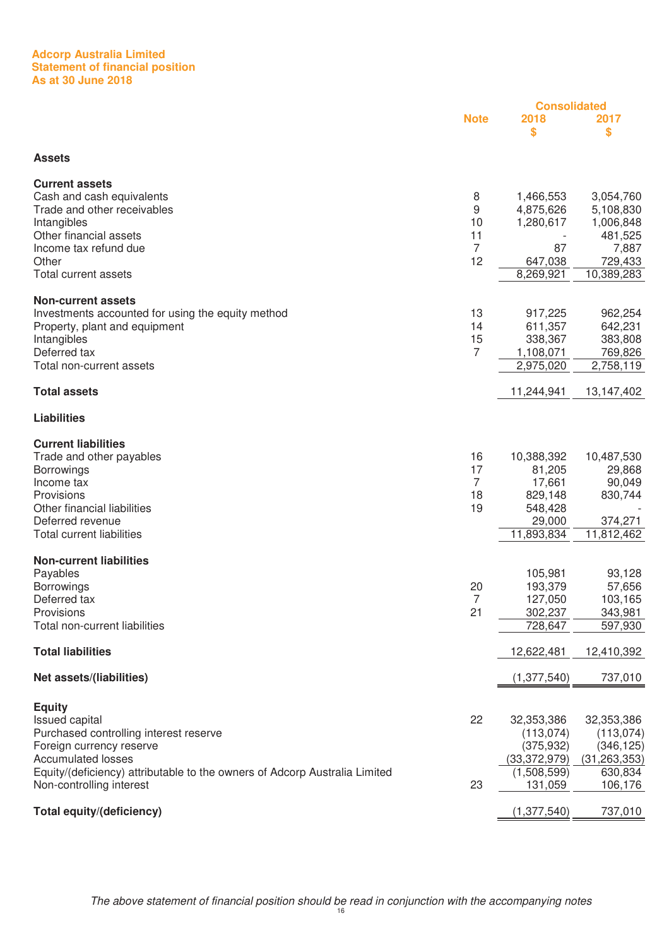# **Adcorp Australia Limited Statement of financial position As at 30 June 2018**

|                                                                            |                | <b>Consolidated</b> |                |
|----------------------------------------------------------------------------|----------------|---------------------|----------------|
|                                                                            | <b>Note</b>    | 2018                | 2017           |
|                                                                            |                | \$                  | \$             |
| <b>Assets</b>                                                              |                |                     |                |
| <b>Current assets</b>                                                      |                |                     |                |
| Cash and cash equivalents                                                  | 8              | 1,466,553           | 3,054,760      |
| Trade and other receivables                                                | 9              | 4,875,626           | 5,108,830      |
| Intangibles                                                                | 10             | 1,280,617           | 1,006,848      |
| Other financial assets                                                     | 11             |                     | 481,525        |
| Income tax refund due                                                      | $\overline{7}$ | 87                  | 7,887          |
| Other                                                                      | 12             | 647,038             | 729,433        |
| <b>Total current assets</b>                                                |                | 8,269,921           | 10,389,283     |
| <b>Non-current assets</b>                                                  |                |                     |                |
| Investments accounted for using the equity method                          | 13             | 917,225             | 962,254        |
| Property, plant and equipment                                              | 14             | 611,357             | 642,231        |
| Intangibles                                                                | 15             | 338,367             | 383,808        |
| Deferred tax                                                               | 7              | 1,108,071           | 769,826        |
| Total non-current assets                                                   |                | 2,975,020           | 2,758,119      |
| <b>Total assets</b>                                                        |                | 11,244,941          | 13,147,402     |
| <b>Liabilities</b>                                                         |                |                     |                |
|                                                                            |                |                     |                |
| <b>Current liabilities</b>                                                 |                |                     |                |
| Trade and other payables                                                   | 16             | 10,388,392          | 10,487,530     |
| <b>Borrowings</b>                                                          | 17             | 81,205              | 29,868         |
| Income tax                                                                 | 7              | 17,661              | 90,049         |
| Provisions                                                                 | 18             | 829,148             | 830,744        |
| Other financial liabilities                                                | 19             | 548,428             |                |
| Deferred revenue                                                           |                | 29,000              | 374,271        |
| <b>Total current liabilities</b>                                           |                | 11,893,834          | 11,812,462     |
| <b>Non-current liabilities</b>                                             |                |                     |                |
| Payables                                                                   |                | 105,981             | 93,128         |
| Borrowings                                                                 | 20             | 193,379             | 57,656         |
| Deferred tax                                                               | 7              | 127,050             | 103,165        |
| Provisions                                                                 | 21             | 302,237             | 343,981        |
| Total non-current liabilities                                              |                | 728,647             | 597,930        |
| <b>Total liabilities</b>                                                   |                | 12,622,481          | 12,410,392     |
| Net assets/(liabilities)                                                   |                | (1, 377, 540)       | 737,010        |
|                                                                            |                |                     |                |
| <b>Equity</b><br>Issued capital                                            | 22             | 32,353,386          | 32,353,386     |
| Purchased controlling interest reserve                                     |                | (113, 074)          | (113, 074)     |
| Foreign currency reserve                                                   |                | (375, 932)          | (346, 125)     |
| <b>Accumulated losses</b>                                                  |                | (33,372,979)        | (31, 263, 353) |
| Equity/(deficiency) attributable to the owners of Adcorp Australia Limited |                | (1,508,599)         | 630,834        |
| Non-controlling interest                                                   | 23             | 131,059             | 106,176        |
|                                                                            |                |                     |                |
| Total equity/(deficiency)                                                  |                | (1, 377, 540)       | 737,010        |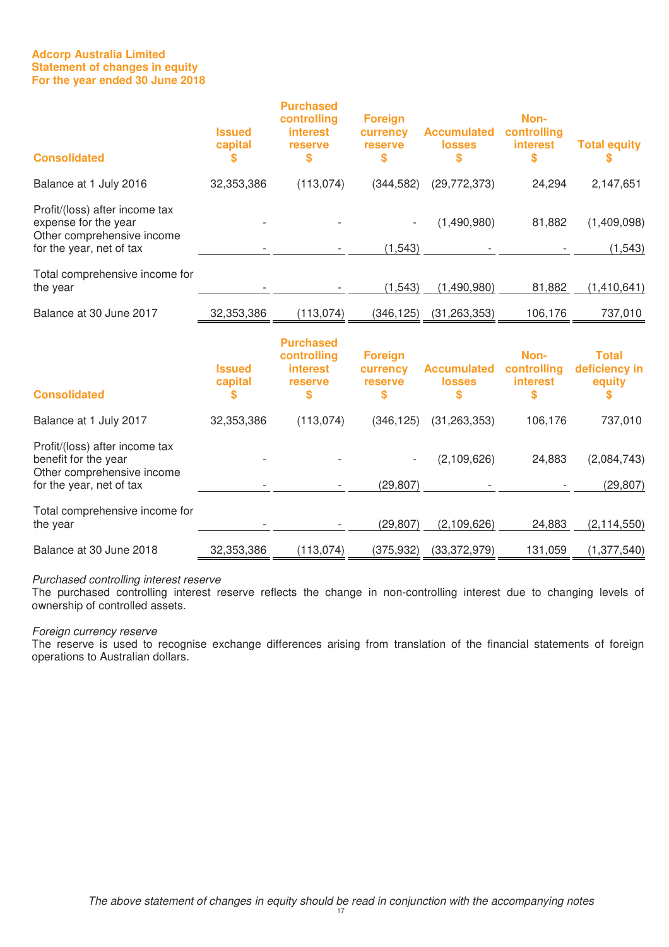# **Adcorp Australia Limited Statement of changes in equity For the year ended 30 June 2018**

| <b>Consolidated</b>                                                                                              | <b>Issued</b><br>capital<br>S | <b>Purchased</b><br>controlling<br><i>interest</i><br>reserve<br>\$ | <b>Foreign</b><br>currency<br>reserve<br>\$ | <b>Accumulated</b><br><b>losses</b><br>\$ | Non-<br>controlling<br><b>interest</b><br>S | <b>Total equity</b>                          |
|------------------------------------------------------------------------------------------------------------------|-------------------------------|---------------------------------------------------------------------|---------------------------------------------|-------------------------------------------|---------------------------------------------|----------------------------------------------|
| Balance at 1 July 2016                                                                                           | 32,353,386                    | (113, 074)                                                          | (344, 582)                                  | (29, 772, 373)                            | 24,294                                      | 2,147,651                                    |
| Profit/(loss) after income tax<br>expense for the year<br>Other comprehensive income<br>for the year, net of tax |                               |                                                                     | (1, 543)                                    | (1,490,980)                               | 81,882                                      | (1,409,098)<br>(1, 543)                      |
| Total comprehensive income for<br>the year                                                                       |                               |                                                                     | (1, 543)                                    | (1,490,980)                               | 81,882                                      | (1,410,641)                                  |
| Balance at 30 June 2017                                                                                          | 32,353,386                    | (113, 074)                                                          | (346, 125)                                  | (31, 263, 353)                            | 106,176                                     | 737,010                                      |
|                                                                                                                  |                               |                                                                     |                                             |                                           |                                             |                                              |
| <b>Consolidated</b>                                                                                              | <b>Issued</b><br>capital<br>S | <b>Purchased</b><br>controlling<br><b>interest</b><br>reserve<br>\$ | <b>Foreign</b><br>currency<br>reserve<br>S  | <b>Accumulated</b><br><b>losses</b><br>\$ | Non-<br>controlling<br><b>interest</b><br>S | <b>Total</b><br>deficiency in<br>equity<br>S |
| Balance at 1 July 2017                                                                                           | 32,353,386                    | (113, 074)                                                          | (346, 125)                                  | (31, 263, 353)                            | 106,176                                     | 737,010                                      |
| Profit/(loss) after income tax<br>benefit for the year<br>Other comprehensive income<br>for the year, net of tax |                               |                                                                     | (29, 807)                                   | (2,109,626)                               | 24,883                                      | (2,084,743)<br>(29, 807)                     |
| Total comprehensive income for<br>the year                                                                       |                               |                                                                     | (29, 807)                                   | (2, 109, 626)                             | 24,883                                      | (2, 114, 550)                                |

#### Purchased controlling interest reserve

The purchased controlling interest reserve reflects the change in non-controlling interest due to changing levels of ownership of controlled assets.

# Foreign currency reserve

The reserve is used to recognise exchange differences arising from translation of the financial statements of foreign operations to Australian dollars.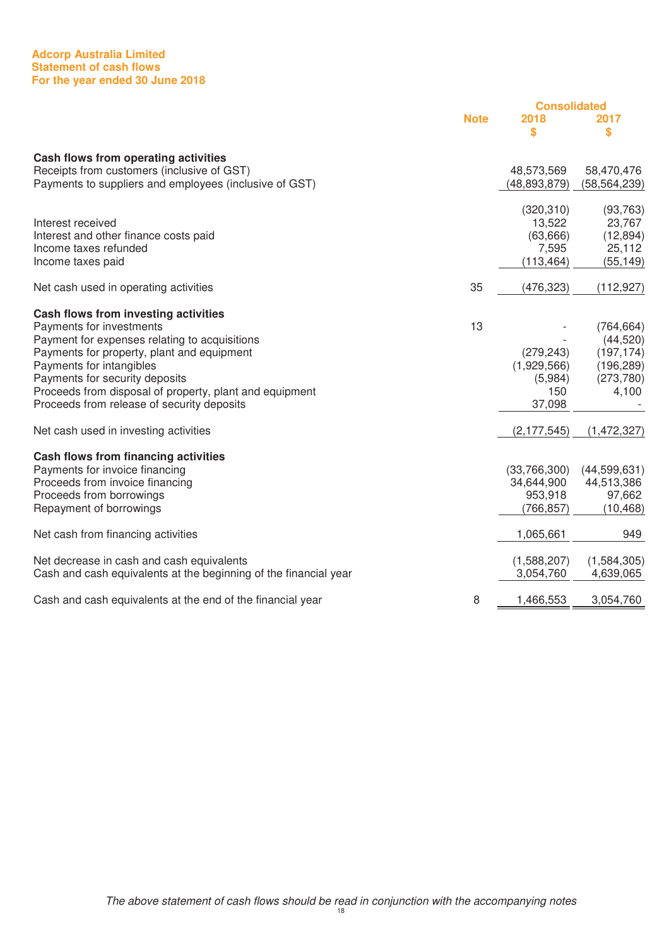#### **Adcorp Australia Limited Statement of cash flows For the year ended 30 June 2018**

|                                                                                             |             | <b>Consolidated</b>   |                         |
|---------------------------------------------------------------------------------------------|-------------|-----------------------|-------------------------|
|                                                                                             | <b>Note</b> | 2018                  | 2017                    |
|                                                                                             |             | \$                    | \$                      |
| Cash flows from operating activities                                                        |             |                       |                         |
| Receipts from customers (inclusive of GST)                                                  |             | 48,573,569            | 58,470,476              |
| Payments to suppliers and employees (inclusive of GST)                                      |             | (48, 893, 879)        | (58, 564, 239)          |
|                                                                                             |             |                       |                         |
|                                                                                             |             | (320, 310)            | (93, 763)               |
| Interest received                                                                           |             | 13,522                | 23,767                  |
| Interest and other finance costs paid<br>Income taxes refunded                              |             | (63, 666)<br>7,595    | (12, 894)<br>25,112     |
| Income taxes paid                                                                           |             | (113, 464)            | (55, 149)               |
|                                                                                             |             |                       |                         |
| Net cash used in operating activities                                                       | 35          | (476, 323)            | (112, 927)              |
|                                                                                             |             |                       |                         |
| Cash flows from investing activities                                                        |             |                       |                         |
| Payments for investments                                                                    | 13          |                       | (764, 664)              |
| Payment for expenses relating to acquisitions<br>Payments for property, plant and equipment |             | (279, 243)            | (44, 520)<br>(197, 174) |
| Payments for intangibles                                                                    |             | (1,929,566)           | (196, 289)              |
| Payments for security deposits                                                              |             | (5,984)               | (273, 780)              |
| Proceeds from disposal of property, plant and equipment                                     |             | 150                   | 4,100                   |
| Proceeds from release of security deposits                                                  |             | 37,098                |                         |
| Net cash used in investing activities                                                       |             | (2, 177, 545)         | (1,472,327)             |
|                                                                                             |             |                       |                         |
| Cash flows from financing activities                                                        |             |                       |                         |
| Payments for invoice financing                                                              |             | (33,766,300)          | (44, 599, 631)          |
| Proceeds from invoice financing<br>Proceeds from borrowings                                 |             | 34,644,900<br>953,918 | 44,513,386<br>97,662    |
| Repayment of borrowings                                                                     |             | (766, 857)            | (10, 468)               |
|                                                                                             |             |                       |                         |
| Net cash from financing activities                                                          |             | 1,065,661             | 949                     |
| Net decrease in cash and cash equivalents                                                   |             | (1,588,207)           | (1,584,305)             |
| Cash and cash equivalents at the beginning of the financial year                            |             | 3,054,760             | 4,639,065               |
| Cash and cash equivalents at the end of the financial year                                  | 8           | 1,466,553             | 3,054,760               |
|                                                                                             |             |                       |                         |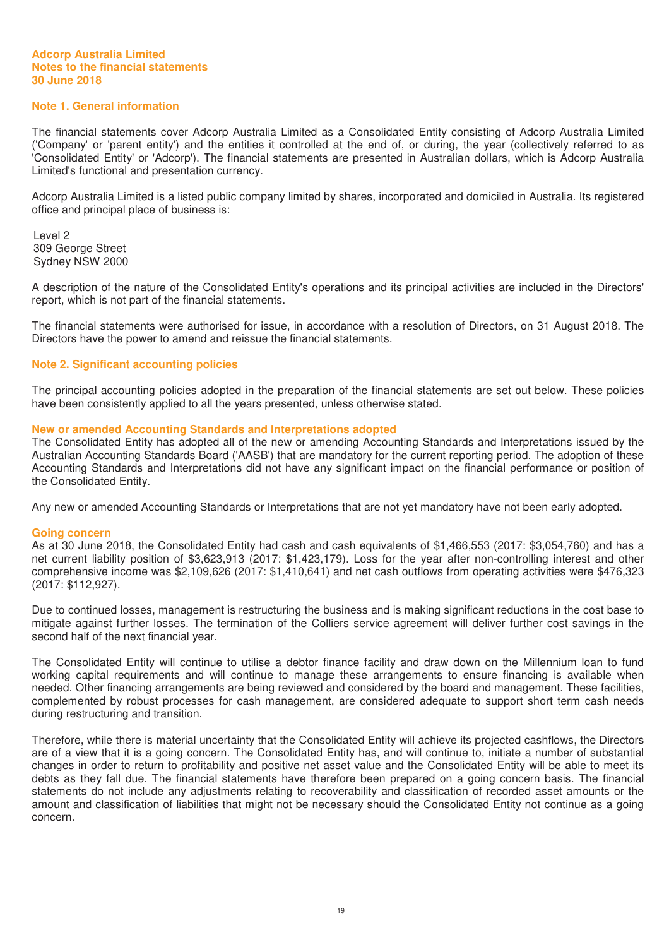# **Note 1. General information**

The financial statements cover Adcorp Australia Limited as a Consolidated Entity consisting of Adcorp Australia Limited ('Company' or 'parent entity') and the entities it controlled at the end of, or during, the year (collectively referred to as 'Consolidated Entity' or 'Adcorp'). The financial statements are presented in Australian dollars, which is Adcorp Australia Limited's functional and presentation currency.

Adcorp Australia Limited is a listed public company limited by shares, incorporated and domiciled in Australia. Its registered office and principal place of business is:

Level 2 309 George Street Sydney NSW 2000

A description of the nature of the Consolidated Entity's operations and its principal activities are included in the Directors' report, which is not part of the financial statements.

The financial statements were authorised for issue, in accordance with a resolution of Directors, on 31 August 2018. The Directors have the power to amend and reissue the financial statements.

# **Note 2. Significant accounting policies**

The principal accounting policies adopted in the preparation of the financial statements are set out below. These policies have been consistently applied to all the years presented, unless otherwise stated.

# **New or amended Accounting Standards and Interpretations adopted**

The Consolidated Entity has adopted all of the new or amending Accounting Standards and Interpretations issued by the Australian Accounting Standards Board ('AASB') that are mandatory for the current reporting period. The adoption of these Accounting Standards and Interpretations did not have any significant impact on the financial performance or position of the Consolidated Entity.

Any new or amended Accounting Standards or Interpretations that are not yet mandatory have not been early adopted.

# **Going concern**

As at 30 June 2018, the Consolidated Entity had cash and cash equivalents of \$1,466,553 (2017: \$3,054,760) and has a net current liability position of \$3,623,913 (2017: \$1,423,179). Loss for the year after non-controlling interest and other comprehensive income was \$2,109,626 (2017: \$1,410,641) and net cash outflows from operating activities were \$476,323 (2017: \$112,927).

Due to continued losses, management is restructuring the business and is making significant reductions in the cost base to mitigate against further losses. The termination of the Colliers service agreement will deliver further cost savings in the second half of the next financial year.

The Consolidated Entity will continue to utilise a debtor finance facility and draw down on the Millennium loan to fund working capital requirements and will continue to manage these arrangements to ensure financing is available when needed. Other financing arrangements are being reviewed and considered by the board and management. These facilities, complemented by robust processes for cash management, are considered adequate to support short term cash needs during restructuring and transition.

Therefore, while there is material uncertainty that the Consolidated Entity will achieve its projected cashflows, the Directors are of a view that it is a going concern. The Consolidated Entity has, and will continue to, initiate a number of substantial changes in order to return to profitability and positive net asset value and the Consolidated Entity will be able to meet its debts as they fall due. The financial statements have therefore been prepared on a going concern basis. The financial statements do not include any adjustments relating to recoverability and classification of recorded asset amounts or the amount and classification of liabilities that might not be necessary should the Consolidated Entity not continue as a going concern.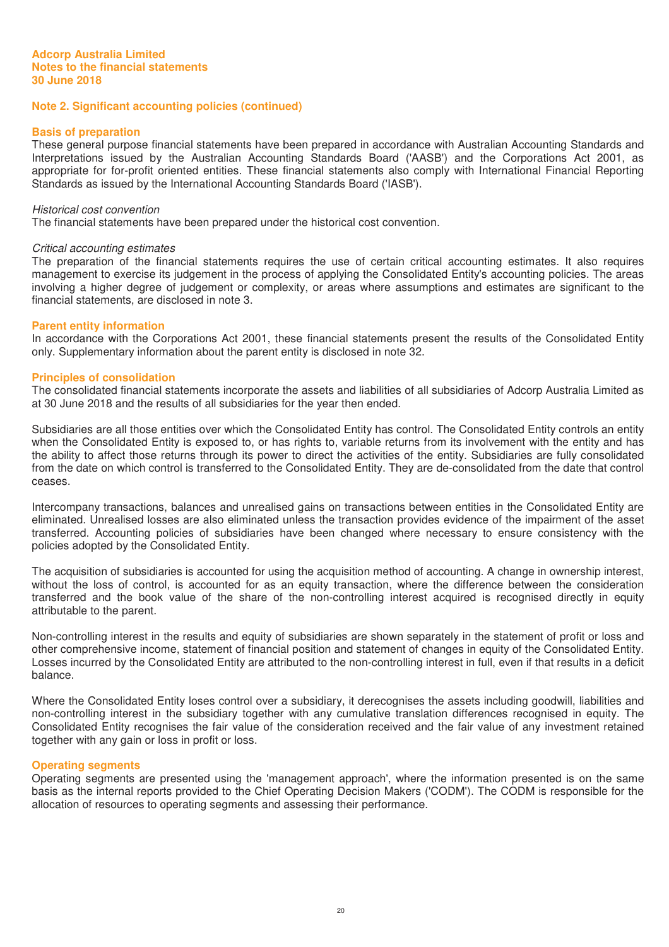#### **Basis of preparation**

These general purpose financial statements have been prepared in accordance with Australian Accounting Standards and Interpretations issued by the Australian Accounting Standards Board ('AASB') and the Corporations Act 2001, as appropriate for for-profit oriented entities. These financial statements also comply with International Financial Reporting Standards as issued by the International Accounting Standards Board ('IASB').

#### Historical cost convention

The financial statements have been prepared under the historical cost convention.

#### Critical accounting estimates

The preparation of the financial statements requires the use of certain critical accounting estimates. It also requires management to exercise its judgement in the process of applying the Consolidated Entity's accounting policies. The areas involving a higher degree of judgement or complexity, or areas where assumptions and estimates are significant to the financial statements, are disclosed in note 3.

#### **Parent entity information**

In accordance with the Corporations Act 2001, these financial statements present the results of the Consolidated Entity only. Supplementary information about the parent entity is disclosed in note 32.

#### **Principles of consolidation**

The consolidated financial statements incorporate the assets and liabilities of all subsidiaries of Adcorp Australia Limited as at 30 June 2018 and the results of all subsidiaries for the year then ended.

Subsidiaries are all those entities over which the Consolidated Entity has control. The Consolidated Entity controls an entity when the Consolidated Entity is exposed to, or has rights to, variable returns from its involvement with the entity and has the ability to affect those returns through its power to direct the activities of the entity. Subsidiaries are fully consolidated from the date on which control is transferred to the Consolidated Entity. They are de-consolidated from the date that control ceases.

Intercompany transactions, balances and unrealised gains on transactions between entities in the Consolidated Entity are eliminated. Unrealised losses are also eliminated unless the transaction provides evidence of the impairment of the asset transferred. Accounting policies of subsidiaries have been changed where necessary to ensure consistency with the policies adopted by the Consolidated Entity.

The acquisition of subsidiaries is accounted for using the acquisition method of accounting. A change in ownership interest, without the loss of control, is accounted for as an equity transaction, where the difference between the consideration transferred and the book value of the share of the non-controlling interest acquired is recognised directly in equity attributable to the parent.

Non-controlling interest in the results and equity of subsidiaries are shown separately in the statement of profit or loss and other comprehensive income, statement of financial position and statement of changes in equity of the Consolidated Entity. Losses incurred by the Consolidated Entity are attributed to the non-controlling interest in full, even if that results in a deficit balance.

Where the Consolidated Entity loses control over a subsidiary, it derecognises the assets including goodwill, liabilities and non-controlling interest in the subsidiary together with any cumulative translation differences recognised in equity. The Consolidated Entity recognises the fair value of the consideration received and the fair value of any investment retained together with any gain or loss in profit or loss.

#### **Operating segments**

Operating segments are presented using the 'management approach', where the information presented is on the same basis as the internal reports provided to the Chief Operating Decision Makers ('CODM'). The CODM is responsible for the allocation of resources to operating segments and assessing their performance.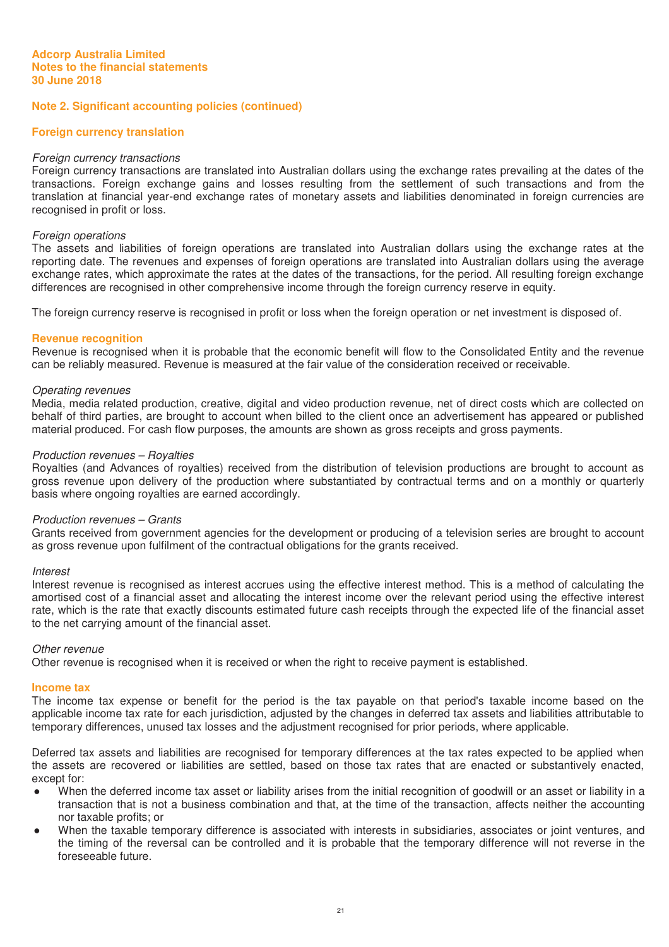# **Foreign currency translation**

#### Foreign currency transactions

Foreign currency transactions are translated into Australian dollars using the exchange rates prevailing at the dates of the transactions. Foreign exchange gains and losses resulting from the settlement of such transactions and from the translation at financial year-end exchange rates of monetary assets and liabilities denominated in foreign currencies are recognised in profit or loss.

#### Foreign operations

The assets and liabilities of foreign operations are translated into Australian dollars using the exchange rates at the reporting date. The revenues and expenses of foreign operations are translated into Australian dollars using the average exchange rates, which approximate the rates at the dates of the transactions, for the period. All resulting foreign exchange differences are recognised in other comprehensive income through the foreign currency reserve in equity.

The foreign currency reserve is recognised in profit or loss when the foreign operation or net investment is disposed of.

# **Revenue recognition**

Revenue is recognised when it is probable that the economic benefit will flow to the Consolidated Entity and the revenue can be reliably measured. Revenue is measured at the fair value of the consideration received or receivable.

#### Operating revenues

Media, media related production, creative, digital and video production revenue, net of direct costs which are collected on behalf of third parties, are brought to account when billed to the client once an advertisement has appeared or published material produced. For cash flow purposes, the amounts are shown as gross receipts and gross payments.

# Production revenues – Royalties

Royalties (and Advances of royalties) received from the distribution of television productions are brought to account as gross revenue upon delivery of the production where substantiated by contractual terms and on a monthly or quarterly basis where ongoing royalties are earned accordingly.

# Production revenues – Grants

Grants received from government agencies for the development or producing of a television series are brought to account as gross revenue upon fulfilment of the contractual obligations for the grants received.

#### Interest

Interest revenue is recognised as interest accrues using the effective interest method. This is a method of calculating the amortised cost of a financial asset and allocating the interest income over the relevant period using the effective interest rate, which is the rate that exactly discounts estimated future cash receipts through the expected life of the financial asset to the net carrying amount of the financial asset.

# Other revenue

Other revenue is recognised when it is received or when the right to receive payment is established.

#### **Income tax**

The income tax expense or benefit for the period is the tax payable on that period's taxable income based on the applicable income tax rate for each jurisdiction, adjusted by the changes in deferred tax assets and liabilities attributable to temporary differences, unused tax losses and the adjustment recognised for prior periods, where applicable.

Deferred tax assets and liabilities are recognised for temporary differences at the tax rates expected to be applied when the assets are recovered or liabilities are settled, based on those tax rates that are enacted or substantively enacted, except for:

- When the deferred income tax asset or liability arises from the initial recognition of goodwill or an asset or liability in a transaction that is not a business combination and that, at the time of the transaction, affects neither the accounting nor taxable profits; or
- When the taxable temporary difference is associated with interests in subsidiaries, associates or joint ventures, and the timing of the reversal can be controlled and it is probable that the temporary difference will not reverse in the foreseeable future.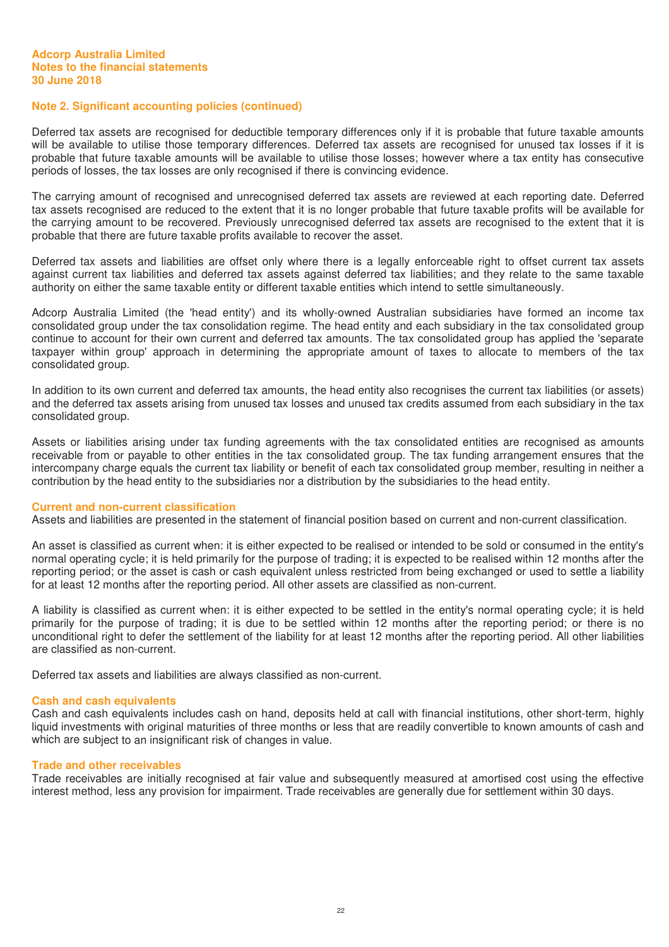Deferred tax assets are recognised for deductible temporary differences only if it is probable that future taxable amounts will be available to utilise those temporary differences. Deferred tax assets are recognised for unused tax losses if it is probable that future taxable amounts will be available to utilise those losses; however where a tax entity has consecutive periods of losses, the tax losses are only recognised if there is convincing evidence.

The carrying amount of recognised and unrecognised deferred tax assets are reviewed at each reporting date. Deferred tax assets recognised are reduced to the extent that it is no longer probable that future taxable profits will be available for the carrying amount to be recovered. Previously unrecognised deferred tax assets are recognised to the extent that it is probable that there are future taxable profits available to recover the asset.

Deferred tax assets and liabilities are offset only where there is a legally enforceable right to offset current tax assets against current tax liabilities and deferred tax assets against deferred tax liabilities; and they relate to the same taxable authority on either the same taxable entity or different taxable entities which intend to settle simultaneously.

Adcorp Australia Limited (the 'head entity') and its wholly-owned Australian subsidiaries have formed an income tax consolidated group under the tax consolidation regime. The head entity and each subsidiary in the tax consolidated group continue to account for their own current and deferred tax amounts. The tax consolidated group has applied the 'separate taxpayer within group' approach in determining the appropriate amount of taxes to allocate to members of the tax consolidated group.

In addition to its own current and deferred tax amounts, the head entity also recognises the current tax liabilities (or assets) and the deferred tax assets arising from unused tax losses and unused tax credits assumed from each subsidiary in the tax consolidated group.

Assets or liabilities arising under tax funding agreements with the tax consolidated entities are recognised as amounts receivable from or payable to other entities in the tax consolidated group. The tax funding arrangement ensures that the intercompany charge equals the current tax liability or benefit of each tax consolidated group member, resulting in neither a contribution by the head entity to the subsidiaries nor a distribution by the subsidiaries to the head entity.

# **Current and non-current classification**

Assets and liabilities are presented in the statement of financial position based on current and non-current classification.

An asset is classified as current when: it is either expected to be realised or intended to be sold or consumed in the entity's normal operating cycle; it is held primarily for the purpose of trading; it is expected to be realised within 12 months after the reporting period; or the asset is cash or cash equivalent unless restricted from being exchanged or used to settle a liability for at least 12 months after the reporting period. All other assets are classified as non-current.

A liability is classified as current when: it is either expected to be settled in the entity's normal operating cycle; it is held primarily for the purpose of trading; it is due to be settled within 12 months after the reporting period; or there is no unconditional right to defer the settlement of the liability for at least 12 months after the reporting period. All other liabilities are classified as non-current.

Deferred tax assets and liabilities are always classified as non-current.

# **Cash and cash equivalents**

Cash and cash equivalents includes cash on hand, deposits held at call with financial institutions, other short-term, highly liquid investments with original maturities of three months or less that are readily convertible to known amounts of cash and which are subject to an insignificant risk of changes in value.

# **Trade and other receivables**

Trade receivables are initially recognised at fair value and subsequently measured at amortised cost using the effective interest method, less any provision for impairment. Trade receivables are generally due for settlement within 30 days.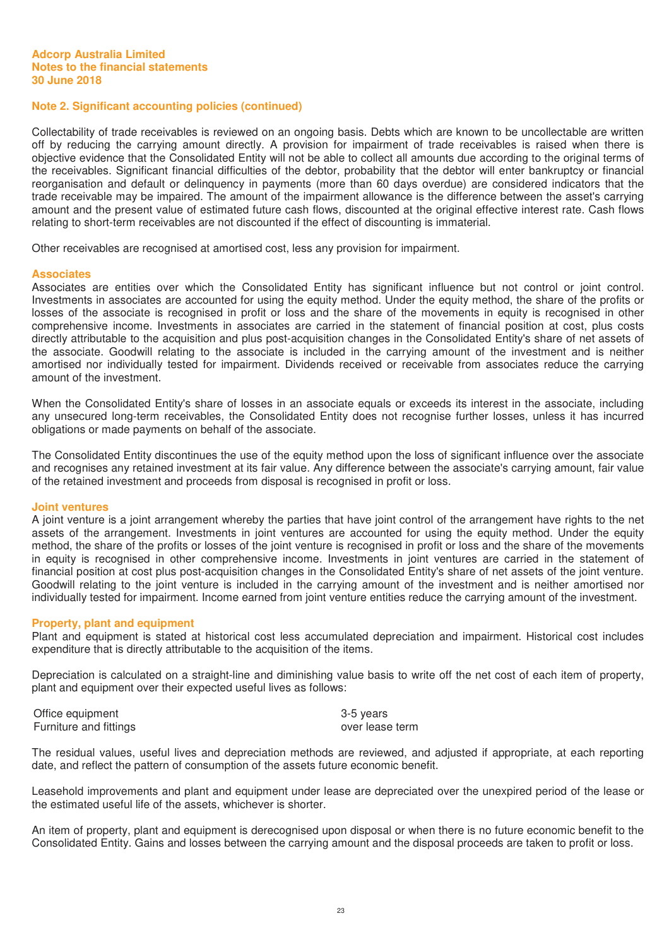# **Note 2. Significant accounting policies (continued)**

Collectability of trade receivables is reviewed on an ongoing basis. Debts which are known to be uncollectable are written off by reducing the carrying amount directly. A provision for impairment of trade receivables is raised when there is objective evidence that the Consolidated Entity will not be able to collect all amounts due according to the original terms of the receivables. Significant financial difficulties of the debtor, probability that the debtor will enter bankruptcy or financial reorganisation and default or delinquency in payments (more than 60 days overdue) are considered indicators that the trade receivable may be impaired. The amount of the impairment allowance is the difference between the asset's carrying amount and the present value of estimated future cash flows, discounted at the original effective interest rate. Cash flows relating to short-term receivables are not discounted if the effect of discounting is immaterial.

Other receivables are recognised at amortised cost, less any provision for impairment.

#### **Associates**

Associates are entities over which the Consolidated Entity has significant influence but not control or joint control. Investments in associates are accounted for using the equity method. Under the equity method, the share of the profits or losses of the associate is recognised in profit or loss and the share of the movements in equity is recognised in other comprehensive income. Investments in associates are carried in the statement of financial position at cost, plus costs directly attributable to the acquisition and plus post-acquisition changes in the Consolidated Entity's share of net assets of the associate. Goodwill relating to the associate is included in the carrying amount of the investment and is neither amortised nor individually tested for impairment. Dividends received or receivable from associates reduce the carrying amount of the investment.

When the Consolidated Entity's share of losses in an associate equals or exceeds its interest in the associate, including any unsecured long-term receivables, the Consolidated Entity does not recognise further losses, unless it has incurred obligations or made payments on behalf of the associate.

The Consolidated Entity discontinues the use of the equity method upon the loss of significant influence over the associate and recognises any retained investment at its fair value. Any difference between the associate's carrying amount, fair value of the retained investment and proceeds from disposal is recognised in profit or loss.

#### **Joint ventures**

A joint venture is a joint arrangement whereby the parties that have joint control of the arrangement have rights to the net assets of the arrangement. Investments in joint ventures are accounted for using the equity method. Under the equity method, the share of the profits or losses of the joint venture is recognised in profit or loss and the share of the movements in equity is recognised in other comprehensive income. Investments in joint ventures are carried in the statement of financial position at cost plus post-acquisition changes in the Consolidated Entity's share of net assets of the joint venture. Goodwill relating to the joint venture is included in the carrying amount of the investment and is neither amortised nor individually tested for impairment. Income earned from joint venture entities reduce the carrying amount of the investment.

# **Property, plant and equipment**

Plant and equipment is stated at historical cost less accumulated depreciation and impairment. Historical cost includes expenditure that is directly attributable to the acquisition of the items.

Depreciation is calculated on a straight-line and diminishing value basis to write off the net cost of each item of property, plant and equipment over their expected useful lives as follows:

Office equipment 3-5 years Furniture and fittings and  $\overline{\phantom{a}}$  and  $\overline{\phantom{a}}$  and  $\overline{\phantom{a}}$  and  $\overline{\phantom{a}}$  and  $\overline{\phantom{a}}$  and  $\overline{\phantom{a}}$  and  $\overline{\phantom{a}}$  and  $\overline{\phantom{a}}$  and  $\overline{\phantom{a}}$  and  $\overline{\phantom{a}}$  and  $\overline{\phantom{a}}$  and  $\overline{\phantom{a}}$  and  $\over$ 

The residual values, useful lives and depreciation methods are reviewed, and adjusted if appropriate, at each reporting date, and reflect the pattern of consumption of the assets future economic benefit.

Leasehold improvements and plant and equipment under lease are depreciated over the unexpired period of the lease or the estimated useful life of the assets, whichever is shorter.

An item of property, plant and equipment is derecognised upon disposal or when there is no future economic benefit to the Consolidated Entity. Gains and losses between the carrying amount and the disposal proceeds are taken to profit or loss.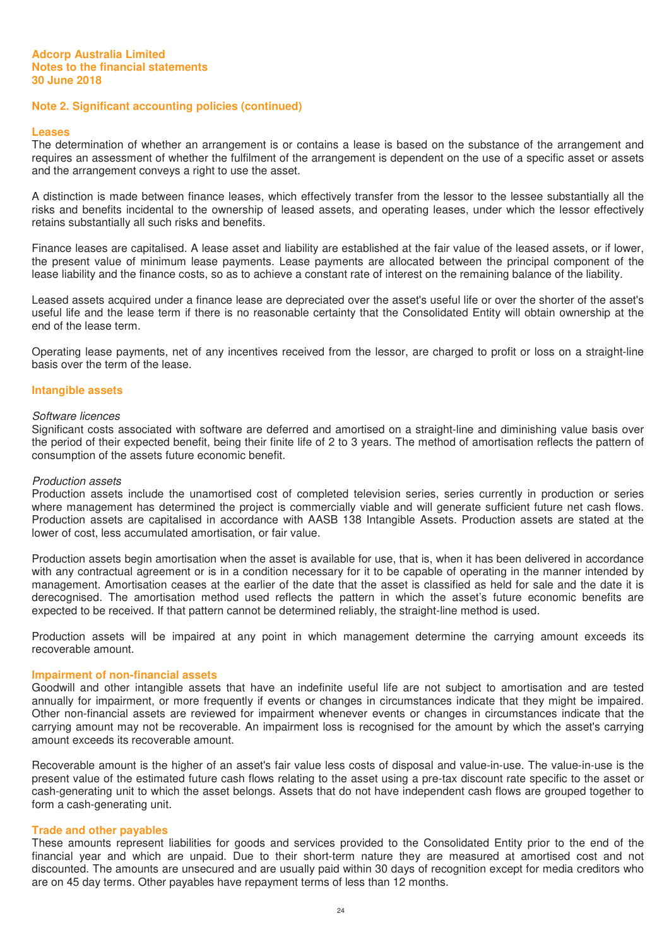#### **Leases**

The determination of whether an arrangement is or contains a lease is based on the substance of the arrangement and requires an assessment of whether the fulfilment of the arrangement is dependent on the use of a specific asset or assets and the arrangement conveys a right to use the asset.

A distinction is made between finance leases, which effectively transfer from the lessor to the lessee substantially all the risks and benefits incidental to the ownership of leased assets, and operating leases, under which the lessor effectively retains substantially all such risks and benefits.

Finance leases are capitalised. A lease asset and liability are established at the fair value of the leased assets, or if lower, the present value of minimum lease payments. Lease payments are allocated between the principal component of the lease liability and the finance costs, so as to achieve a constant rate of interest on the remaining balance of the liability.

Leased assets acquired under a finance lease are depreciated over the asset's useful life or over the shorter of the asset's useful life and the lease term if there is no reasonable certainty that the Consolidated Entity will obtain ownership at the end of the lease term.

Operating lease payments, net of any incentives received from the lessor, are charged to profit or loss on a straight-line basis over the term of the lease.

#### **Intangible assets**

#### Software licences

Significant costs associated with software are deferred and amortised on a straight-line and diminishing value basis over the period of their expected benefit, being their finite life of 2 to 3 years. The method of amortisation reflects the pattern of consumption of the assets future economic benefit.

#### Production assets

Production assets include the unamortised cost of completed television series, series currently in production or series where management has determined the project is commercially viable and will generate sufficient future net cash flows. Production assets are capitalised in accordance with AASB 138 Intangible Assets. Production assets are stated at the lower of cost, less accumulated amortisation, or fair value.

Production assets begin amortisation when the asset is available for use, that is, when it has been delivered in accordance with any contractual agreement or is in a condition necessary for it to be capable of operating in the manner intended by management. Amortisation ceases at the earlier of the date that the asset is classified as held for sale and the date it is derecognised. The amortisation method used reflects the pattern in which the asset's future economic benefits are expected to be received. If that pattern cannot be determined reliably, the straight-line method is used.

Production assets will be impaired at any point in which management determine the carrying amount exceeds its recoverable amount.

#### **Impairment of non-financial assets**

Goodwill and other intangible assets that have an indefinite useful life are not subject to amortisation and are tested annually for impairment, or more frequently if events or changes in circumstances indicate that they might be impaired. Other non-financial assets are reviewed for impairment whenever events or changes in circumstances indicate that the carrying amount may not be recoverable. An impairment loss is recognised for the amount by which the asset's carrying amount exceeds its recoverable amount.

Recoverable amount is the higher of an asset's fair value less costs of disposal and value-in-use. The value-in-use is the present value of the estimated future cash flows relating to the asset using a pre-tax discount rate specific to the asset or cash-generating unit to which the asset belongs. Assets that do not have independent cash flows are grouped together to form a cash-generating unit.

#### **Trade and other payables**

These amounts represent liabilities for goods and services provided to the Consolidated Entity prior to the end of the financial year and which are unpaid. Due to their short-term nature they are measured at amortised cost and not discounted. The amounts are unsecured and are usually paid within 30 days of recognition except for media creditors who are on 45 day terms. Other payables have repayment terms of less than 12 months.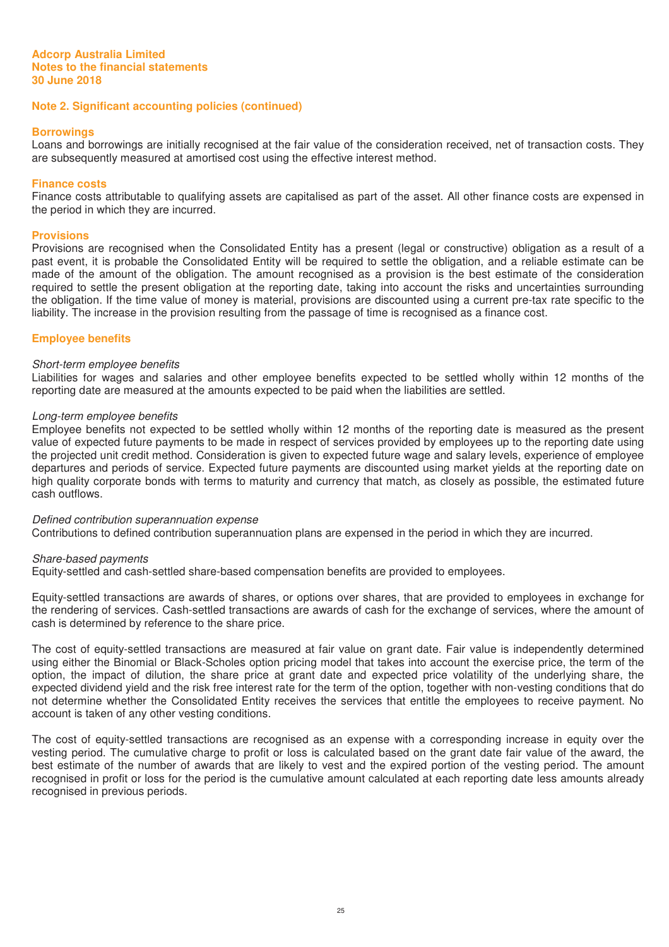#### **Borrowings**

Loans and borrowings are initially recognised at the fair value of the consideration received, net of transaction costs. They are subsequently measured at amortised cost using the effective interest method.

#### **Finance costs**

Finance costs attributable to qualifying assets are capitalised as part of the asset. All other finance costs are expensed in the period in which they are incurred.

#### **Provisions**

Provisions are recognised when the Consolidated Entity has a present (legal or constructive) obligation as a result of a past event, it is probable the Consolidated Entity will be required to settle the obligation, and a reliable estimate can be made of the amount of the obligation. The amount recognised as a provision is the best estimate of the consideration required to settle the present obligation at the reporting date, taking into account the risks and uncertainties surrounding the obligation. If the time value of money is material, provisions are discounted using a current pre-tax rate specific to the liability. The increase in the provision resulting from the passage of time is recognised as a finance cost.

# **Employee benefits**

#### Short-term employee benefits

Liabilities for wages and salaries and other employee benefits expected to be settled wholly within 12 months of the reporting date are measured at the amounts expected to be paid when the liabilities are settled.

#### Long-term employee benefits

Employee benefits not expected to be settled wholly within 12 months of the reporting date is measured as the present value of expected future payments to be made in respect of services provided by employees up to the reporting date using the projected unit credit method. Consideration is given to expected future wage and salary levels, experience of employee departures and periods of service. Expected future payments are discounted using market yields at the reporting date on high quality corporate bonds with terms to maturity and currency that match, as closely as possible, the estimated future cash outflows.

#### Defined contribution superannuation expense

Contributions to defined contribution superannuation plans are expensed in the period in which they are incurred.

#### Share-based payments

Equity-settled and cash-settled share-based compensation benefits are provided to employees.

Equity-settled transactions are awards of shares, or options over shares, that are provided to employees in exchange for the rendering of services. Cash-settled transactions are awards of cash for the exchange of services, where the amount of cash is determined by reference to the share price.

The cost of equity-settled transactions are measured at fair value on grant date. Fair value is independently determined using either the Binomial or Black-Scholes option pricing model that takes into account the exercise price, the term of the option, the impact of dilution, the share price at grant date and expected price volatility of the underlying share, the expected dividend yield and the risk free interest rate for the term of the option, together with non-vesting conditions that do not determine whether the Consolidated Entity receives the services that entitle the employees to receive payment. No account is taken of any other vesting conditions.

The cost of equity-settled transactions are recognised as an expense with a corresponding increase in equity over the vesting period. The cumulative charge to profit or loss is calculated based on the grant date fair value of the award, the best estimate of the number of awards that are likely to vest and the expired portion of the vesting period. The amount recognised in profit or loss for the period is the cumulative amount calculated at each reporting date less amounts already recognised in previous periods.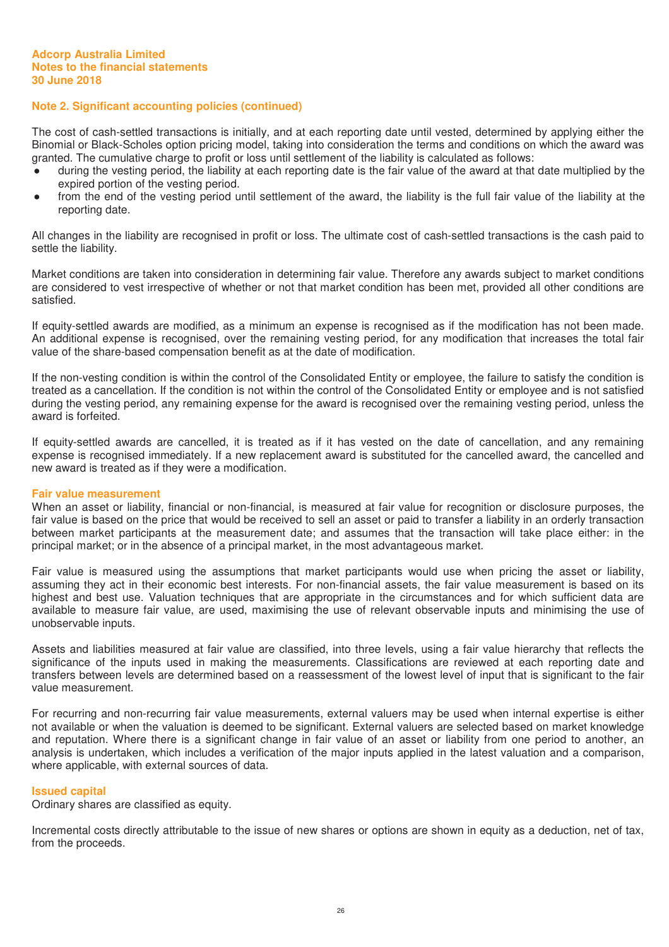# **Note 2. Significant accounting policies (continued)**

The cost of cash-settled transactions is initially, and at each reporting date until vested, determined by applying either the Binomial or Black-Scholes option pricing model, taking into consideration the terms and conditions on which the award was granted. The cumulative charge to profit or loss until settlement of the liability is calculated as follows:

- during the vesting period, the liability at each reporting date is the fair value of the award at that date multiplied by the expired portion of the vesting period.
- from the end of the vesting period until settlement of the award, the liability is the full fair value of the liability at the reporting date.

All changes in the liability are recognised in profit or loss. The ultimate cost of cash-settled transactions is the cash paid to settle the liability.

Market conditions are taken into consideration in determining fair value. Therefore any awards subject to market conditions are considered to vest irrespective of whether or not that market condition has been met, provided all other conditions are satisfied.

If equity-settled awards are modified, as a minimum an expense is recognised as if the modification has not been made. An additional expense is recognised, over the remaining vesting period, for any modification that increases the total fair value of the share-based compensation benefit as at the date of modification.

If the non-vesting condition is within the control of the Consolidated Entity or employee, the failure to satisfy the condition is treated as a cancellation. If the condition is not within the control of the Consolidated Entity or employee and is not satisfied during the vesting period, any remaining expense for the award is recognised over the remaining vesting period, unless the award is forfeited.

If equity-settled awards are cancelled, it is treated as if it has vested on the date of cancellation, and any remaining expense is recognised immediately. If a new replacement award is substituted for the cancelled award, the cancelled and new award is treated as if they were a modification.

# **Fair value measurement**

When an asset or liability, financial or non-financial, is measured at fair value for recognition or disclosure purposes, the fair value is based on the price that would be received to sell an asset or paid to transfer a liability in an orderly transaction between market participants at the measurement date; and assumes that the transaction will take place either: in the principal market; or in the absence of a principal market, in the most advantageous market.

Fair value is measured using the assumptions that market participants would use when pricing the asset or liability, assuming they act in their economic best interests. For non-financial assets, the fair value measurement is based on its highest and best use. Valuation techniques that are appropriate in the circumstances and for which sufficient data are available to measure fair value, are used, maximising the use of relevant observable inputs and minimising the use of unobservable inputs.

Assets and liabilities measured at fair value are classified, into three levels, using a fair value hierarchy that reflects the significance of the inputs used in making the measurements. Classifications are reviewed at each reporting date and transfers between levels are determined based on a reassessment of the lowest level of input that is significant to the fair value measurement.

For recurring and non-recurring fair value measurements, external valuers may be used when internal expertise is either not available or when the valuation is deemed to be significant. External valuers are selected based on market knowledge and reputation. Where there is a significant change in fair value of an asset or liability from one period to another, an analysis is undertaken, which includes a verification of the major inputs applied in the latest valuation and a comparison, where applicable, with external sources of data.

# **Issued capital**

Ordinary shares are classified as equity.

Incremental costs directly attributable to the issue of new shares or options are shown in equity as a deduction, net of tax, from the proceeds.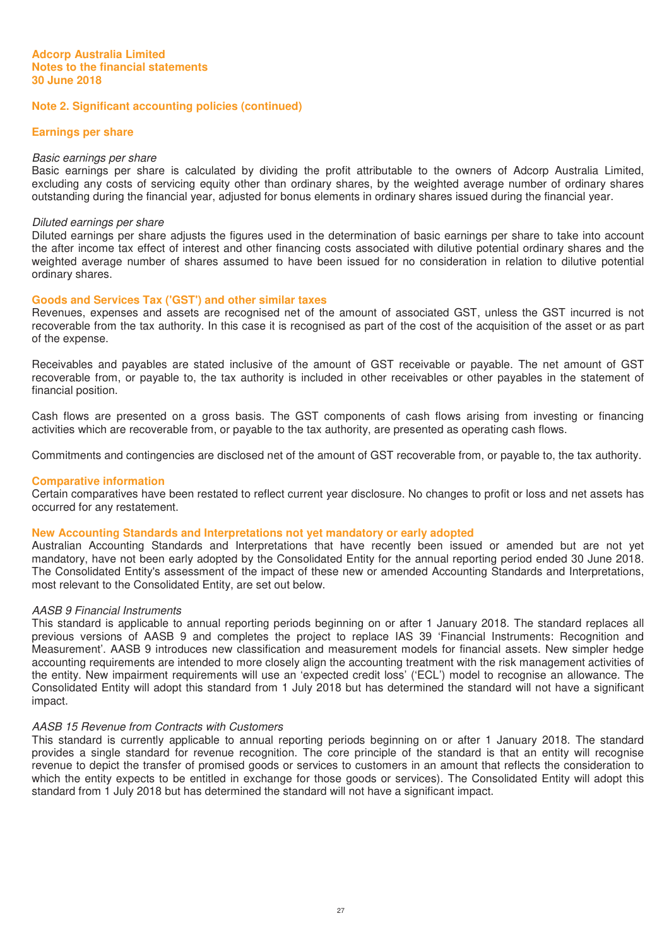#### **Earnings per share**

#### Basic earnings per share

Basic earnings per share is calculated by dividing the profit attributable to the owners of Adcorp Australia Limited, excluding any costs of servicing equity other than ordinary shares, by the weighted average number of ordinary shares outstanding during the financial year, adjusted for bonus elements in ordinary shares issued during the financial year.

#### Diluted earnings per share

Diluted earnings per share adjusts the figures used in the determination of basic earnings per share to take into account the after income tax effect of interest and other financing costs associated with dilutive potential ordinary shares and the weighted average number of shares assumed to have been issued for no consideration in relation to dilutive potential ordinary shares.

#### **Goods and Services Tax ('GST') and other similar taxes**

Revenues, expenses and assets are recognised net of the amount of associated GST, unless the GST incurred is not recoverable from the tax authority. In this case it is recognised as part of the cost of the acquisition of the asset or as part of the expense.

Receivables and payables are stated inclusive of the amount of GST receivable or payable. The net amount of GST recoverable from, or payable to, the tax authority is included in other receivables or other payables in the statement of financial position.

Cash flows are presented on a gross basis. The GST components of cash flows arising from investing or financing activities which are recoverable from, or payable to the tax authority, are presented as operating cash flows.

Commitments and contingencies are disclosed net of the amount of GST recoverable from, or payable to, the tax authority.

#### **Comparative information**

Certain comparatives have been restated to reflect current year disclosure. No changes to profit or loss and net assets has occurred for any restatement.

#### **New Accounting Standards and Interpretations not yet mandatory or early adopted**

Australian Accounting Standards and Interpretations that have recently been issued or amended but are not yet mandatory, have not been early adopted by the Consolidated Entity for the annual reporting period ended 30 June 2018. The Consolidated Entity's assessment of the impact of these new or amended Accounting Standards and Interpretations, most relevant to the Consolidated Entity, are set out below.

#### AASB 9 Financial Instruments

This standard is applicable to annual reporting periods beginning on or after 1 January 2018. The standard replaces all previous versions of AASB 9 and completes the project to replace IAS 39 'Financial Instruments: Recognition and Measurement'. AASB 9 introduces new classification and measurement models for financial assets. New simpler hedge accounting requirements are intended to more closely align the accounting treatment with the risk management activities of the entity. New impairment requirements will use an 'expected credit loss' ('ECL') model to recognise an allowance. The Consolidated Entity will adopt this standard from 1 July 2018 but has determined the standard will not have a significant impact.

#### AASB 15 Revenue from Contracts with Customers

This standard is currently applicable to annual reporting periods beginning on or after 1 January 2018. The standard provides a single standard for revenue recognition. The core principle of the standard is that an entity will recognise revenue to depict the transfer of promised goods or services to customers in an amount that reflects the consideration to which the entity expects to be entitled in exchange for those goods or services). The Consolidated Entity will adopt this standard from 1 July 2018 but has determined the standard will not have a significant impact.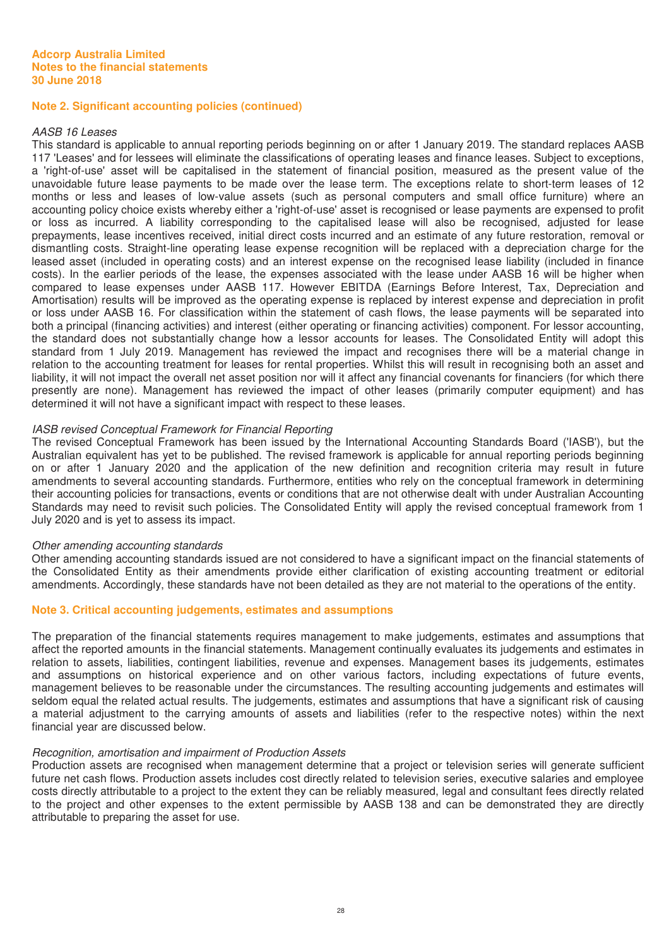# AASB 16 Leases

This standard is applicable to annual reporting periods beginning on or after 1 January 2019. The standard replaces AASB 117 'Leases' and for lessees will eliminate the classifications of operating leases and finance leases. Subject to exceptions, a 'right-of-use' asset will be capitalised in the statement of financial position, measured as the present value of the unavoidable future lease payments to be made over the lease term. The exceptions relate to short-term leases of 12 months or less and leases of low-value assets (such as personal computers and small office furniture) where an accounting policy choice exists whereby either a 'right-of-use' asset is recognised or lease payments are expensed to profit or loss as incurred. A liability corresponding to the capitalised lease will also be recognised, adjusted for lease prepayments, lease incentives received, initial direct costs incurred and an estimate of any future restoration, removal or dismantling costs. Straight-line operating lease expense recognition will be replaced with a depreciation charge for the leased asset (included in operating costs) and an interest expense on the recognised lease liability (included in finance costs). In the earlier periods of the lease, the expenses associated with the lease under AASB 16 will be higher when compared to lease expenses under AASB 117. However EBITDA (Earnings Before Interest, Tax, Depreciation and Amortisation) results will be improved as the operating expense is replaced by interest expense and depreciation in profit or loss under AASB 16. For classification within the statement of cash flows, the lease payments will be separated into both a principal (financing activities) and interest (either operating or financing activities) component. For lessor accounting, the standard does not substantially change how a lessor accounts for leases. The Consolidated Entity will adopt this standard from 1 July 2019. Management has reviewed the impact and recognises there will be a material change in relation to the accounting treatment for leases for rental properties. Whilst this will result in recognising both an asset and liability, it will not impact the overall net asset position nor will it affect any financial covenants for financiers (for which there presently are none). Management has reviewed the impact of other leases (primarily computer equipment) and has determined it will not have a significant impact with respect to these leases.

# IASB revised Conceptual Framework for Financial Reporting

The revised Conceptual Framework has been issued by the International Accounting Standards Board ('IASB'), but the Australian equivalent has yet to be published. The revised framework is applicable for annual reporting periods beginning on or after 1 January 2020 and the application of the new definition and recognition criteria may result in future amendments to several accounting standards. Furthermore, entities who rely on the conceptual framework in determining their accounting policies for transactions, events or conditions that are not otherwise dealt with under Australian Accounting Standards may need to revisit such policies. The Consolidated Entity will apply the revised conceptual framework from 1 July 2020 and is yet to assess its impact.

# Other amending accounting standards

Other amending accounting standards issued are not considered to have a significant impact on the financial statements of the Consolidated Entity as their amendments provide either clarification of existing accounting treatment or editorial amendments. Accordingly, these standards have not been detailed as they are not material to the operations of the entity.

# **Note 3. Critical accounting judgements, estimates and assumptions**

The preparation of the financial statements requires management to make judgements, estimates and assumptions that affect the reported amounts in the financial statements. Management continually evaluates its judgements and estimates in relation to assets, liabilities, contingent liabilities, revenue and expenses. Management bases its judgements, estimates and assumptions on historical experience and on other various factors, including expectations of future events, management believes to be reasonable under the circumstances. The resulting accounting judgements and estimates will seldom equal the related actual results. The judgements, estimates and assumptions that have a significant risk of causing a material adjustment to the carrying amounts of assets and liabilities (refer to the respective notes) within the next financial year are discussed below.

# Recognition, amortisation and impairment of Production Assets

Production assets are recognised when management determine that a project or television series will generate sufficient future net cash flows. Production assets includes cost directly related to television series, executive salaries and employee costs directly attributable to a project to the extent they can be reliably measured, legal and consultant fees directly related to the project and other expenses to the extent permissible by AASB 138 and can be demonstrated they are directly attributable to preparing the asset for use.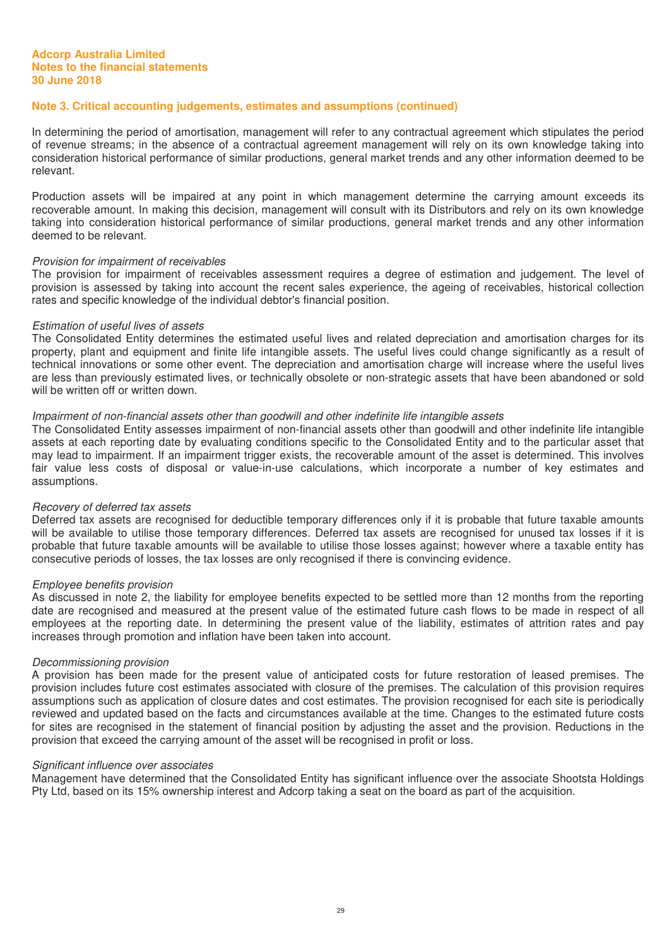# **Note 3. Critical accounting judgements, estimates and assumptions (continued)**

In determining the period of amortisation, management will refer to any contractual agreement which stipulates the period of revenue streams; in the absence of a contractual agreement management will rely on its own knowledge taking into consideration historical performance of similar productions, general market trends and any other information deemed to be relevant.

Production assets will be impaired at any point in which management determine the carrying amount exceeds its recoverable amount. In making this decision, management will consult with its Distributors and rely on its own knowledge taking into consideration historical performance of similar productions, general market trends and any other information deemed to be relevant.

# Provision for impairment of receivables

The provision for impairment of receivables assessment requires a degree of estimation and judgement. The level of provision is assessed by taking into account the recent sales experience, the ageing of receivables, historical collection rates and specific knowledge of the individual debtor's financial position.

#### Estimation of useful lives of assets

The Consolidated Entity determines the estimated useful lives and related depreciation and amortisation charges for its property, plant and equipment and finite life intangible assets. The useful lives could change significantly as a result of technical innovations or some other event. The depreciation and amortisation charge will increase where the useful lives are less than previously estimated lives, or technically obsolete or non-strategic assets that have been abandoned or sold will be written off or written down.

# Impairment of non-financial assets other than goodwill and other indefinite life intangible assets

The Consolidated Entity assesses impairment of non-financial assets other than goodwill and other indefinite life intangible assets at each reporting date by evaluating conditions specific to the Consolidated Entity and to the particular asset that may lead to impairment. If an impairment trigger exists, the recoverable amount of the asset is determined. This involves fair value less costs of disposal or value-in-use calculations, which incorporate a number of key estimates and assumptions.

# Recovery of deferred tax assets

Deferred tax assets are recognised for deductible temporary differences only if it is probable that future taxable amounts will be available to utilise those temporary differences. Deferred tax assets are recognised for unused tax losses if it is probable that future taxable amounts will be available to utilise those losses against; however where a taxable entity has consecutive periods of losses, the tax losses are only recognised if there is convincing evidence.

# Employee benefits provision

As discussed in note 2, the liability for employee benefits expected to be settled more than 12 months from the reporting date are recognised and measured at the present value of the estimated future cash flows to be made in respect of all employees at the reporting date. In determining the present value of the liability, estimates of attrition rates and pay increases through promotion and inflation have been taken into account.

# Decommissioning provision

A provision has been made for the present value of anticipated costs for future restoration of leased premises. The provision includes future cost estimates associated with closure of the premises. The calculation of this provision requires assumptions such as application of closure dates and cost estimates. The provision recognised for each site is periodically reviewed and updated based on the facts and circumstances available at the time. Changes to the estimated future costs for sites are recognised in the statement of financial position by adjusting the asset and the provision. Reductions in the provision that exceed the carrying amount of the asset will be recognised in profit or loss.

#### Significant influence over associates

Management have determined that the Consolidated Entity has significant influence over the associate Shootsta Holdings Pty Ltd, based on its 15% ownership interest and Adcorp taking a seat on the board as part of the acquisition.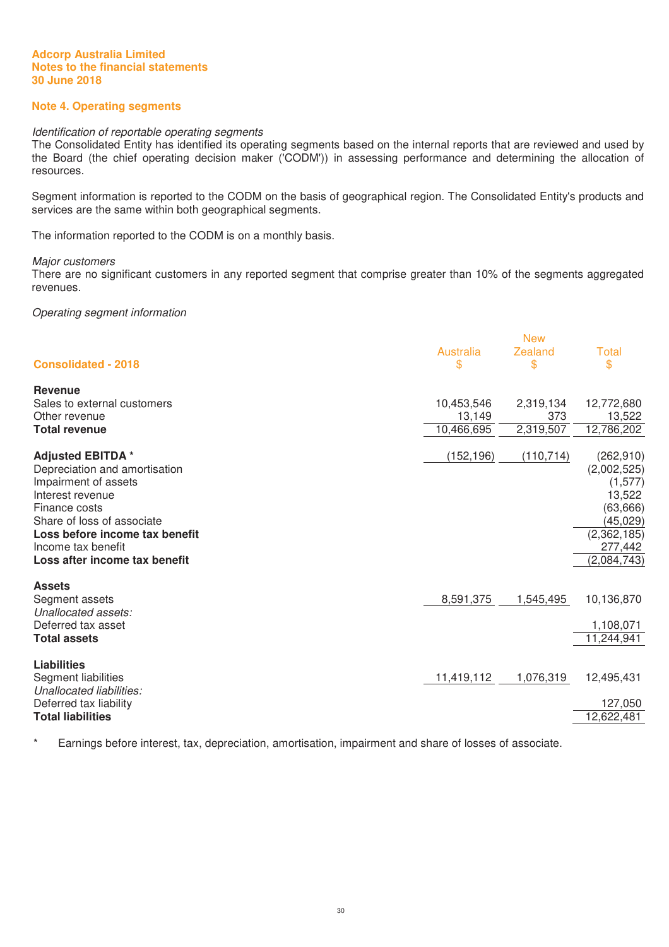# **Note 4. Operating segments**

# Identification of reportable operating segments

The Consolidated Entity has identified its operating segments based on the internal reports that are reviewed and used by the Board (the chief operating decision maker ('CODM')) in assessing performance and determining the allocation of resources.

Segment information is reported to the CODM on the basis of geographical region. The Consolidated Entity's products and services are the same within both geographical segments.

The information reported to the CODM is on a monthly basis.

#### Major customers

There are no significant customers in any reported segment that comprise greater than 10% of the segments aggregated revenues.

Operating segment information

|                                |                        | <b>New</b>    |                    |
|--------------------------------|------------------------|---------------|--------------------|
| <b>Consolidated - 2018</b>     | <b>Australia</b><br>\$ | Zealand<br>\$ | <b>Total</b><br>\$ |
| <b>Revenue</b>                 |                        |               |                    |
| Sales to external customers    | 10,453,546             | 2,319,134     | 12,772,680         |
| Other revenue                  | 13,149                 | 373           | 13,522             |
| <b>Total revenue</b>           | 10,466,695             | 2,319,507     | 12,786,202         |
| <b>Adjusted EBITDA *</b>       | (152, 196)             | (110, 714)    | (262, 910)         |
| Depreciation and amortisation  |                        |               | (2,002,525)        |
| Impairment of assets           |                        |               | (1, 577)           |
| Interest revenue               |                        |               | 13,522             |
| Finance costs                  |                        |               | (63, 666)          |
| Share of loss of associate     |                        |               | (45, 029)          |
| Loss before income tax benefit |                        |               | (2,362,185)        |
| Income tax benefit             |                        |               | 277,442            |
| Loss after income tax benefit  |                        |               | (2,084,743)        |
| <b>Assets</b>                  |                        |               |                    |
| Segment assets                 | 8,591,375              | 1,545,495     | 10,136,870         |
| Unallocated assets:            |                        |               |                    |
| Deferred tax asset             |                        |               | 1,108,071          |
| <b>Total assets</b>            |                        |               | 11,244,941         |
| <b>Liabilities</b>             |                        |               |                    |
| Segment liabilities            | 11,419,112             | 1,076,319     | 12,495,431         |
| Unallocated liabilities:       |                        |               |                    |
| Deferred tax liability         |                        |               | 127,050            |
| <b>Total liabilities</b>       |                        |               | 12,622,481         |

\* Earnings before interest, tax, depreciation, amortisation, impairment and share of losses of associate.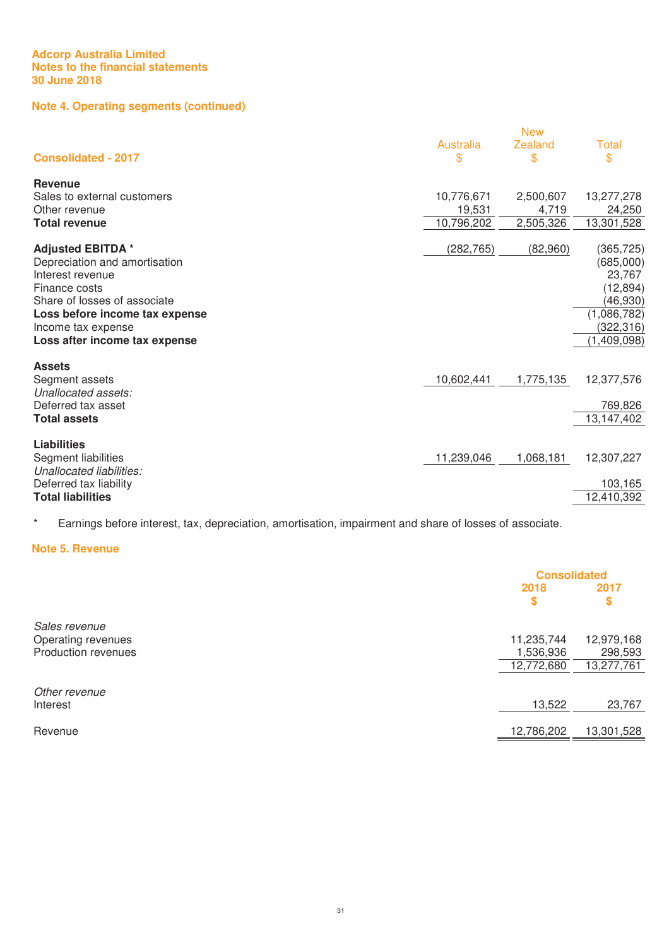# **Note 4. Operating segments (continued)**

|                                |                        | <b>New</b>           |                    |
|--------------------------------|------------------------|----------------------|--------------------|
| <b>Consolidated - 2017</b>     | <b>Australia</b><br>\$ | <b>Zealand</b><br>\$ | <b>Total</b><br>\$ |
| <b>Revenue</b>                 |                        |                      |                    |
| Sales to external customers    | 10,776,671             | 2,500,607            | 13,277,278         |
| Other revenue                  | 19,531                 | 4,719                | 24,250             |
| <b>Total revenue</b>           | 10,796,202             | 2,505,326            | 13,301,528         |
| <b>Adjusted EBITDA *</b>       | (282, 765)             | (82,960)             | (365, 725)         |
| Depreciation and amortisation  |                        |                      | (685,000)          |
| Interest revenue               |                        |                      | 23,767             |
| Finance costs                  |                        |                      | (12,894)           |
| Share of losses of associate   |                        |                      | (46, 930)          |
| Loss before income tax expense |                        |                      | (1,086,782)        |
| Income tax expense             |                        |                      | (322, 316)         |
| Loss after income tax expense  |                        |                      | (1,409,098)        |
| <b>Assets</b>                  |                        |                      |                    |
| Segment assets                 | 10,602,441             | 1,775,135            | 12,377,576         |
| Unallocated assets:            |                        |                      |                    |
| Deferred tax asset             |                        |                      | 769,826            |
| <b>Total assets</b>            |                        |                      | 13,147,402         |
| <b>Liabilities</b>             |                        |                      |                    |
| Segment liabilities            | 11,239,046             | 1,068,181            | 12,307,227         |
| Unallocated liabilities:       |                        |                      |                    |
| Deferred tax liability         |                        |                      | 103,165            |
| <b>Total liabilities</b>       |                        |                      | 12,410,392         |

\* Earnings before interest, tax, depreciation, amortisation, impairment and share of losses of associate.

# **Note 5. Revenue**

|                     | <b>Consolidated</b> |            |
|---------------------|---------------------|------------|
|                     | 2018                | 2017       |
|                     | \$                  | \$         |
| Sales revenue       |                     |            |
| Operating revenues  | 11,235,744          | 12,979,168 |
| Production revenues | 1,536,936           | 298,593    |
|                     | 12,772,680          | 13,277,761 |
| Other revenue       |                     |            |
| Interest            | 13,522              | 23,767     |
| Revenue             | 12,786,202          | 13,301,528 |
|                     |                     |            |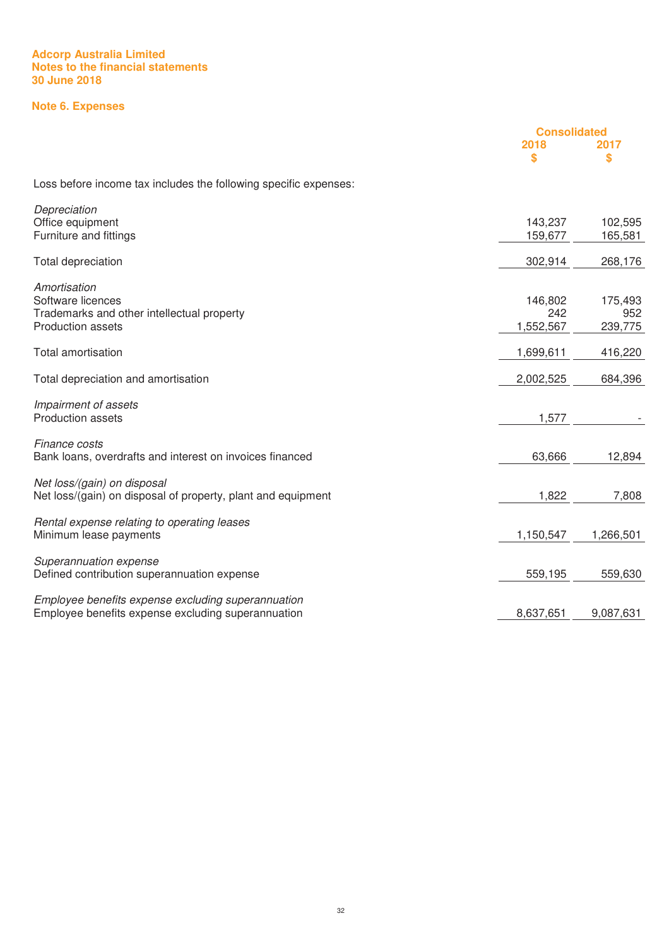# **Note 6. Expenses**

|                                                                                                          | <b>Consolidated</b> |                    |
|----------------------------------------------------------------------------------------------------------|---------------------|--------------------|
|                                                                                                          | 2018<br>\$          | 2017<br>\$         |
| Loss before income tax includes the following specific expenses:                                         |                     |                    |
| Depreciation                                                                                             |                     |                    |
| Office equipment<br>Furniture and fittings                                                               | 143,237<br>159,677  | 102,595<br>165,581 |
| Total depreciation                                                                                       | 302,914             | 268,176            |
| Amortisation                                                                                             |                     |                    |
| Software licences<br>Trademarks and other intellectual property                                          | 146,802<br>242      | 175,493<br>952     |
| <b>Production assets</b>                                                                                 | 1,552,567           | 239,775            |
| <b>Total amortisation</b>                                                                                | 1,699,611           | 416,220            |
| Total depreciation and amortisation                                                                      | 2,002,525           | 684,396            |
| Impairment of assets<br><b>Production assets</b>                                                         | 1,577               |                    |
| Finance costs<br>Bank loans, overdrafts and interest on invoices financed                                | 63,666              | 12,894             |
| Net loss/(gain) on disposal<br>Net loss/(gain) on disposal of property, plant and equipment              | 1,822               | 7,808              |
| Rental expense relating to operating leases<br>Minimum lease payments                                    | 1,150,547           | 1,266,501          |
| Superannuation expense<br>Defined contribution superannuation expense                                    | 559,195             | 559,630            |
| Employee benefits expense excluding superannuation<br>Employee benefits expense excluding superannuation | 8,637,651           | 9,087,631          |
|                                                                                                          |                     |                    |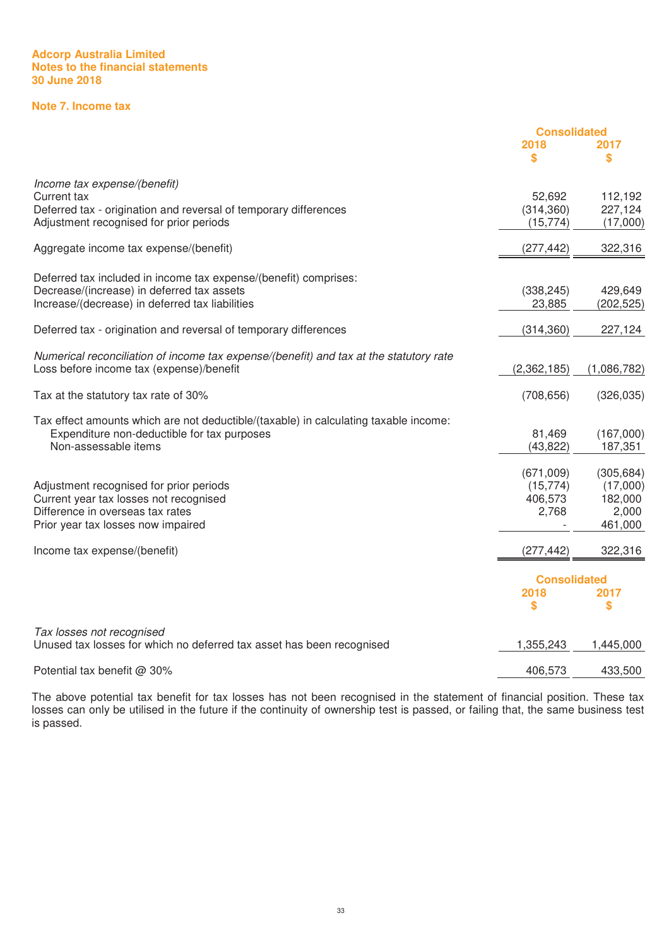# **Note 7. Income tax**

|                                                                                        | <b>Consolidated</b> |             |
|----------------------------------------------------------------------------------------|---------------------|-------------|
|                                                                                        | 2018                | 2017        |
|                                                                                        | \$                  | \$          |
| Income tax expense/(benefit)                                                           |                     |             |
| Current tax                                                                            | 52,692              | 112,192     |
| Deferred tax - origination and reversal of temporary differences                       | (314, 360)          | 227,124     |
| Adjustment recognised for prior periods                                                | (15, 774)           | (17,000)    |
| Aggregate income tax expense/(benefit)                                                 | (277, 442)          | 322,316     |
| Deferred tax included in income tax expense/(benefit) comprises:                       |                     |             |
| Decrease/(increase) in deferred tax assets                                             | (338, 245)          | 429,649     |
| Increase/(decrease) in deferred tax liabilities                                        | 23,885              | (202, 525)  |
| Deferred tax - origination and reversal of temporary differences                       | (314, 360)          | 227,124     |
| Numerical reconciliation of income tax expense/(benefit) and tax at the statutory rate |                     |             |
| Loss before income tax (expense)/benefit                                               | (2,362,185)         | (1,086,782) |
| Tax at the statutory tax rate of 30%                                                   | (708, 656)          | (326, 035)  |
| Tax effect amounts which are not deductible/(taxable) in calculating taxable income:   |                     |             |
| Expenditure non-deductible for tax purposes                                            | 81,469              | (167,000)   |
| Non-assessable items                                                                   | (43, 822)           | 187,351     |
|                                                                                        | (671,009)           | (305, 684)  |
| Adjustment recognised for prior periods                                                | (15, 774)           | (17,000)    |
| Current year tax losses not recognised                                                 | 406,573             | 182,000     |
| Difference in overseas tax rates                                                       | 2,768               | 2,000       |
| Prior year tax losses now impaired                                                     |                     | 461,000     |
| Income tax expense/(benefit)                                                           | (277,442)           | 322,316     |
|                                                                                        | <b>Consolidated</b> |             |
|                                                                                        | 2018                | 2017        |
|                                                                                        | \$                  | \$          |
| Tax losses not recognised                                                              |                     |             |
| Unused tax losses for which no deferred tax asset has been recognised                  | 1,355,243           | 1,445,000   |
| Potential tax benefit @ 30%                                                            | 406,573             | 433,500     |
|                                                                                        |                     |             |

The above potential tax benefit for tax losses has not been recognised in the statement of financial position. These tax losses can only be utilised in the future if the continuity of ownership test is passed, or failing that, the same business test is passed.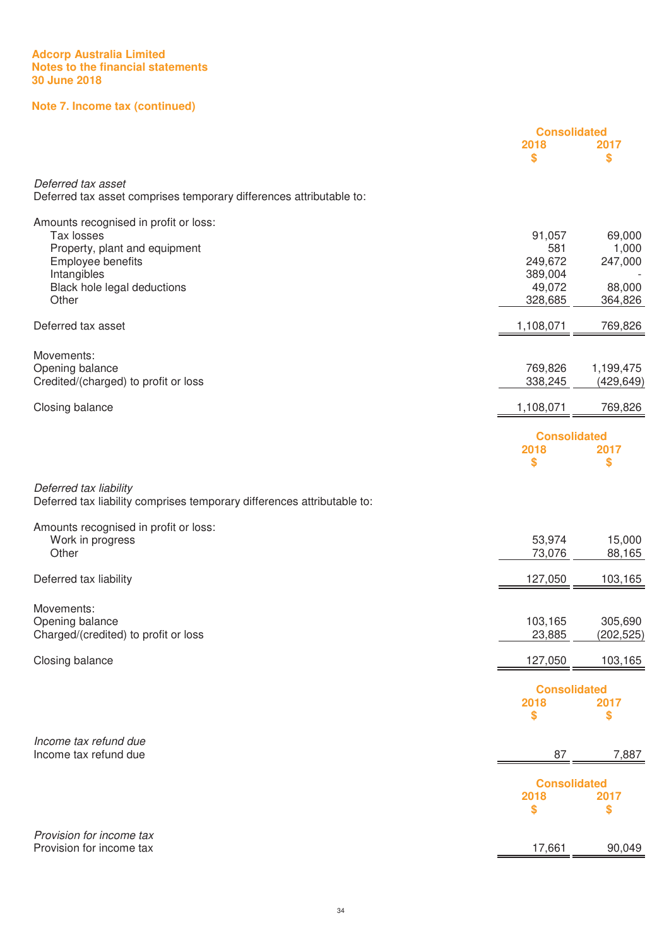# **Note 7. Income tax (continued)**

|                                                                                                                                                         | <b>Consolidated</b>                           |                                      |
|---------------------------------------------------------------------------------------------------------------------------------------------------------|-----------------------------------------------|--------------------------------------|
|                                                                                                                                                         | 2018<br>\$                                    | 2017<br>\$                           |
| Deferred tax asset<br>Deferred tax asset comprises temporary differences attributable to:                                                               |                                               |                                      |
| Amounts recognised in profit or loss:<br>Tax losses<br>Property, plant and equipment<br>Employee benefits<br>Intangibles<br>Black hole legal deductions | 91,057<br>581<br>249,672<br>389,004<br>49,072 | 69,000<br>1,000<br>247,000<br>88,000 |
| Other                                                                                                                                                   | 328,685                                       | 364,826                              |
| Deferred tax asset                                                                                                                                      | 1,108,071                                     | 769,826                              |
| Movements:<br>Opening balance<br>Credited/(charged) to profit or loss                                                                                   | 769,826<br>338,245                            | 1,199,475<br>(429, 649)              |
| Closing balance                                                                                                                                         | 1,108,071                                     | 769,826                              |
|                                                                                                                                                         | <b>Consolidated</b><br>2018<br>\$             | 2017<br>\$                           |
| Deferred tax liability<br>Deferred tax liability comprises temporary differences attributable to:                                                       |                                               |                                      |
| Amounts recognised in profit or loss:<br>Work in progress<br>Other                                                                                      | 53,974<br>73,076                              | 15,000<br>88,165                     |
| Deferred tax liability                                                                                                                                  | 127,050                                       | 103,165                              |
| Movements:<br>Opening balance<br>Charged/(credited) to profit or loss                                                                                   | 103,165<br>23,885                             | 305,690<br>(202, 525)                |
| Closing balance                                                                                                                                         | 127,050                                       | 103,165                              |
|                                                                                                                                                         | <b>Consolidated</b><br>2018<br>\$             | 2017<br>\$                           |
| Income tax refund due<br>Income tax refund due                                                                                                          | 87                                            | 7,887                                |
|                                                                                                                                                         | <b>Consolidated</b><br>2018<br>\$             | 2017<br>\$                           |
| Provision for income tax<br>Provision for income tax                                                                                                    | 17,661                                        | 90,049                               |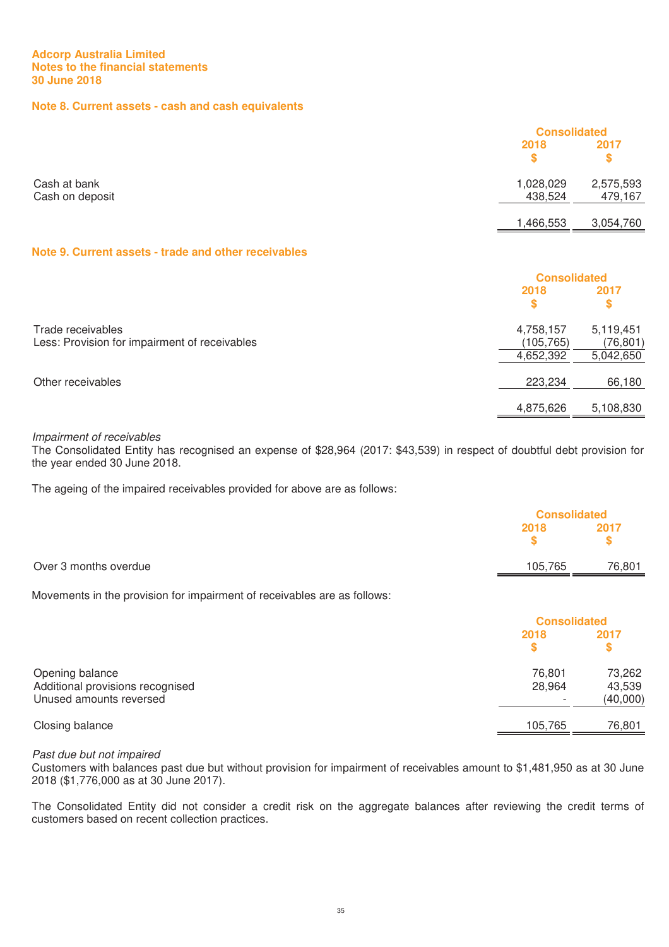# **Note 8. Current assets - cash and cash equivalents**

|                 |           | <b>Consolidated</b> |  |
|-----------------|-----------|---------------------|--|
|                 | 2018      | 2017                |  |
|                 |           | S                   |  |
| Cash at bank    | 1,028,029 | 2,575,593           |  |
| Cash on deposit | 438,524   | 479,167             |  |
|                 | 1,466,553 | 3,054,760           |  |

# **Note 9. Current assets - trade and other receivables**

|                                                                    | <b>Consolidated</b>                 |                                     |
|--------------------------------------------------------------------|-------------------------------------|-------------------------------------|
|                                                                    | 2018<br>S                           | 2017<br>$\mathbf{s}$                |
| Trade receivables<br>Less: Provision for impairment of receivables | 4,758,157<br>(105,765)<br>4,652,392 | 5,119,451<br>(76, 801)<br>5,042,650 |
| Other receivables                                                  | 223,234                             | 66,180                              |
|                                                                    | 4,875,626                           | 5,108,830                           |

# Impairment of receivables

The Consolidated Entity has recognised an expense of \$28,964 (2017: \$43,539) in respect of doubtful debt provision for the year ended 30 June 2018.

The ageing of the impaired receivables provided for above are as follows:

|                       |         | <b>Consolidated</b> |  |
|-----------------------|---------|---------------------|--|
|                       | 2018    | 2017                |  |
|                       |         | S                   |  |
| Over 3 months overdue | 105,765 | 76,801              |  |

Movements in the provision for impairment of receivables are as follows:

|                                                                                | <b>Consolidated</b> |                              |
|--------------------------------------------------------------------------------|---------------------|------------------------------|
|                                                                                | 2018                | 2017<br>S                    |
| Opening balance<br>Additional provisions recognised<br>Unused amounts reversed | 76,801<br>28,964    | 73,262<br>43,539<br>(40,000) |
| Closing balance                                                                | 105,765             | 76,801                       |

#### Past due but not impaired

Customers with balances past due but without provision for impairment of receivables amount to \$1,481,950 as at 30 June 2018 (\$1,776,000 as at 30 June 2017).

The Consolidated Entity did not consider a credit risk on the aggregate balances after reviewing the credit terms of customers based on recent collection practices.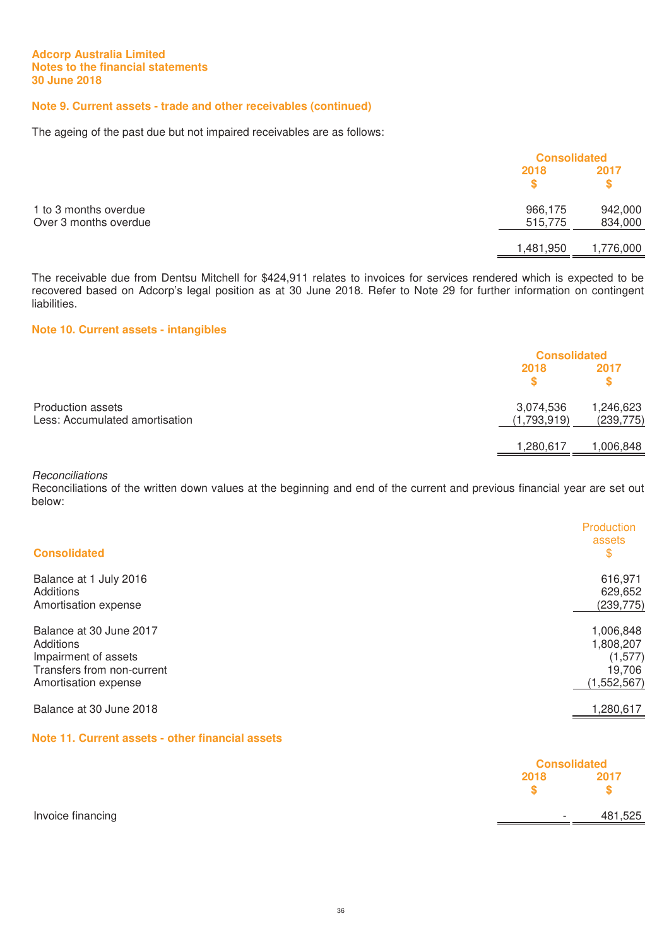# **Note 9. Current assets - trade and other receivables (continued)**

The ageing of the past due but not impaired receivables are as follows:

|                       |           | <b>Consolidated</b> |  |
|-----------------------|-----------|---------------------|--|
|                       | 2018      | 2017                |  |
|                       |           |                     |  |
| 1 to 3 months overdue | 966,175   | 942,000             |  |
| Over 3 months overdue | 515,775   | 834,000             |  |
|                       | 1,481,950 | 1,776,000           |  |

The receivable due from Dentsu Mitchell for \$424,911 relates to invoices for services rendered which is expected to be recovered based on Adcorp's legal position as at 30 June 2018. Refer to Note 29 for further information on contingent liabilities.

# **Note 10. Current assets - intangibles**

|                                                     |                          | <b>Consolidated</b>     |  |
|-----------------------------------------------------|--------------------------|-------------------------|--|
|                                                     | 2018                     | 2017                    |  |
| Production assets<br>Less: Accumulated amortisation | 3,074,536<br>(1,793,919) | 1,246,623<br>(239, 775) |  |
|                                                     | 1,280,617                | 1,006,848               |  |

**Reconciliations** 

Reconciliations of the written down values at the beginning and end of the current and previous financial year are set out below:

| <b>Consolidated</b>        | Production<br>assets<br>\$ |
|----------------------------|----------------------------|
| Balance at 1 July 2016     | 616,971                    |
| Additions                  | 629,652                    |
| Amortisation expense       | (239,775)                  |
| Balance at 30 June 2017    | 1,006,848                  |
| Additions                  | 1,808,207                  |
| Impairment of assets       | (1,577)                    |
| Transfers from non-current | 19,706                     |
| Amortisation expense       | (1,552,567)                |
| Balance at 30 June 2018    | 1,280,617                  |

# **Note 11. Current assets - other financial assets**

|                   |      | <b>Consolidated</b> |  |
|-------------------|------|---------------------|--|
|                   | 2018 | 2017<br>S           |  |
| Invoice financing |      | 481,525             |  |
|                   |      |                     |  |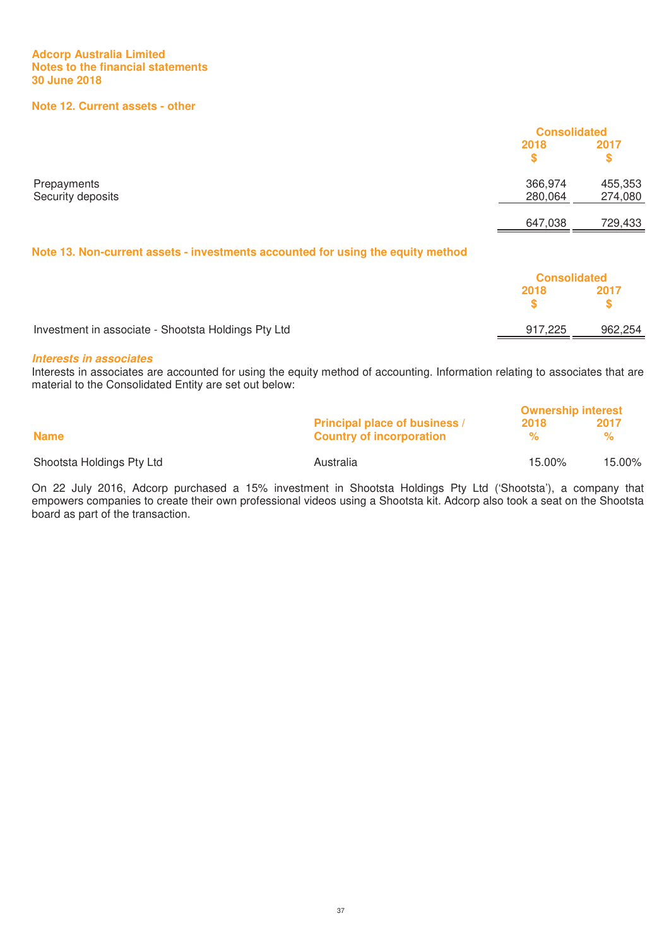# **Note 12. Current assets - other**

|                                  |                    | <b>Consolidated</b> |  |
|----------------------------------|--------------------|---------------------|--|
|                                  | 2018               | 2017<br>S           |  |
| Prepayments<br>Security deposits | 366,974<br>280,064 | 455,353<br>274,080  |  |
|                                  | 647,038            | 729,433             |  |
|                                  |                    |                     |  |

# **Note 13. Non-current assets - investments accounted for using the equity method**

|                                                     |         | <b>Consolidated</b> |  |
|-----------------------------------------------------|---------|---------------------|--|
|                                                     | 2018    | 2017                |  |
| Investment in associate - Shootsta Holdings Pty Ltd | 917,225 | 962,254             |  |

#### *Interests in associates*

Interests in associates are accounted for using the equity method of accounting. Information relating to associates that are material to the Consolidated Entity are set out below:

|                           |                                      | <b>Ownership interest</b> |        |  |
|---------------------------|--------------------------------------|---------------------------|--------|--|
|                           | <b>Principal place of business /</b> | 2018                      | 2017   |  |
| <b>Name</b>               | <b>Country of incorporation</b>      | $\frac{1}{2}$             | ℀      |  |
| Shootsta Holdings Pty Ltd | Australia                            | 15.00%                    | 15.00% |  |

On 22 July 2016, Adcorp purchased a 15% investment in Shootsta Holdings Pty Ltd ('Shootsta'), a company that empowers companies to create their own professional videos using a Shootsta kit. Adcorp also took a seat on the Shootsta board as part of the transaction.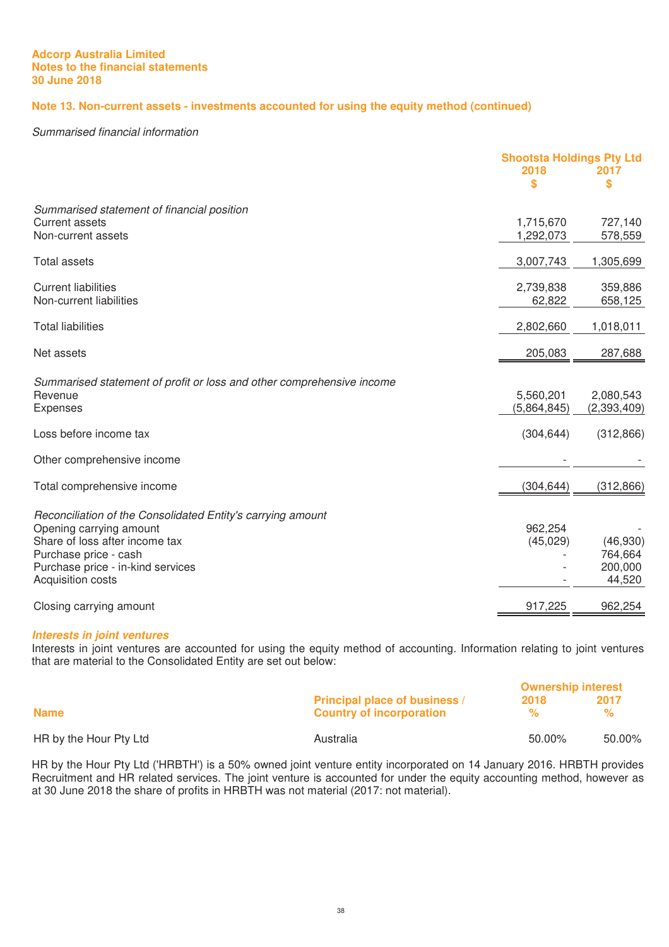# **Note 13. Non-current assets - investments accounted for using the equity method (continued)**

#### Summarised financial information

|                                                                       | <b>Shootsta Holdings Pty Ltd</b> |                   |
|-----------------------------------------------------------------------|----------------------------------|-------------------|
|                                                                       | 2018<br>\$                       | 2017<br>\$        |
| Summarised statement of financial position                            |                                  |                   |
| <b>Current assets</b>                                                 | 1,715,670                        | 727,140           |
| Non-current assets                                                    | 1,292,073                        | 578,559           |
| <b>Total assets</b>                                                   | 3,007,743                        | 1,305,699         |
| <b>Current liabilities</b>                                            | 2,739,838                        | 359,886           |
| Non-current liabilities                                               | 62,822                           | 658,125           |
| <b>Total liabilities</b>                                              | 2,802,660                        | 1,018,011         |
| Net assets                                                            | 205,083                          | 287,688           |
| Summarised statement of profit or loss and other comprehensive income |                                  |                   |
| Revenue                                                               | 5,560,201                        | 2,080,543         |
| <b>Expenses</b>                                                       | (5,864,845)                      | (2, 393, 409)     |
| Loss before income tax                                                | (304, 644)                       | (312, 866)        |
| Other comprehensive income                                            |                                  |                   |
| Total comprehensive income                                            | (304, 644)                       | (312, 866)        |
| Reconciliation of the Consolidated Entity's carrying amount           |                                  |                   |
| Opening carrying amount                                               | 962,254                          |                   |
| Share of loss after income tax                                        | (45,029)                         | (46,930)          |
| Purchase price - cash                                                 |                                  | 764,664           |
| Purchase price - in-kind services<br>Acquisition costs                |                                  | 200,000<br>44,520 |
| Closing carrying amount                                               | 917,225                          | 962,254           |
|                                                                       |                                  |                   |

#### *Interests in joint ventures*

Interests in joint ventures are accounted for using the equity method of accounting. Information relating to joint ventures that are material to the Consolidated Entity are set out below:

|                        | <b>Ownership interest</b>                                               |                       |           |
|------------------------|-------------------------------------------------------------------------|-----------------------|-----------|
| <b>Name</b>            | <b>Principal place of business /</b><br><b>Country of incorporation</b> | 2018<br>$\frac{1}{2}$ | 2017<br>% |
| HR by the Hour Pty Ltd | Australia                                                               | 50.00%                | 50.00%    |

HR by the Hour Pty Ltd ('HRBTH') is a 50% owned joint venture entity incorporated on 14 January 2016. HRBTH provides Recruitment and HR related services. The joint venture is accounted for under the equity accounting method, however as at 30 June 2018 the share of profits in HRBTH was not material (2017: not material).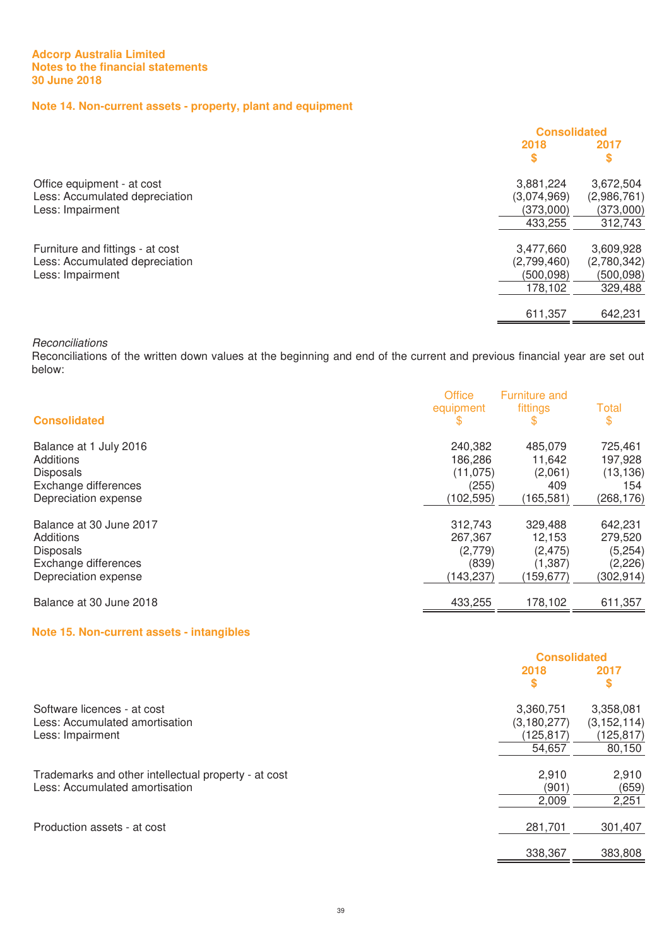# **Note 14. Non-current assets - property, plant and equipment**

|                                  | <b>Consolidated</b> |             |
|----------------------------------|---------------------|-------------|
|                                  | 2018                | 2017        |
|                                  | S                   | \$          |
| Office equipment - at cost       | 3,881,224           | 3,672,504   |
| Less: Accumulated depreciation   | (3,074,969)         | (2,986,761) |
| Less: Impairment                 | (373,000)           | (373,000)   |
|                                  | 433,255             | 312,743     |
| Furniture and fittings - at cost | 3,477,660           | 3,609,928   |
| Less: Accumulated depreciation   | (2,799,460)         | (2,780,342) |
| Less: Impairment                 | (500, 098)          | (500, 098)  |
|                                  | 178,102             | 329,488     |
|                                  | 611,357             | 642,231     |

# **Reconciliations**

Reconciliations of the written down values at the beginning and end of the current and previous financial year are set out below:

| <b>Consolidated</b>     | <b>Office</b><br>equipment<br>\$ | <b>Furniture and</b><br>fittings<br>\$ | Total<br>\$ |
|-------------------------|----------------------------------|----------------------------------------|-------------|
| Balance at 1 July 2016  | 240,382                          | 485,079                                | 725,461     |
| Additions               | 186,286                          | 11,642                                 | 197,928     |
| <b>Disposals</b>        | (11, 075)                        | (2,061)                                | (13, 136)   |
| Exchange differences    | (255)                            | 409                                    | 154         |
| Depreciation expense    | (102, 595)                       | (165, 581)                             | (268,176)   |
| Balance at 30 June 2017 | 312,743                          | 329,488                                | 642,231     |
| Additions               | 267,367                          | 12,153                                 | 279,520     |
| <b>Disposals</b>        | (2,779)                          | (2, 475)                               | (5,254)     |
| Exchange differences    | (839)                            | (1, 387)                               | (2, 226)    |
| Depreciation expense    | (143, 237)                       | (159,677)                              | (302,914)   |
| Balance at 30 June 2018 | 433,255                          | 178,102                                | 611,357     |

# **Note 15. Non-current assets - intangibles**

|                                                      | <b>Consolidated</b> |               |
|------------------------------------------------------|---------------------|---------------|
|                                                      | 2018                | 2017          |
|                                                      | \$                  | \$            |
| Software licences - at cost                          | 3,360,751           | 3,358,081     |
| Less: Accumulated amortisation                       | (3, 180, 277)       | (3, 152, 114) |
| Less: Impairment                                     | (125,817)           | (125,817)     |
|                                                      | 54,657              | 80,150        |
| Trademarks and other intellectual property - at cost | 2,910               | 2,910         |
| Less: Accumulated amortisation                       | (901)               | (659)         |
|                                                      | 2.009               | 2,251         |
| Production assets - at cost                          | 281,701             | 301,407       |
|                                                      | 338,367             | 383,808       |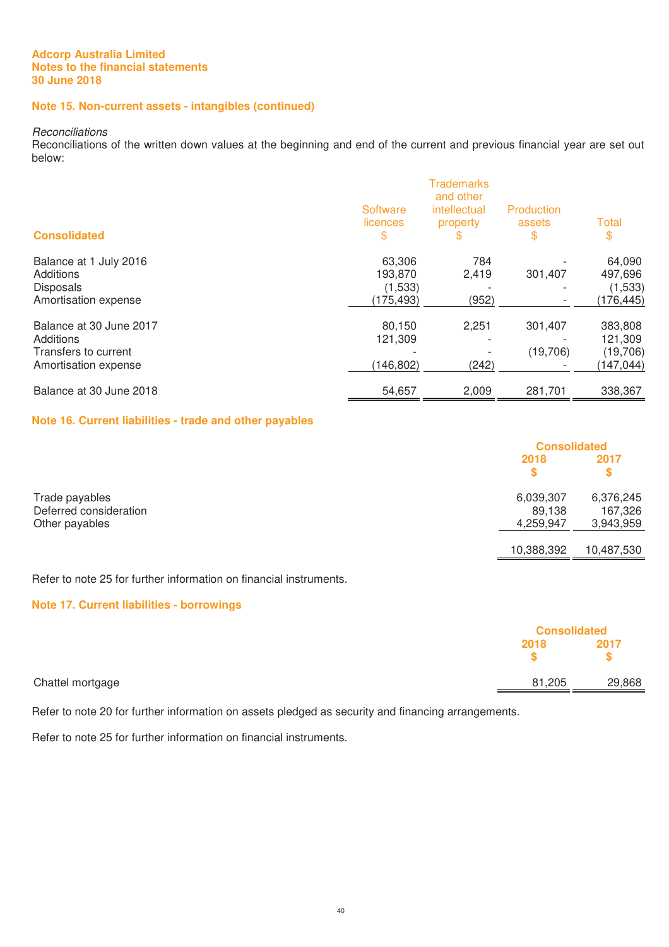# **Note 15. Non-current assets - intangibles (continued)**

#### **Reconciliations**

Reconciliations of the written down values at the beginning and end of the current and previous financial year are set out below:

| <b>Consolidated</b>                                                                  | <b>Software</b><br>licences<br>\$          | <b>Trademarks</b><br>and other<br>intellectual<br>property<br>\$ | Production<br>assets<br>\$ | <b>Total</b><br>\$                           |
|--------------------------------------------------------------------------------------|--------------------------------------------|------------------------------------------------------------------|----------------------------|----------------------------------------------|
| Balance at 1 July 2016<br>Additions<br><b>Disposals</b><br>Amortisation expense      | 63,306<br>193,870<br>(1,533)<br>(175, 493) | 784<br>2,419<br>(952)                                            | 301,407                    | 64,090<br>497,696<br>(1,533)<br>(176, 445)   |
| Balance at 30 June 2017<br>Additions<br>Transfers to current<br>Amortisation expense | 80,150<br>121,309<br>(146, 802)            | 2,251<br>(242)                                                   | 301,407<br>(19,706)        | 383,808<br>121,309<br>(19,706)<br>(147, 044) |
| Balance at 30 June 2018                                                              | 54,657                                     | 2,009                                                            | 281,701                    | 338,367                                      |

#### **Note 16. Current liabilities - trade and other payables**

|                        |            | <b>Consolidated</b> |  |
|------------------------|------------|---------------------|--|
|                        | 2018       | 2017                |  |
|                        |            | S                   |  |
| Trade payables         | 6,039,307  | 6,376,245           |  |
| Deferred consideration | 89,138     | 167,326             |  |
| Other payables         | 4,259,947  | 3,943,959           |  |
|                        | 10,388,392 | 10,487,530          |  |
|                        |            |                     |  |

Refer to note 25 for further information on financial instruments.

# **Note 17. Current liabilities - borrowings**

|                  |        | <b>Consolidated</b> |  |
|------------------|--------|---------------------|--|
|                  | 2018   | 2017                |  |
|                  |        | S                   |  |
| Chattel mortgage | 81,205 | 29,868              |  |

Refer to note 20 for further information on assets pledged as security and financing arrangements.

Refer to note 25 for further information on financial instruments.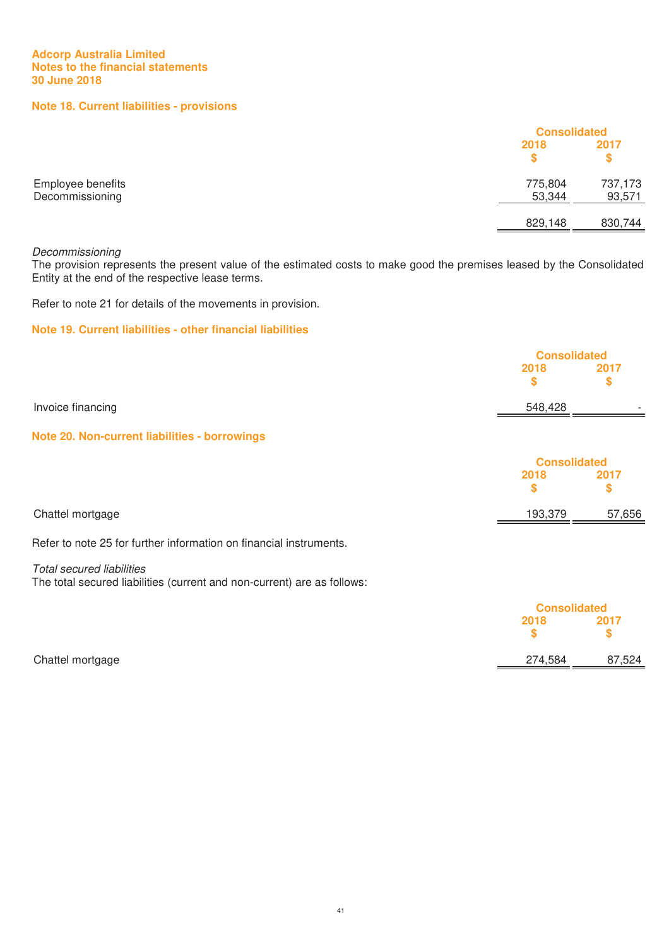# **Note 18. Current liabilities - provisions**

|                   | <b>Consolidated</b> |         |
|-------------------|---------------------|---------|
|                   | 2018<br>S           | 2017    |
|                   |                     |         |
| Employee benefits | 775,804             | 737,173 |
| Decommissioning   | 53,344              | 93,571  |
|                   | 829,148             | 830,744 |

#### Decommissioning

The provision represents the present value of the estimated costs to make good the premises leased by the Consolidated Entity at the end of the respective lease terms.

Refer to note 21 for details of the movements in provision.

# **Note 19. Current liabilities - other financial liabilities**

|                                                                                                             | <b>Consolidated</b>              |            |
|-------------------------------------------------------------------------------------------------------------|----------------------------------|------------|
|                                                                                                             | 2018<br>\$                       | 2017<br>\$ |
| Invoice financing                                                                                           | 548,428                          |            |
| Note 20. Non-current liabilities - borrowings                                                               |                                  |            |
|                                                                                                             | <b>Consolidated</b><br>2018<br>S | 2017<br>\$ |
| Chattel mortgage                                                                                            | 193,379                          | 57,656     |
| Refer to note 25 for further information on financial instruments.                                          |                                  |            |
| <b>Total secured liabilities</b><br>The total secured liabilities (current and non-current) are as follows: |                                  |            |
|                                                                                                             | <b>Consolidated</b>              |            |
|                                                                                                             | 2018<br>S                        | 2017<br>\$ |
| Chattel mortgage                                                                                            | 274,584                          | 87,524     |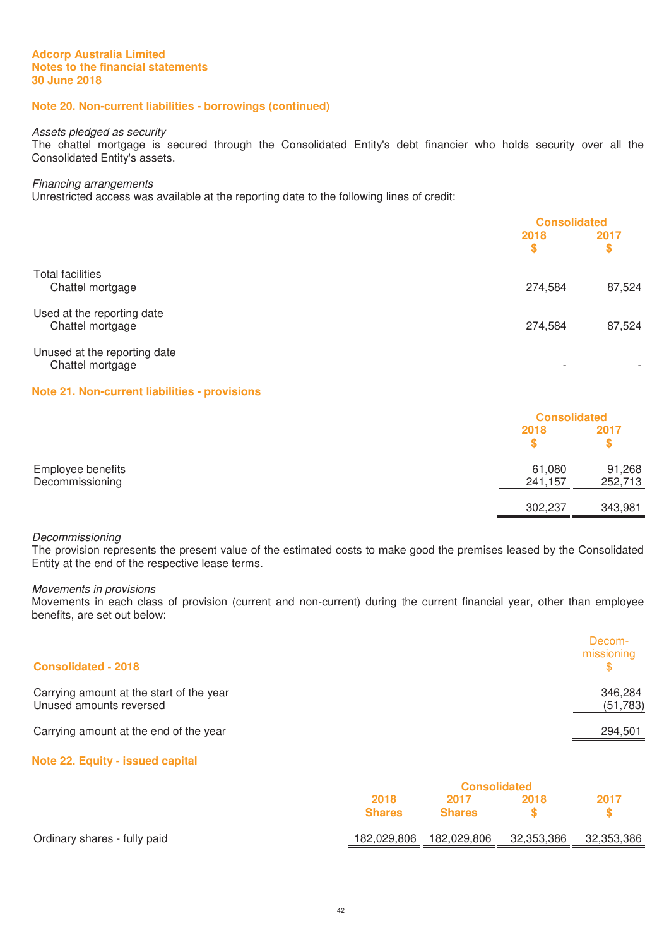# **Note 20. Non-current liabilities - borrowings (continued)**

#### Assets pledged as security

The chattel mortgage is secured through the Consolidated Entity's debt financier who holds security over all the Consolidated Entity's assets.

# Financing arrangements

Unrestricted access was available at the reporting date to the following lines of credit:

|                              |         | <b>Consolidated</b> |  |
|------------------------------|---------|---------------------|--|
|                              | 2018    | 2017                |  |
|                              | S       | \$                  |  |
| <b>Total facilities</b>      |         |                     |  |
| Chattel mortgage             | 274,584 | 87,524              |  |
| Used at the reporting date   |         |                     |  |
| Chattel mortgage             | 274,584 | 87,524              |  |
| Unused at the reporting date |         |                     |  |
| Chattel mortgage             |         |                     |  |

# **Note 21. Non-current liabilities - provisions**

|                   |         | <b>Consolidated</b> |  |
|-------------------|---------|---------------------|--|
|                   | 2018    | 2017                |  |
|                   |         |                     |  |
| Employee benefits | 61,080  | 91,268              |  |
| Decommissioning   | 241,157 | 252,713             |  |
|                   | 302,237 | 343,981             |  |

# Decommissioning

The provision represents the present value of the estimated costs to make good the premises leased by the Consolidated Entity at the end of the respective lease terms.

#### Movements in provisions

Movements in each class of provision (current and non-current) during the current financial year, other than employee benefits, are set out below:

| <b>Consolidated - 2018</b>                                          | Decom-<br>missioning |
|---------------------------------------------------------------------|----------------------|
| Carrying amount at the start of the year<br>Unused amounts reversed | 346,284<br>(51,783)  |
| Carrying amount at the end of the year                              | 294,501              |

#### **Note 22. Equity - issued capital**

|                              | <b>Consolidated</b> |               |            |            |
|------------------------------|---------------------|---------------|------------|------------|
|                              | 2018                | 2017          | 2018       | 2017       |
|                              | <b>Shares</b>       | <b>Shares</b> |            |            |
| Ordinary shares - fully paid | 182,029,806         | 182,029,806   | 32,353,386 | 32,353,386 |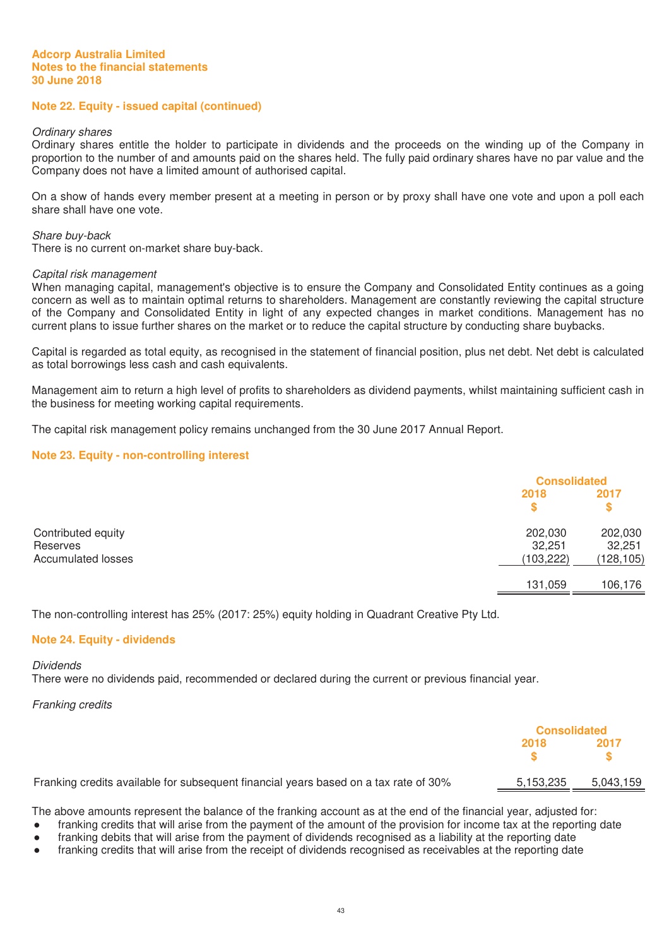# **Note 22. Equity - issued capital (continued)**

#### Ordinary shares

Ordinary shares entitle the holder to participate in dividends and the proceeds on the winding up of the Company in proportion to the number of and amounts paid on the shares held. The fully paid ordinary shares have no par value and the Company does not have a limited amount of authorised capital.

On a show of hands every member present at a meeting in person or by proxy shall have one vote and upon a poll each share shall have one vote.

Share buy-back There is no current on-market share buy-back.

#### Capital risk management

When managing capital, management's objective is to ensure the Company and Consolidated Entity continues as a going concern as well as to maintain optimal returns to shareholders. Management are constantly reviewing the capital structure of the Company and Consolidated Entity in light of any expected changes in market conditions. Management has no current plans to issue further shares on the market or to reduce the capital structure by conducting share buybacks.

Capital is regarded as total equity, as recognised in the statement of financial position, plus net debt. Net debt is calculated as total borrowings less cash and cash equivalents.

Management aim to return a high level of profits to shareholders as dividend payments, whilst maintaining sufficient cash in the business for meeting working capital requirements.

The capital risk management policy remains unchanged from the 30 June 2017 Annual Report.

# **Note 23. Equity - non-controlling interest**

|                                                             |                                 | <b>Consolidated</b>             |  |
|-------------------------------------------------------------|---------------------------------|---------------------------------|--|
|                                                             | 2018                            | 2017<br><b>S</b>                |  |
| Contributed equity<br>Reserves<br><b>Accumulated losses</b> | 202,030<br>32,251<br>(103, 222) | 202,030<br>32,251<br>(128, 105) |  |
|                                                             | 131,059                         | 106,176                         |  |

The non-controlling interest has 25% (2017: 25%) equity holding in Quadrant Creative Pty Ltd.

# **Note 24. Equity - dividends**

#### Dividends

There were no dividends paid, recommended or declared during the current or previous financial year.

Franking credits

|                                                                                      | <b>Consolidated</b> |           |      |
|--------------------------------------------------------------------------------------|---------------------|-----------|------|
|                                                                                      | 2018                |           | 2017 |
|                                                                                      |                     |           |      |
| Franking credits available for subsequent financial years based on a tax rate of 30% | 5,153,235           | 5,043,159 |      |

The above amounts represent the balance of the franking account as at the end of the financial year, adjusted for:

- franking credits that will arise from the payment of the amount of the provision for income tax at the reporting date
- franking debits that will arise from the payment of dividends recognised as a liability at the reporting date
- franking credits that will arise from the receipt of dividends recognised as receivables at the reporting date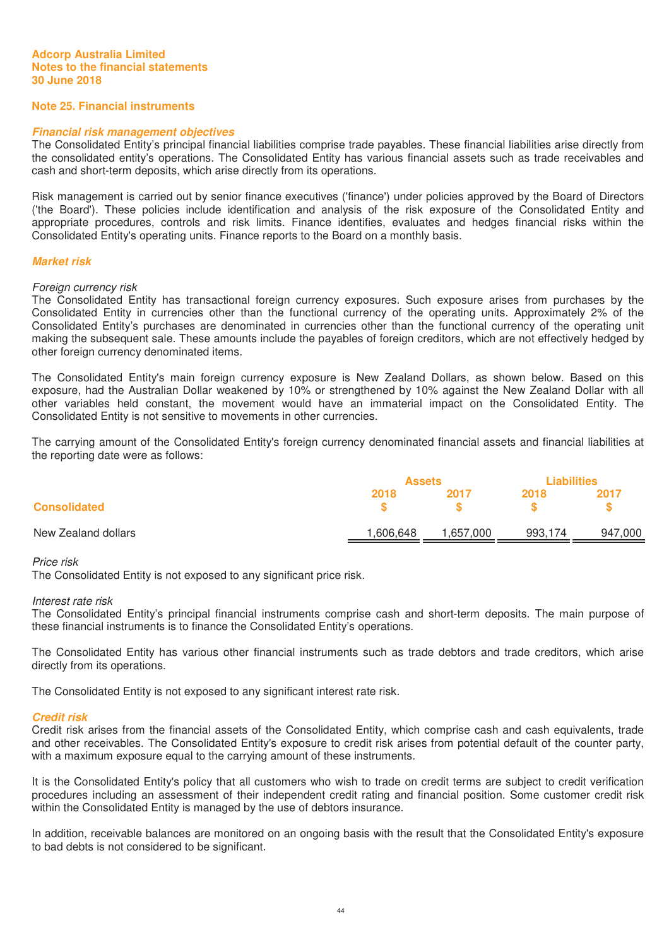# **Note 25. Financial instruments**

#### *Financial risk management objectives*

The Consolidated Entity's principal financial liabilities comprise trade payables. These financial liabilities arise directly from the consolidated entity's operations. The Consolidated Entity has various financial assets such as trade receivables and cash and short-term deposits, which arise directly from its operations.

Risk management is carried out by senior finance executives ('finance') under policies approved by the Board of Directors ('the Board'). These policies include identification and analysis of the risk exposure of the Consolidated Entity and appropriate procedures, controls and risk limits. Finance identifies, evaluates and hedges financial risks within the Consolidated Entity's operating units. Finance reports to the Board on a monthly basis.

#### *Market risk*

#### Foreign currency risk

The Consolidated Entity has transactional foreign currency exposures. Such exposure arises from purchases by the Consolidated Entity in currencies other than the functional currency of the operating units. Approximately 2% of the Consolidated Entity's purchases are denominated in currencies other than the functional currency of the operating unit making the subsequent sale. These amounts include the payables of foreign creditors, which are not effectively hedged by other foreign currency denominated items.

The Consolidated Entity's main foreign currency exposure is New Zealand Dollars, as shown below. Based on this exposure, had the Australian Dollar weakened by 10% or strengthened by 10% against the New Zealand Dollar with all other variables held constant, the movement would have an immaterial impact on the Consolidated Entity. The Consolidated Entity is not sensitive to movements in other currencies.

The carrying amount of the Consolidated Entity's foreign currency denominated financial assets and financial liabilities at the reporting date were as follows:

|                     | <b>Assets</b> |            | <b>Liabilities</b> |         |
|---------------------|---------------|------------|--------------------|---------|
|                     | 2018          | 2017       | 2018               | 2017    |
| <b>Consolidated</b> |               |            |                    |         |
| New Zealand dollars | 606,648,      | .657,000 ا | 993,174            | 947,000 |

#### Price risk

The Consolidated Entity is not exposed to any significant price risk.

#### Interest rate risk

The Consolidated Entity's principal financial instruments comprise cash and short-term deposits. The main purpose of these financial instruments is to finance the Consolidated Entity's operations.

The Consolidated Entity has various other financial instruments such as trade debtors and trade creditors, which arise directly from its operations.

The Consolidated Entity is not exposed to any significant interest rate risk.

# *Credit risk*

Credit risk arises from the financial assets of the Consolidated Entity, which comprise cash and cash equivalents, trade and other receivables. The Consolidated Entity's exposure to credit risk arises from potential default of the counter party, with a maximum exposure equal to the carrying amount of these instruments.

It is the Consolidated Entity's policy that all customers who wish to trade on credit terms are subject to credit verification procedures including an assessment of their independent credit rating and financial position. Some customer credit risk within the Consolidated Entity is managed by the use of debtors insurance.

In addition, receivable balances are monitored on an ongoing basis with the result that the Consolidated Entity's exposure to bad debts is not considered to be significant.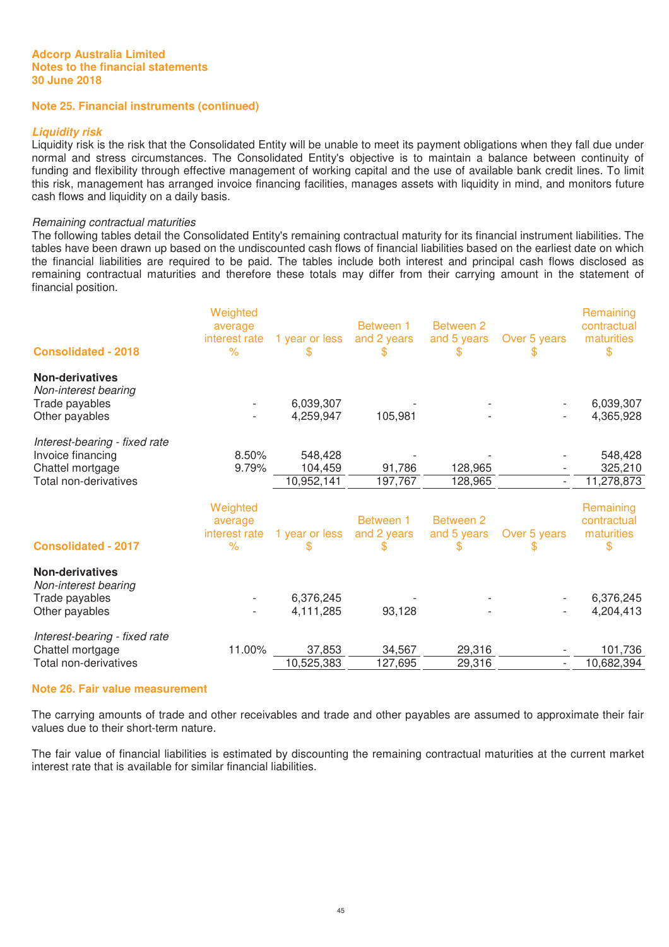# **Note 25. Financial instruments (continued)**

#### *Liquidity risk*

Liquidity risk is the risk that the Consolidated Entity will be unable to meet its payment obligations when they fall due under normal and stress circumstances. The Consolidated Entity's objective is to maintain a balance between continuity of funding and flexibility through effective management of working capital and the use of available bank credit lines. To limit this risk, management has arranged invoice financing facilities, manages assets with liquidity in mind, and monitors future cash flows and liquidity on a daily basis.

#### Remaining contractual maturities

The following tables detail the Consolidated Entity's remaining contractual maturity for its financial instrument liabilities. The tables have been drawn up based on the undiscounted cash flows of financial liabilities based on the earliest date on which the financial liabilities are required to be paid. The tables include both interest and principal cash flows disclosed as remaining contractual maturities and therefore these totals may differ from their carrying amount in the statement of financial position.

| <b>Consolidated - 2018</b>                     | Weighted<br>average<br>interest rate<br>$\frac{9}{6}$ | 1 year or less | Between 1<br>and 2 years | Between 2<br>and 5 years<br>\$ | Over 5 years | Remaining<br>contractual<br>maturities<br>\$ |
|------------------------------------------------|-------------------------------------------------------|----------------|--------------------------|--------------------------------|--------------|----------------------------------------------|
| <b>Non-derivatives</b>                         |                                                       |                |                          |                                |              |                                              |
| Non-interest bearing<br>Trade payables         |                                                       | 6,039,307      |                          |                                |              | 6,039,307                                    |
| Other payables                                 |                                                       | 4,259,947      | 105,981                  |                                |              | 4,365,928                                    |
|                                                |                                                       |                |                          |                                |              |                                              |
| Interest-bearing - fixed rate                  |                                                       |                |                          |                                |              |                                              |
| Invoice financing                              | 8.50%                                                 | 548,428        |                          |                                |              | 548,428                                      |
| Chattel mortgage                               | 9.79%                                                 | 104,459        | 91,786                   | 128,965                        |              | 325,210                                      |
| Total non-derivatives                          |                                                       | 10,952,141     | 197,767                  | 128,965                        |              | 11,278,873                                   |
|                                                | Weighted                                              |                |                          |                                |              | Remaining                                    |
|                                                | average                                               |                | Between 1                | Between 2                      |              | contractual                                  |
|                                                | interest rate                                         | 1 year or less | and 2 years              | and 5 years                    | Over 5 years | maturities                                   |
| <b>Consolidated - 2017</b>                     | $\frac{9}{6}$                                         |                |                          |                                |              |                                              |
| <b>Non-derivatives</b><br>Non-interest bearing |                                                       |                |                          |                                |              |                                              |
| Trade payables                                 |                                                       | 6,376,245      |                          |                                |              | 6,376,245                                    |
| Other payables                                 |                                                       | 4,111,285      | 93,128                   |                                |              | 4,204,413                                    |
| Interest-bearing - fixed rate                  |                                                       |                |                          |                                |              |                                              |
| Chattel mortgage                               | 11.00%                                                | 37,853         | 34,567                   | 29,316                         |              | 101,736                                      |
| Total non-derivatives                          |                                                       | 10,525,383     | 127,695                  | 29,316                         |              | 10,682,394                                   |

# **Note 26. Fair value measurement**

The carrying amounts of trade and other receivables and trade and other payables are assumed to approximate their fair values due to their short-term nature.

The fair value of financial liabilities is estimated by discounting the remaining contractual maturities at the current market interest rate that is available for similar financial liabilities.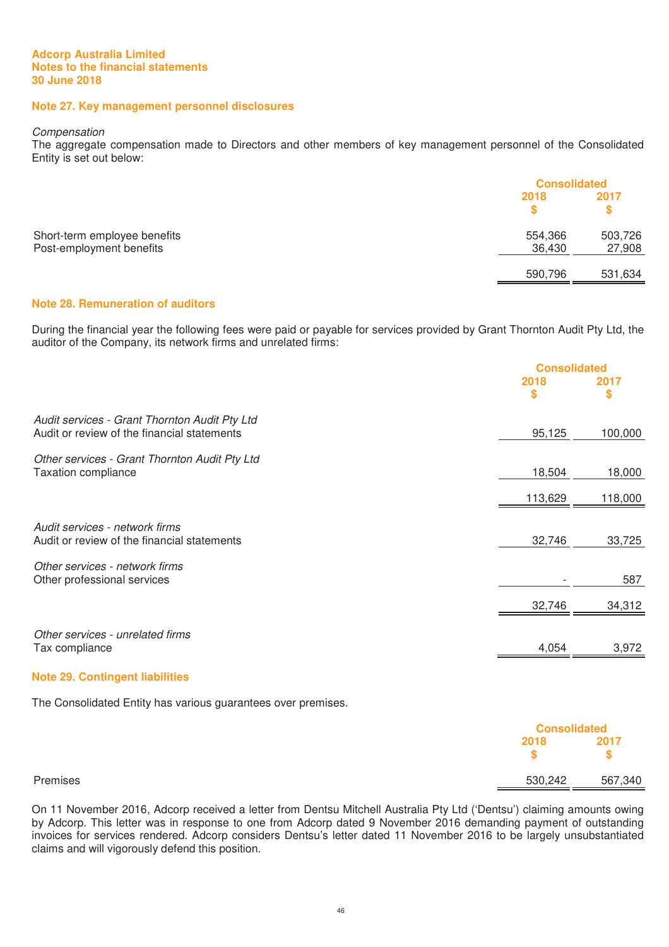# **Note 27. Key management personnel disclosures**

#### Compensation

The aggregate compensation made to Directors and other members of key management personnel of the Consolidated Entity is set out below:

|                                                          |                   | <b>Consolidated</b> |
|----------------------------------------------------------|-------------------|---------------------|
|                                                          | 2018              | 2017                |
| Short-term employee benefits<br>Post-employment benefits | 554,366<br>36,430 | 503,726<br>27,908   |
|                                                          | 590,796           | 531,634             |

# **Note 28. Remuneration of auditors**

During the financial year the following fees were paid or payable for services provided by Grant Thornton Audit Pty Ltd, the auditor of the Company, its network firms and unrelated firms:

|                                                                                              | <b>Consolidated</b> |            |
|----------------------------------------------------------------------------------------------|---------------------|------------|
|                                                                                              | 2018<br>\$          | 2017<br>\$ |
| Audit services - Grant Thornton Audit Pty Ltd<br>Audit or review of the financial statements | 95,125              | 100,000    |
| Other services - Grant Thornton Audit Pty Ltd<br>Taxation compliance                         | 18,504              | 18,000     |
|                                                                                              | 113,629             | 118,000    |
| Audit services - network firms<br>Audit or review of the financial statements                | 32,746              | 33,725     |
| Other services - network firms<br>Other professional services                                |                     | 587        |
|                                                                                              | 32,746              | 34,312     |
| Other services - unrelated firms<br>Tax compliance                                           | 4,054               | 3,972      |

# **Note 29. Contingent liabilities**

The Consolidated Entity has various guarantees over premises.

|          | <b>Consolidated</b> |           |
|----------|---------------------|-----------|
|          | 2018                | 2017<br>S |
| Premises | 530,242             | 567,340   |

On 11 November 2016, Adcorp received a letter from Dentsu Mitchell Australia Pty Ltd ('Dentsu') claiming amounts owing by Adcorp. This letter was in response to one from Adcorp dated 9 November 2016 demanding payment of outstanding invoices for services rendered. Adcorp considers Dentsu's letter dated 11 November 2016 to be largely unsubstantiated claims and will vigorously defend this position.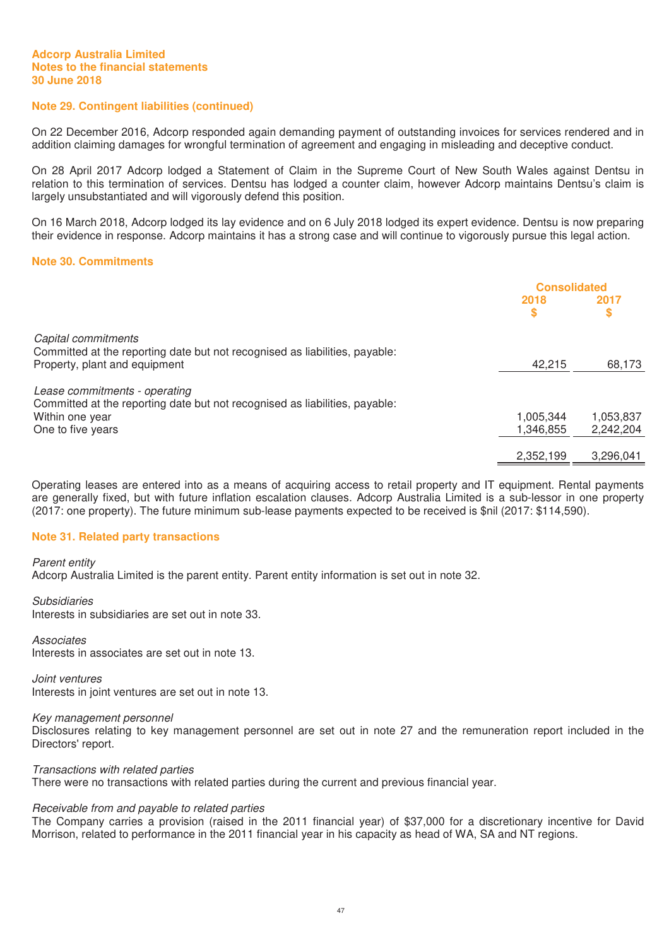# **Note 29. Contingent liabilities (continued)**

On 22 December 2016, Adcorp responded again demanding payment of outstanding invoices for services rendered and in addition claiming damages for wrongful termination of agreement and engaging in misleading and deceptive conduct.

On 28 April 2017 Adcorp lodged a Statement of Claim in the Supreme Court of New South Wales against Dentsu in relation to this termination of services. Dentsu has lodged a counter claim, however Adcorp maintains Dentsu's claim is largely unsubstantiated and will vigorously defend this position.

On 16 March 2018, Adcorp lodged its lay evidence and on 6 July 2018 lodged its expert evidence. Dentsu is now preparing their evidence in response. Adcorp maintains it has a strong case and will continue to vigorously pursue this legal action.

#### **Note 30. Commitments**

|                                                                                                              | <b>Consolidated</b> |           |
|--------------------------------------------------------------------------------------------------------------|---------------------|-----------|
|                                                                                                              | 2018                | 2017<br>S |
| Capital commitments<br>Committed at the reporting date but not recognised as liabilities, payable:           |                     |           |
| Property, plant and equipment                                                                                | 42,215              | 68,173    |
| Lease commitments - operating<br>Committed at the reporting date but not recognised as liabilities, payable: |                     |           |
| Within one year                                                                                              | 1,005,344           | 1,053,837 |
| One to five years                                                                                            | 1,346,855           | 2,242,204 |
|                                                                                                              | 2,352,199           | 3,296,041 |

Operating leases are entered into as a means of acquiring access to retail property and IT equipment. Rental payments are generally fixed, but with future inflation escalation clauses. Adcorp Australia Limited is a sub-lessor in one property (2017: one property). The future minimum sub-lease payments expected to be received is \$nil (2017: \$114,590).

# **Note 31. Related party transactions**

#### Parent entity

Adcorp Australia Limited is the parent entity. Parent entity information is set out in note 32.

#### Subsidiaries

Interests in subsidiaries are set out in note 33.

#### **Associates**

Interests in associates are set out in note 13.

Joint ventures Interests in joint ventures are set out in note 13.

#### Key management personnel

Disclosures relating to key management personnel are set out in note 27 and the remuneration report included in the Directors' report.

Transactions with related parties

There were no transactions with related parties during the current and previous financial year.

# Receivable from and payable to related parties

The Company carries a provision (raised in the 2011 financial year) of \$37,000 for a discretionary incentive for David Morrison, related to performance in the 2011 financial year in his capacity as head of WA, SA and NT regions.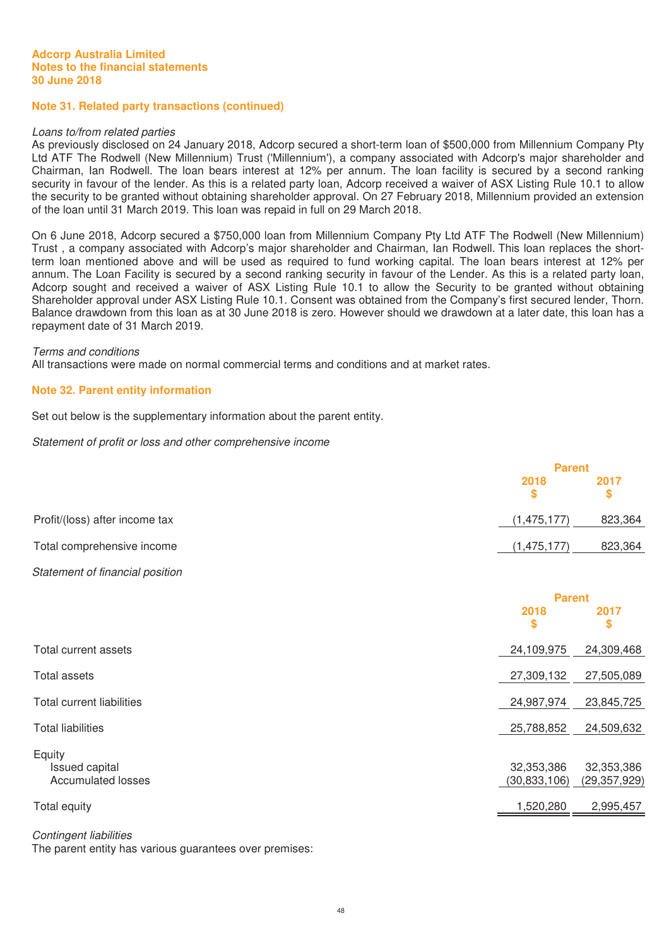# **Note 31. Related party transactions (continued)**

#### Loans to/from related parties

As previously disclosed on 24 January 2018, Adcorp secured a short-term loan of \$500,000 from Millennium Company Pty Ltd ATF The Rodwell (New Millennium) Trust ('Millennium'), a company associated with Adcorp's major shareholder and Chairman, Ian Rodwell. The loan bears interest at 12% per annum. The loan facility is secured by a second ranking security in favour of the lender. As this is a related party loan, Adcorp received a waiver of ASX Listing Rule 10.1 to allow the security to be granted without obtaining shareholder approval. On 27 February 2018, Millennium provided an extension of the loan until 31 March 2019. This loan was repaid in full on 29 March 2018.

On 6 June 2018, Adcorp secured a \$750,000 loan from Millennium Company Pty Ltd ATF The Rodwell (New Millennium) Trust , a company associated with Adcorp's major shareholder and Chairman, Ian Rodwell. This loan replaces the shortterm loan mentioned above and will be used as required to fund working capital. The loan bears interest at 12% per annum. The Loan Facility is secured by a second ranking security in favour of the Lender. As this is a related party loan, Adcorp sought and received a waiver of ASX Listing Rule 10.1 to allow the Security to be granted without obtaining Shareholder approval under ASX Listing Rule 10.1. Consent was obtained from the Company's first secured lender, Thorn. Balance drawdown from this loan as at 30 June 2018 is zero. However should we drawdown at a later date, this loan has a repayment date of 31 March 2019.

#### Terms and conditions

All transactions were made on normal commercial terms and conditions and at market rates.

# **Note 32. Parent entity information**

Set out below is the supplementary information about the parent entity.

#### Statement of profit or loss and other comprehensive income

|                                | <b>Parent</b> |         |
|--------------------------------|---------------|---------|
|                                | 2018          | 2017    |
| Profit/(loss) after income tax | (1, 475, 177) | 823,364 |
| Total comprehensive income     | (1,475,177)   | 823,364 |

Statement of financial position

|                                                       | <b>Parent</b>                |                              |
|-------------------------------------------------------|------------------------------|------------------------------|
|                                                       | 2018<br>\$                   | 2017<br>\$                   |
| Total current assets                                  | 24,109,975                   | 24,309,468                   |
| Total assets                                          | 27,309,132                   | 27,505,089                   |
| <b>Total current liabilities</b>                      | 24,987,974                   | 23,845,725                   |
| <b>Total liabilities</b>                              | 25,788,852                   | 24,509,632                   |
| Equity<br>Issued capital<br><b>Accumulated losses</b> | 32,353,386<br>(30, 833, 106) | 32,353,386<br>(29, 357, 929) |
| Total equity                                          | 1,520,280                    | 2,995,457                    |

Contingent liabilities The parent entity has various guarantees over premises: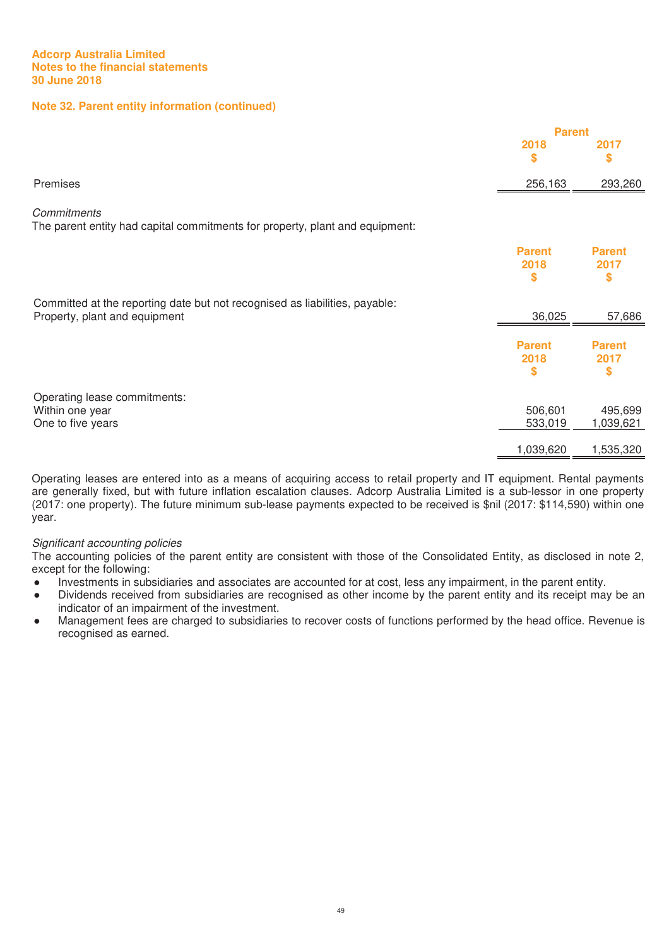# **Note 32. Parent entity information (continued)**

|                                                                                                              | <b>Parent</b>               |                             |
|--------------------------------------------------------------------------------------------------------------|-----------------------------|-----------------------------|
|                                                                                                              | 2018<br>\$                  | 2017<br>\$                  |
| Premises                                                                                                     | 256,163                     | 293,260                     |
| <b>Commitments</b><br>The parent entity had capital commitments for property, plant and equipment:           |                             |                             |
|                                                                                                              | <b>Parent</b><br>2018<br>\$ | <b>Parent</b><br>2017<br>\$ |
| Committed at the reporting date but not recognised as liabilities, payable:<br>Property, plant and equipment | 36,025                      | 57,686                      |
|                                                                                                              | <b>Parent</b><br>2018<br>S  | <b>Parent</b><br>2017<br>\$ |
| Operating lease commitments:<br>Within one year<br>One to five years                                         | 506,601<br>533,019          | 495,699<br>1,039,621        |
|                                                                                                              | 1,039,620                   | 1,535,320                   |

Operating leases are entered into as a means of acquiring access to retail property and IT equipment. Rental payments are generally fixed, but with future inflation escalation clauses. Adcorp Australia Limited is a sub-lessor in one property (2017: one property). The future minimum sub-lease payments expected to be received is \$nil (2017: \$114,590) within one year.

# Significant accounting policies

The accounting policies of the parent entity are consistent with those of the Consolidated Entity, as disclosed in note 2, except for the following:

- Investments in subsidiaries and associates are accounted for at cost, less any impairment, in the parent entity.
- Dividends received from subsidiaries are recognised as other income by the parent entity and its receipt may be an indicator of an impairment of the investment.
- Ɣ Management fees are charged to subsidiaries to recover costs of functions performed by the head office. Revenue is recognised as earned.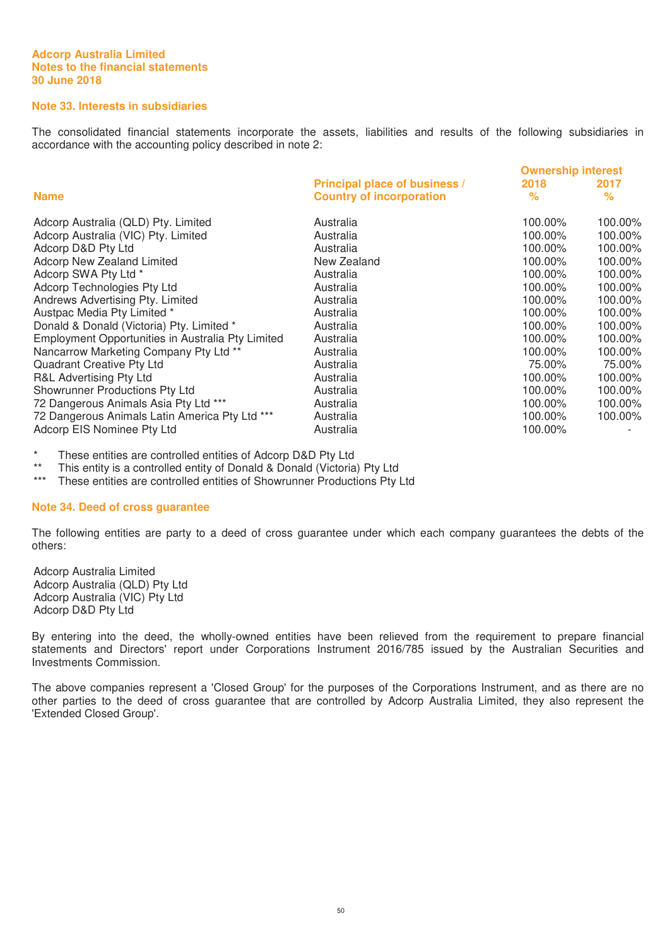# **Note 33. Interests in subsidiaries**

The consolidated financial statements incorporate the assets, liabilities and results of the following subsidiaries in accordance with the accounting policy described in note 2:

|                                                   |                                 | <b>Ownership interest</b> |         |
|---------------------------------------------------|---------------------------------|---------------------------|---------|
|                                                   | Principal place of business /   | 2018                      | 2017    |
| <b>Name</b>                                       | <b>Country of incorporation</b> | $\%$                      | ℅       |
| Adcorp Australia (QLD) Pty. Limited               | Australia                       | 100.00%                   | 100.00% |
| Adcorp Australia (VIC) Pty. Limited               | Australia                       | 100.00%                   | 100.00% |
| Adcorp D&D Pty Ltd                                | Australia                       | 100.00%                   | 100.00% |
| Adcorp New Zealand Limited                        | New Zealand                     | 100.00%                   | 100.00% |
| Adcorp SWA Pty Ltd *                              | Australia                       | 100.00%                   | 100.00% |
| Adcorp Technologies Pty Ltd                       | Australia                       | 100.00%                   | 100.00% |
| Andrews Advertising Pty. Limited                  | Australia                       | 100.00%                   | 100.00% |
| Austpac Media Pty Limited *                       | Australia                       | 100.00%                   | 100.00% |
| Donald & Donald (Victoria) Pty. Limited *         | Australia                       | 100.00%                   | 100.00% |
| Employment Opportunities in Australia Pty Limited | Australia                       | 100.00%                   | 100.00% |
| Nancarrow Marketing Company Pty Ltd **            | Australia                       | 100.00%                   | 100.00% |
| Quadrant Creative Pty Ltd                         | Australia                       | 75.00%                    | 75.00%  |
| R&L Advertising Pty Ltd                           | Australia                       | 100.00%                   | 100.00% |
| Showrunner Productions Pty Ltd                    | Australia                       | 100.00%                   | 100.00% |
| 72 Dangerous Animals Asia Pty Ltd ***             | Australia                       | 100.00%                   | 100.00% |
| 72 Dangerous Animals Latin America Pty Ltd ***    | Australia                       | 100.00%                   | 100.00% |
| Adcorp EIS Nominee Pty Ltd                        | Australia                       | 100.00%                   |         |

\* These entities are controlled entities of Adcorp D&D Pty Ltd

\*\* This entity is a controlled entity of Donald & Donald (Victoria) Pty Ltd<br>\*\*\* These entities are controlled entities of Charmena as Draduations Pty

These entities are controlled entities of Showrunner Productions Pty Ltd

# **Note 34. Deed of cross guarantee**

The following entities are party to a deed of cross guarantee under which each company guarantees the debts of the others:

Adcorp Australia Limited Adcorp Australia (QLD) Pty Ltd Adcorp Australia (VIC) Pty Ltd Adcorp D&D Pty Ltd

By entering into the deed, the wholly-owned entities have been relieved from the requirement to prepare financial statements and Directors' report under Corporations Instrument 2016/785 issued by the Australian Securities and Investments Commission.

The above companies represent a 'Closed Group' for the purposes of the Corporations Instrument, and as there are no other parties to the deed of cross guarantee that are controlled by Adcorp Australia Limited, they also represent the 'Extended Closed Group'.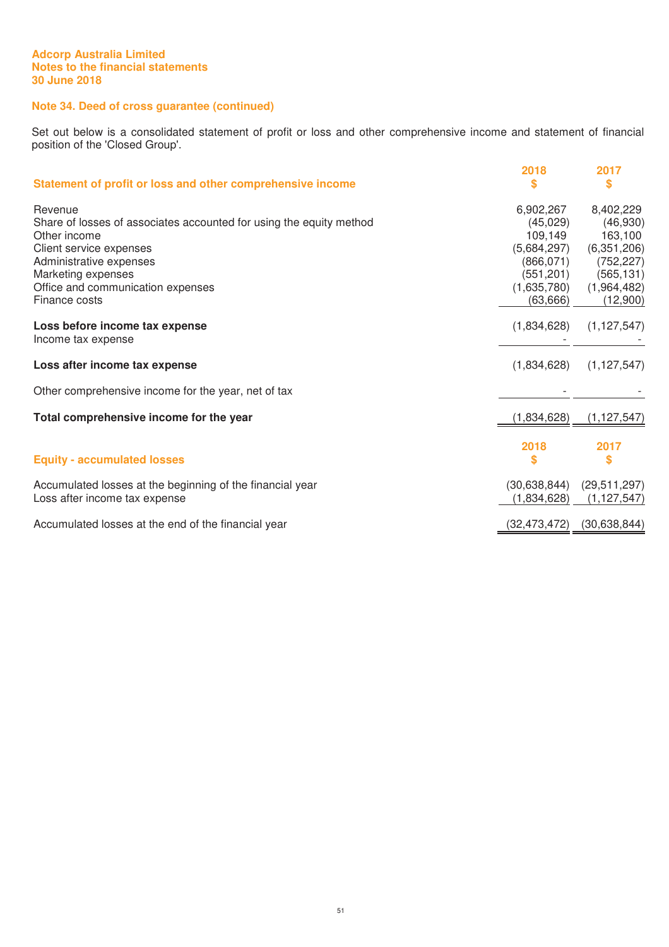# **Note 34. Deed of cross guarantee (continued)**

Set out below is a consolidated statement of profit or loss and other comprehensive income and statement of financial position of the 'Closed Group'.

| Statement of profit or loss and other comprehensive income                                                                                                                                                                       | 2018<br>\$                                                                                              | 2017<br>\$                                                                                             |
|----------------------------------------------------------------------------------------------------------------------------------------------------------------------------------------------------------------------------------|---------------------------------------------------------------------------------------------------------|--------------------------------------------------------------------------------------------------------|
| Revenue<br>Share of losses of associates accounted for using the equity method<br>Other income<br>Client service expenses<br>Administrative expenses<br>Marketing expenses<br>Office and communication expenses<br>Finance costs | 6,902,267<br>(45,029)<br>109,149<br>(5,684,297)<br>(866, 071)<br>(551, 201)<br>(1,635,780)<br>(63, 666) | 8,402,229<br>(46,930)<br>163,100<br>(6,351,206)<br>(752, 227)<br>(565, 131)<br>(1,964,482)<br>(12,900) |
| Loss before income tax expense<br>Income tax expense                                                                                                                                                                             | (1,834,628)                                                                                             | (1, 127, 547)                                                                                          |
| Loss after income tax expense                                                                                                                                                                                                    | (1,834,628)                                                                                             | (1, 127, 547)                                                                                          |
| Other comprehensive income for the year, net of tax                                                                                                                                                                              |                                                                                                         |                                                                                                        |
| Total comprehensive income for the year                                                                                                                                                                                          | (1,834,628)                                                                                             | (1, 127, 547)                                                                                          |
| <b>Equity - accumulated losses</b>                                                                                                                                                                                               | 2018<br>\$                                                                                              | 2017<br>\$                                                                                             |
| Accumulated losses at the beginning of the financial year<br>Loss after income tax expense                                                                                                                                       | (30,638,844)<br>(1,834,628)                                                                             | (29,511,297)<br>(1, 127, 547)                                                                          |
| Accumulated losses at the end of the financial year                                                                                                                                                                              | (32, 473, 472)                                                                                          | (30, 638, 844)                                                                                         |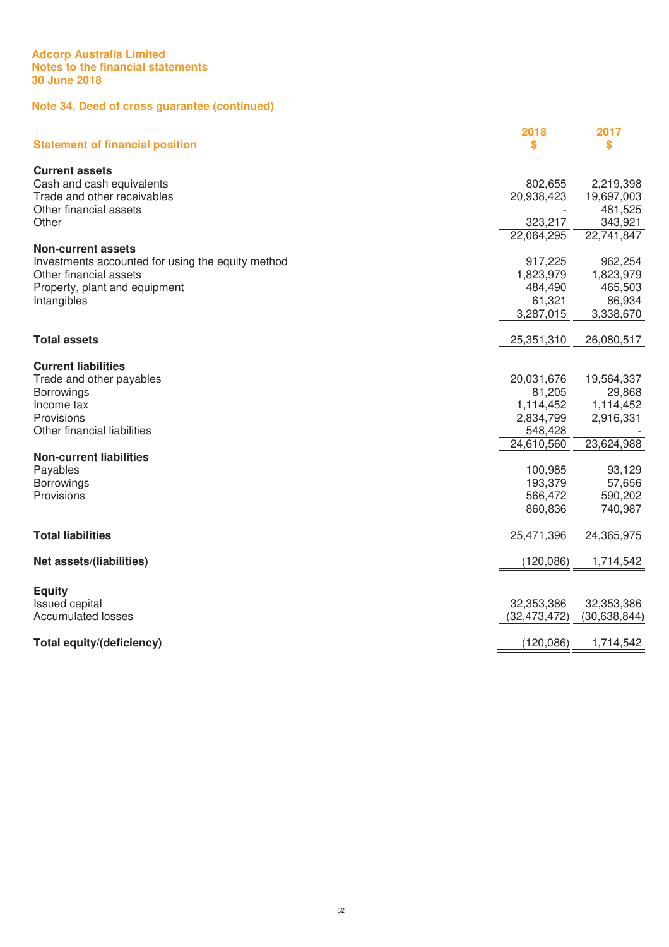# **Note 34. Deed of cross guarantee (continued)**

|                                                          | 2018                   | 2017                   |
|----------------------------------------------------------|------------------------|------------------------|
| <b>Statement of financial position</b>                   | \$                     | \$                     |
|                                                          |                        |                        |
| <b>Current assets</b>                                    |                        |                        |
| Cash and cash equivalents<br>Trade and other receivables | 802,655                | 2,219,398              |
| Other financial assets                                   | 20,938,423             | 19,697,003<br>481,525  |
| Other                                                    | 323,217                | 343,921                |
|                                                          | 22,064,295             | 22,741,847             |
| <b>Non-current assets</b>                                |                        |                        |
| Investments accounted for using the equity method        | 917,225                | 962,254                |
| Other financial assets                                   | 1,823,979              | 1,823,979              |
| Property, plant and equipment                            | 484,490                | 465,503                |
| Intangibles                                              | 61,321                 | 86,934                 |
|                                                          | 3,287,015              | 3,338,670              |
|                                                          |                        |                        |
| <b>Total assets</b>                                      | 25,351,310             | 26,080,517             |
|                                                          |                        |                        |
| <b>Current liabilities</b>                               |                        |                        |
| Trade and other payables                                 | 20,031,676             | 19,564,337             |
| Borrowings<br>Income tax                                 | 81,205                 | 29,868                 |
| Provisions                                               | 1,114,452<br>2,834,799 | 1,114,452<br>2,916,331 |
| Other financial liabilities                              | 548,428                |                        |
|                                                          | 24,610,560             | 23,624,988             |
| <b>Non-current liabilities</b>                           |                        |                        |
| Payables                                                 | 100,985                | 93,129                 |
| Borrowings                                               | 193,379                | 57,656                 |
| Provisions                                               | 566,472                | 590,202                |
|                                                          | 860,836                | 740,987                |
|                                                          |                        |                        |
| <b>Total liabilities</b>                                 | 25,471,396             | 24,365,975             |
|                                                          |                        |                        |
| Net assets/(liabilities)                                 | (120, 086)             | 1,714,542              |
|                                                          |                        |                        |
| <b>Equity</b>                                            |                        |                        |
| <b>Issued capital</b>                                    | 32,353,386             | 32,353,386             |
| <b>Accumulated losses</b>                                | (32, 473, 472)         | (30, 638, 844)         |
| Total equity/(deficiency)                                | (120, 086)             | 1,714,542              |
|                                                          |                        |                        |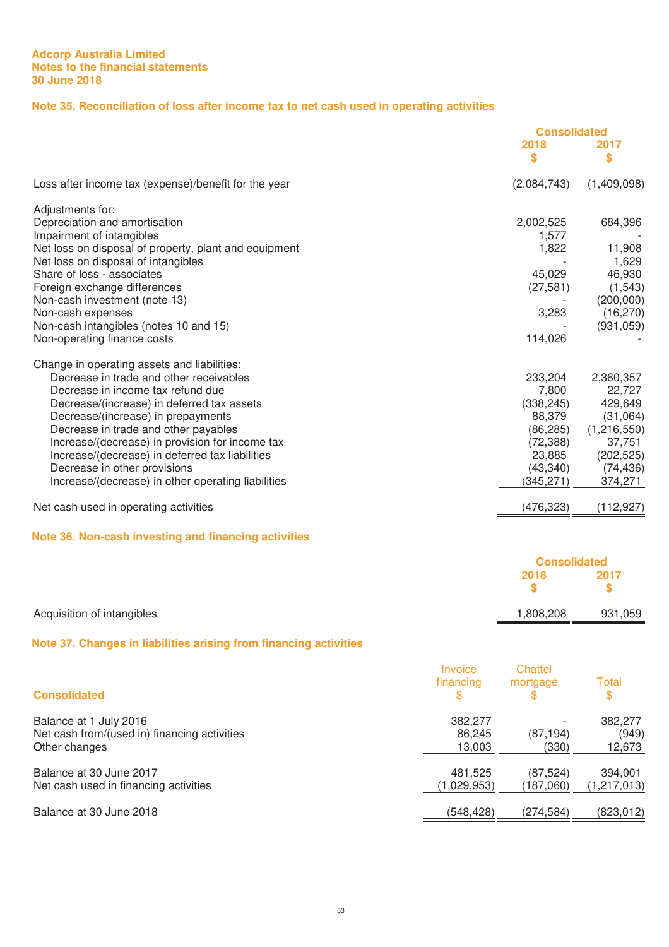# **Note 35. Reconciliation of loss after income tax to net cash used in operating activities**

|                                                       | <b>Consolidated</b> |             |
|-------------------------------------------------------|---------------------|-------------|
|                                                       | 2018<br>\$          | 2017<br>\$  |
| Loss after income tax (expense)/benefit for the year  | (2,084,743)         | (1,409,098) |
| Adjustments for:<br>Depreciation and amortisation     | 2,002,525           | 684,396     |
| Impairment of intangibles                             | 1,577               |             |
| Net loss on disposal of property, plant and equipment | 1,822               | 11,908      |
| Net loss on disposal of intangibles                   |                     | 1,629       |
| Share of loss - associates                            | 45,029              | 46,930      |
| Foreign exchange differences                          | (27, 581)           | (1, 543)    |
| Non-cash investment (note 13)                         |                     | (200,000)   |
| Non-cash expenses                                     | 3,283               | (16, 270)   |
| Non-cash intangibles (notes 10 and 15)                | 114,026             | (931, 059)  |
| Non-operating finance costs                           |                     |             |
| Change in operating assets and liabilities:           |                     |             |
| Decrease in trade and other receivables               | 233,204             | 2,360,357   |
| Decrease in income tax refund due                     | 7,800               | 22,727      |
| Decrease/(increase) in deferred tax assets            | (338, 245)          | 429,649     |
| Decrease/(increase) in prepayments                    | 88,379              | (31,064)    |
| Decrease in trade and other payables                  | (86, 285)           | (1,216,550) |
| Increase/(decrease) in provision for income tax       | (72, 388)           | 37,751      |
| Increase/(decrease) in deferred tax liabilities       | 23,885              | (202, 525)  |
| Decrease in other provisions                          | (43, 340)           | (74, 436)   |
| Increase/(decrease) in other operating liabilities    | (345, 271)          | 374,271     |
| Net cash used in operating activities                 | (476, 323)          | (112, 927)  |

# **Note 36. Non-cash investing and financing activities**

|                            |           | <b>Consolidated</b> |  |
|----------------------------|-----------|---------------------|--|
|                            | 2018      | 2017                |  |
|                            |           | S                   |  |
| Acquisition of intangibles | 1,808,208 | 931,059             |  |

# **Note 37. Changes in liabilities arising from financing activities**

| <b>Consolidated</b>                                                                     | Invoice                     | Chattel            | Total                      |
|-----------------------------------------------------------------------------------------|-----------------------------|--------------------|----------------------------|
|                                                                                         | financing                   | mortgage           | \$                         |
| Balance at 1 July 2016<br>Net cash from/(used in) financing activities<br>Other changes | 382,277<br>86,245<br>13,003 | (87, 194)<br>(330) | 382,277<br>(949)<br>12,673 |
| Balance at 30 June 2017                                                                 | 481.525                     | (87, 524)          | 394,001                    |
| Net cash used in financing activities                                                   | (1,029,953)                 | (187,060)          | (1, 217, 013)              |
| Balance at 30 June 2018                                                                 | (548,428)                   | (274,584)          | (823, 012)                 |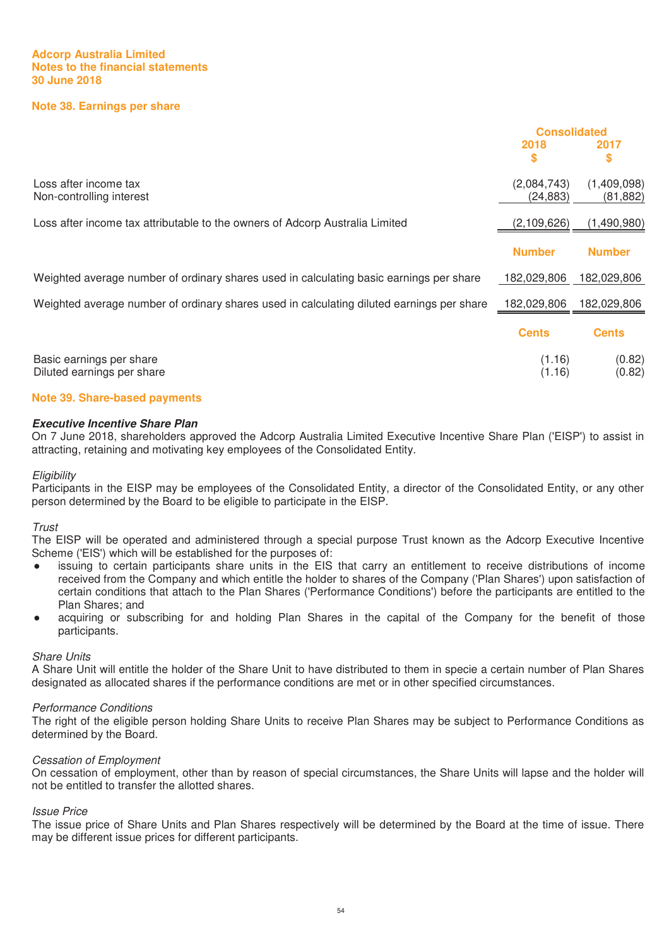# **Note 38. Earnings per share**

|                                                                                           | <b>Consolidated</b>      |                          |
|-------------------------------------------------------------------------------------------|--------------------------|--------------------------|
|                                                                                           | 2018<br>\$               | 2017<br>\$               |
| Loss after income tax<br>Non-controlling interest                                         | (2,084,743)<br>(24, 883) | (1,409,098)<br>(81, 882) |
| Loss after income tax attributable to the owners of Adcorp Australia Limited              | (2,109,626)              | (1,490,980)              |
|                                                                                           | <b>Number</b>            | <b>Number</b>            |
| Weighted average number of ordinary shares used in calculating basic earnings per share   | 182,029,806              | 182,029,806              |
| Weighted average number of ordinary shares used in calculating diluted earnings per share | 182,029,806              | 182,029,806              |
|                                                                                           | <b>Cents</b>             | <b>Cents</b>             |
| Basic earnings per share<br>Diluted earnings per share                                    | (1.16)<br>(1.16)         | (0.82)<br>(0.82)         |

# **Note 39. Share-based payments**

#### *Executive Incentive Share Plan*

On 7 June 2018, shareholders approved the Adcorp Australia Limited Executive Incentive Share Plan ('EISP') to assist in attracting, retaining and motivating key employees of the Consolidated Entity.

#### **Eligibility**

Participants in the EISP may be employees of the Consolidated Entity, a director of the Consolidated Entity, or any other person determined by the Board to be eligible to participate in the EISP.

#### **Trust**

The EISP will be operated and administered through a special purpose Trust known as the Adcorp Executive Incentive Scheme ('EIS') which will be established for the purposes of:

- issuing to certain participants share units in the EIS that carry an entitlement to receive distributions of income received from the Company and which entitle the holder to shares of the Company ('Plan Shares') upon satisfaction of certain conditions that attach to the Plan Shares ('Performance Conditions') before the participants are entitled to the Plan Shares; and
- acquiring or subscribing for and holding Plan Shares in the capital of the Company for the benefit of those participants.

#### Share Units

A Share Unit will entitle the holder of the Share Unit to have distributed to them in specie a certain number of Plan Shares designated as allocated shares if the performance conditions are met or in other specified circumstances.

#### Performance Conditions

The right of the eligible person holding Share Units to receive Plan Shares may be subject to Performance Conditions as determined by the Board.

#### Cessation of Employment

On cessation of employment, other than by reason of special circumstances, the Share Units will lapse and the holder will not be entitled to transfer the allotted shares.

#### Issue Price

The issue price of Share Units and Plan Shares respectively will be determined by the Board at the time of issue. There may be different issue prices for different participants.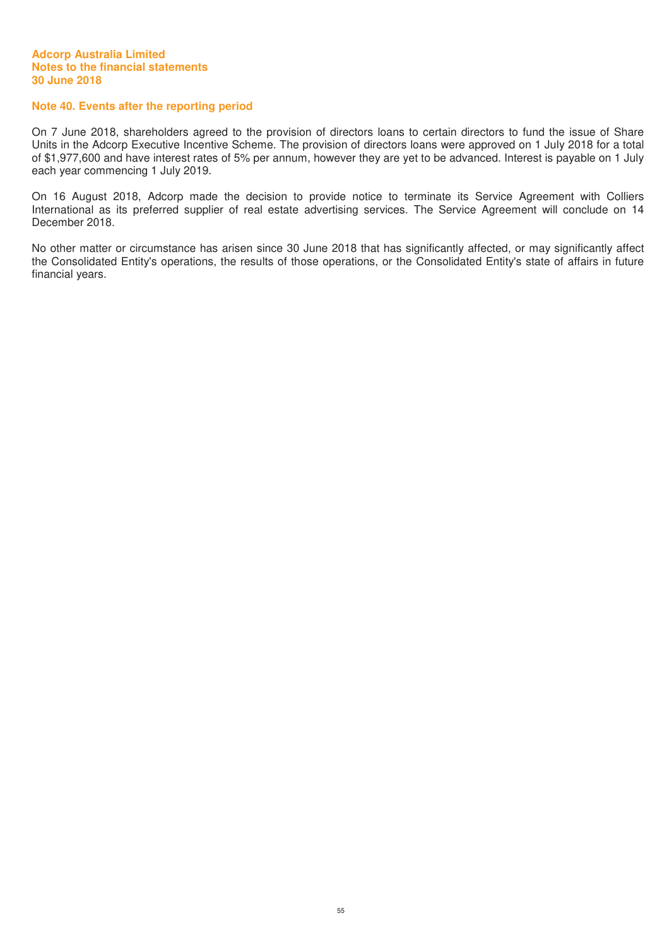# **Note 40. Events after the reporting period**

On 7 June 2018, shareholders agreed to the provision of directors loans to certain directors to fund the issue of Share Units in the Adcorp Executive Incentive Scheme. The provision of directors loans were approved on 1 July 2018 for a total of \$1,977,600 and have interest rates of 5% per annum, however they are yet to be advanced. Interest is payable on 1 July each year commencing 1 July 2019.

On 16 August 2018, Adcorp made the decision to provide notice to terminate its Service Agreement with Colliers International as its preferred supplier of real estate advertising services. The Service Agreement will conclude on 14 December 2018.

No other matter or circumstance has arisen since 30 June 2018 that has significantly affected, or may significantly affect the Consolidated Entity's operations, the results of those operations, or the Consolidated Entity's state of affairs in future financial years.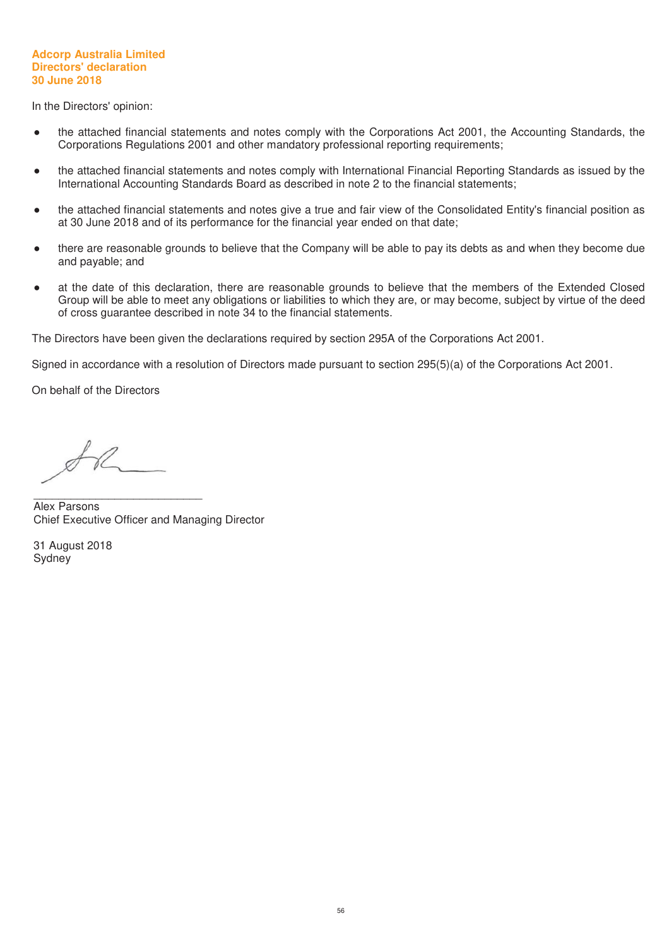# **Adcorp Australia Limited Directors' declaration 30 June 2018**

In the Directors' opinion:

- the attached financial statements and notes comply with the Corporations Act 2001, the Accounting Standards, the Corporations Regulations 2001 and other mandatory professional reporting requirements;
- the attached financial statements and notes comply with International Financial Reporting Standards as issued by the International Accounting Standards Board as described in note 2 to the financial statements;
- the attached financial statements and notes give a true and fair view of the Consolidated Entity's financial position as at 30 June 2018 and of its performance for the financial year ended on that date;
- there are reasonable grounds to believe that the Company will be able to pay its debts as and when they become due and payable; and
- at the date of this declaration, there are reasonable grounds to believe that the members of the Extended Closed Group will be able to meet any obligations or liabilities to which they are, or may become, subject by virtue of the deed of cross guarantee described in note 34 to the financial statements.

The Directors have been given the declarations required by section 295A of the Corporations Act 2001.

Signed in accordance with a resolution of Directors made pursuant to section 295(5)(a) of the Corporations Act 2001.

On behalf of the Directors

\_\_\_\_\_\_\_\_\_\_\_\_\_\_\_\_\_\_\_\_\_\_\_\_\_\_\_ Alex Parsons Chief Executive Officer and Managing Director

31 August 2018 Sydney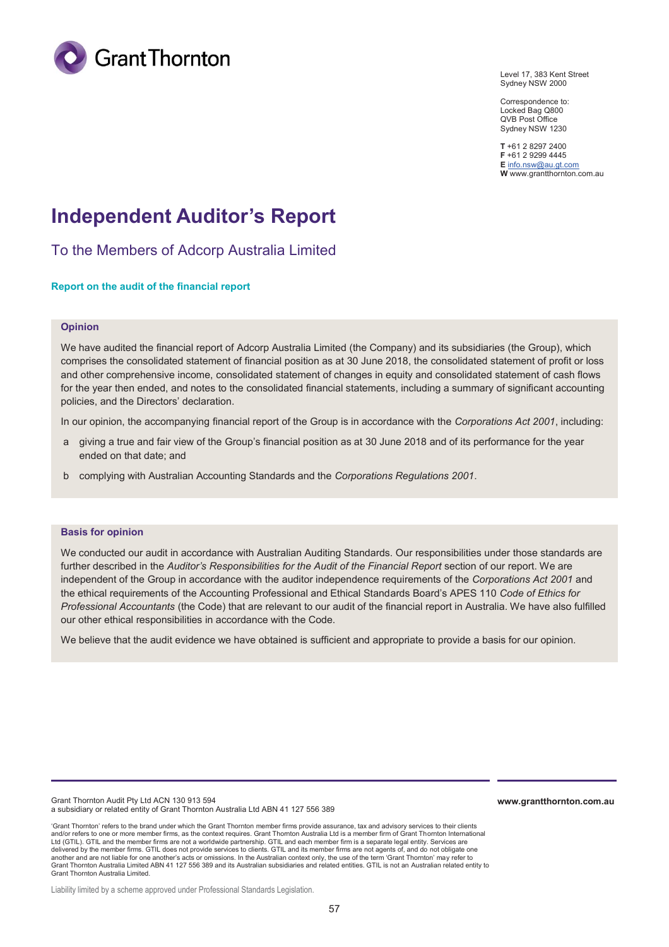

Level 17, 383 Kent Street Sydney NSW 2000

Correspondence to: Locked Bag Q800 QVB Post Office Sydney NSW 1230

**T** +61 2 8297 2400 **F** +61 2 9299 4445 **E** info.nsw@au.gt.com **W** www.grantthornton.com.au

# **Independent Auditor's Report**

To the Members of Adcorp Australia Limited

#### **Report on the audit of the financial report**

#### **Opinion**

We have audited the financial report of Adcorp Australia Limited (the Company) and its subsidiaries (the Group), which comprises the consolidated statement of financial position as at 30 June 2018, the consolidated statement of profit or loss and other comprehensive income, consolidated statement of changes in equity and consolidated statement of cash flows for the year then ended, and notes to the consolidated financial statements, including a summary of significant accounting policies, and the Directors' declaration.

In our opinion, the accompanying financial report of the Group is in accordance with the *Corporations Act 2001*, including:

- a giving a true and fair view of the Group's financial position as at 30 June 2018 and of its performance for the year ended on that date; and
- b complying with Australian Accounting Standards and the *Corporations Regulations 2001*.

#### **Basis for opinion**

We conducted our audit in accordance with Australian Auditing Standards. Our responsibilities under those standards are further described in the *Auditor's Responsibilities for the Audit of the Financial Report* section of our report. We are independent of the Group in accordance with the auditor independence requirements of the *Corporations Act 2001* and the ethical requirements of the Accounting Professional and Ethical Standards Board's APES 110 *Code of Ethics for Professional Accountants* (the Code) that are relevant to our audit of the financial report in Australia. We have also fulfilled our other ethical responsibilities in accordance with the Code.

We believe that the audit evidence we have obtained is sufficient and appropriate to provide a basis for our opinion.

Grant Thornton Audit Pty Ltd ACN 130 913 594 a subsidiary or related entity of Grant Thornton Australia Ltd ABN 41 127 556 389

'Grant Thornton' refers to the brand under which the Grant Thornton member firms provide assurance, tax and advisory services to their clients and/or refers to one or more member firms, as the context requires. Grant Thornton Australia Ltd is a member firm of Grant Thornton International Ltd (GTIL). GTIL and the member firms are not a worldwide partnership. GTIL and each member firm is a separate legal entity. Services are<br>delivered by the member firms. GTIL does not provide services to clients. GTIL and i another and are not liable for one another's acts or omissions. In the Australian context only, the use of the term 'Grant Thomton' may refer to<br>Grant Thornton Australia Limited ABN 41 127 556 389 and its Australian subsid Grant Thornton Australia Limited.

**www.grantthornton.com.au** 

Liability limited by a scheme approved under Professional Standards Legislation.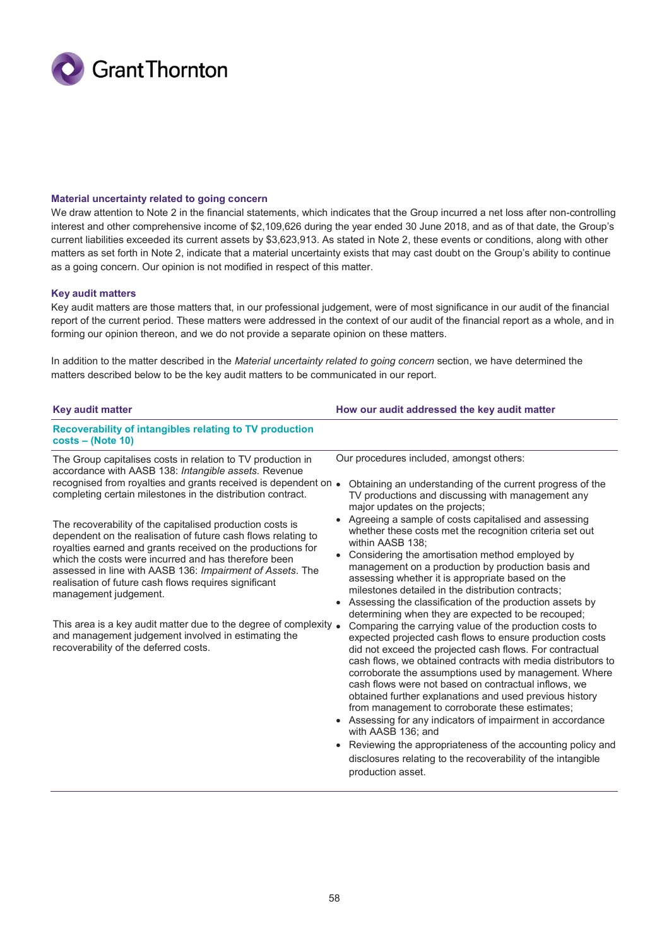

#### **Material uncertainty related to going concern**

We draw attention to Note 2 in the financial statements, which indicates that the Group incurred a net loss after non-controlling interest and other comprehensive income of \$2,109,626 during the year ended 30 June 2018, and as of that date, the Group's current liabilities exceeded its current assets by \$3,623,913. As stated in Note 2, these events or conditions, along with other matters as set forth in Note 2, indicate that a material uncertainty exists that may cast doubt on the Group's ability to continue as a going concern. Our opinion is not modified in respect of this matter.

#### **Key audit matters**

Key audit matters are those matters that, in our professional judgement, were of most significance in our audit of the financial report of the current period. These matters were addressed in the context of our audit of the financial report as a whole, and in forming our opinion thereon, and we do not provide a separate opinion on these matters.

In addition to the matter described in the *Material uncertainty related to going concern* section, we have determined the matters described below to be the key audit matters to be communicated in our report.

| <b>Key audit matter</b>                                                                                                                                                                                                                                                                                                                                                                                                                                                                                                                                                                                                                                                                                                                                                                                                                | How our audit addressed the key audit matter                                                                                                                                                                                                                                                                                                                                                                                                                                                                                                                                                                                                                                                                                                                                                                                                                                                                                                                                                                                                                                                                                                                                                                                                                                                                                                                                                                               |
|----------------------------------------------------------------------------------------------------------------------------------------------------------------------------------------------------------------------------------------------------------------------------------------------------------------------------------------------------------------------------------------------------------------------------------------------------------------------------------------------------------------------------------------------------------------------------------------------------------------------------------------------------------------------------------------------------------------------------------------------------------------------------------------------------------------------------------------|----------------------------------------------------------------------------------------------------------------------------------------------------------------------------------------------------------------------------------------------------------------------------------------------------------------------------------------------------------------------------------------------------------------------------------------------------------------------------------------------------------------------------------------------------------------------------------------------------------------------------------------------------------------------------------------------------------------------------------------------------------------------------------------------------------------------------------------------------------------------------------------------------------------------------------------------------------------------------------------------------------------------------------------------------------------------------------------------------------------------------------------------------------------------------------------------------------------------------------------------------------------------------------------------------------------------------------------------------------------------------------------------------------------------------|
| Recoverability of intangibles relating to TV production<br>$costs - (Note 10)$                                                                                                                                                                                                                                                                                                                                                                                                                                                                                                                                                                                                                                                                                                                                                         |                                                                                                                                                                                                                                                                                                                                                                                                                                                                                                                                                                                                                                                                                                                                                                                                                                                                                                                                                                                                                                                                                                                                                                                                                                                                                                                                                                                                                            |
| The Group capitalises costs in relation to TV production in<br>accordance with AASB 138: Intangible assets. Revenue<br>recognised from royalties and grants received is dependent on .<br>completing certain milestones in the distribution contract.<br>The recoverability of the capitalised production costs is<br>dependent on the realisation of future cash flows relating to<br>royalties earned and grants received on the productions for<br>which the costs were incurred and has therefore been<br>assessed in line with AASB 136: Impairment of Assets. The<br>realisation of future cash flows requires significant<br>management judgement.<br>This area is a key audit matter due to the degree of complexity $\bullet$<br>and management judgement involved in estimating the<br>recoverability of the deferred costs. | Our procedures included, amongst others:<br>Obtaining an understanding of the current progress of the<br>TV productions and discussing with management any<br>major updates on the projects;<br>Agreeing a sample of costs capitalised and assessing<br>$\bullet$<br>whether these costs met the recognition criteria set out<br>within AASB 138;<br>Considering the amortisation method employed by<br>management on a production by production basis and<br>assessing whether it is appropriate based on the<br>milestones detailed in the distribution contracts;<br>Assessing the classification of the production assets by<br>determining when they are expected to be recouped;<br>Comparing the carrying value of the production costs to<br>expected projected cash flows to ensure production costs<br>did not exceed the projected cash flows. For contractual<br>cash flows, we obtained contracts with media distributors to<br>corroborate the assumptions used by management. Where<br>cash flows were not based on contractual inflows, we<br>obtained further explanations and used previous history<br>from management to corroborate these estimates;<br>Assessing for any indicators of impairment in accordance<br>with AASB 136: and<br>Reviewing the appropriateness of the accounting policy and<br>$\bullet$<br>disclosures relating to the recoverability of the intangible<br>production asset. |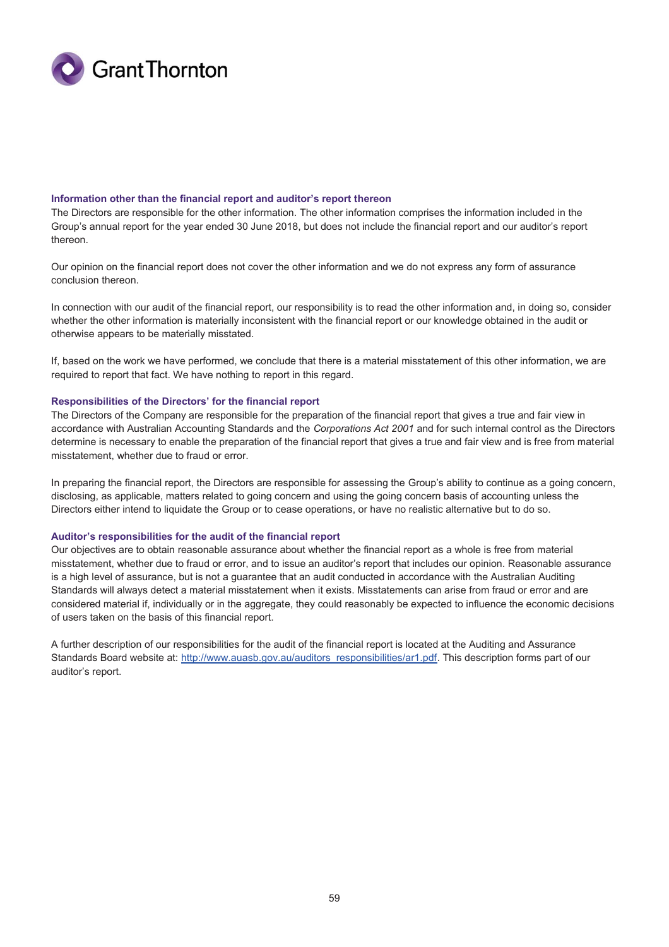

#### **Information other than the financial report and auditor's report thereon**

The Directors are responsible for the other information. The other information comprises the information included in the Group's annual report for the year ended 30 June 2018, but does not include the financial report and our auditor's report thereon.

Our opinion on the financial report does not cover the other information and we do not express any form of assurance conclusion thereon.

In connection with our audit of the financial report, our responsibility is to read the other information and, in doing so, consider whether the other information is materially inconsistent with the financial report or our knowledge obtained in the audit or otherwise appears to be materially misstated.

If, based on the work we have performed, we conclude that there is a material misstatement of this other information, we are required to report that fact. We have nothing to report in this regard.

#### **Responsibilities of the Directors' for the financial report**

The Directors of the Company are responsible for the preparation of the financial report that gives a true and fair view in accordance with Australian Accounting Standards and the *Corporations Act 2001* and for such internal control as the Directors determine is necessary to enable the preparation of the financial report that gives a true and fair view and is free from material misstatement, whether due to fraud or error.

In preparing the financial report, the Directors are responsible for assessing the Group's ability to continue as a going concern, disclosing, as applicable, matters related to going concern and using the going concern basis of accounting unless the Directors either intend to liquidate the Group or to cease operations, or have no realistic alternative but to do so.

#### **Auditor's responsibilities for the audit of the financial report**

Our objectives are to obtain reasonable assurance about whether the financial report as a whole is free from material misstatement, whether due to fraud or error, and to issue an auditor's report that includes our opinion. Reasonable assurance is a high level of assurance, but is not a guarantee that an audit conducted in accordance with the Australian Auditing Standards will always detect a material misstatement when it exists. Misstatements can arise from fraud or error and are considered material if, individually or in the aggregate, they could reasonably be expected to influence the economic decisions of users taken on the basis of this financial report.

A further description of our responsibilities for the audit of the financial report is located at the Auditing and Assurance Standards Board website at: http://www.auasb.gov.au/auditors\_responsibilities/ar1.pdf. This description forms part of our auditor's report.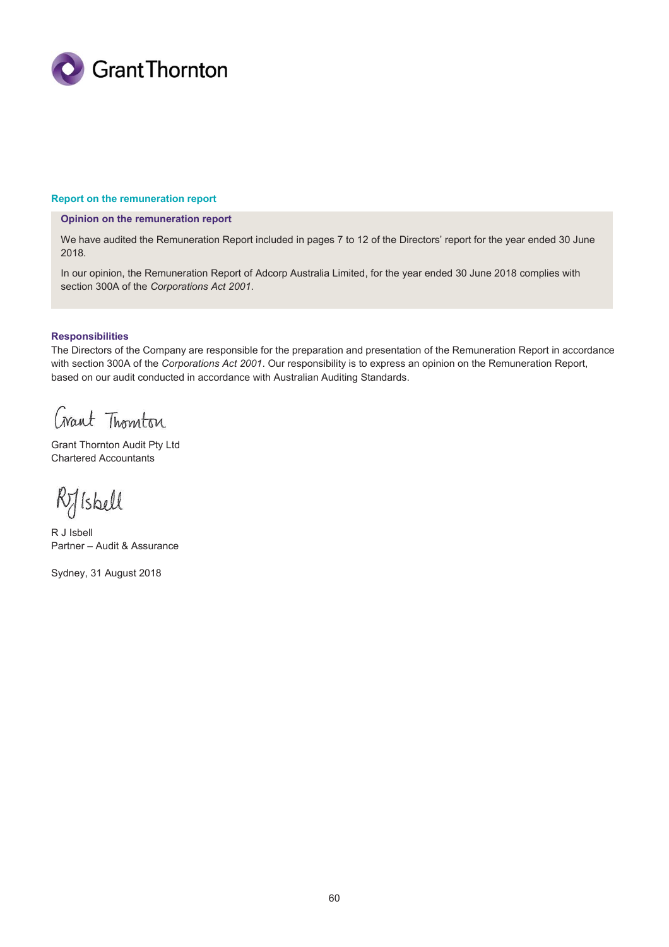

#### **Report on the remuneration report**

# **Opinion on the remuneration report**

We have audited the Remuneration Report included in pages 7 to 12 of the Directors' report for the year ended 30 June 2018.

In our opinion, the Remuneration Report of Adcorp Australia Limited, for the year ended 30 June 2018 complies with section 300A of the *Corporations Act 2001*.

#### **Responsibilities**

The Directors of the Company are responsible for the preparation and presentation of the Remuneration Report in accordance with section 300A of the *Corporations Act 2001*. Our responsibility is to express an opinion on the Remuneration Report, based on our audit conducted in accordance with Australian Auditing Standards.

Grant Thomton

Grant Thornton Audit Pty Ltd Chartered Accountants

Rylskell

R J Isbell Partner – Audit & Assurance

Sydney, 31 August 2018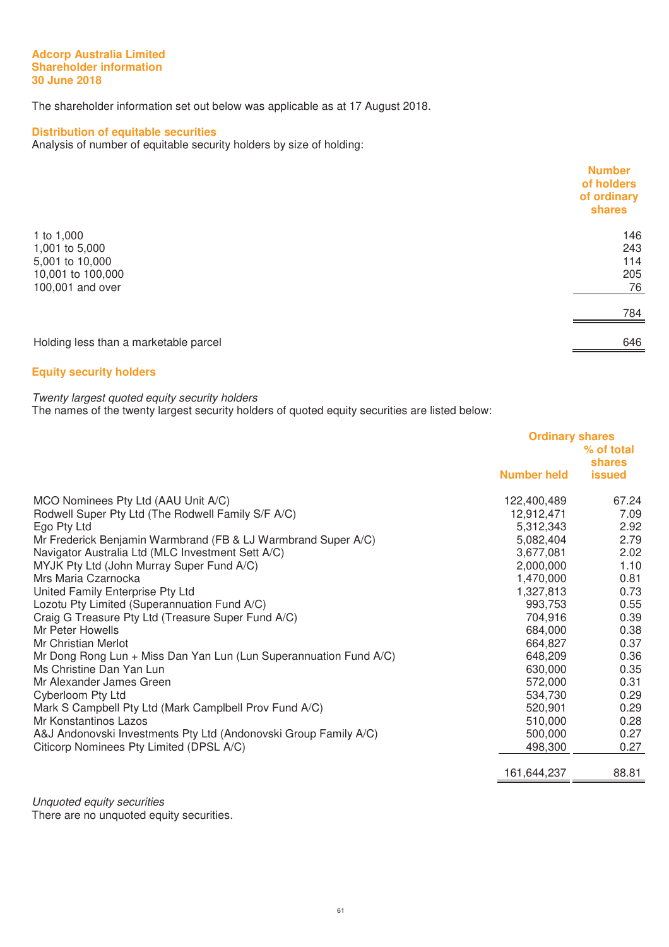# **Adcorp Australia Limited Shareholder information 30 June 2018**

The shareholder information set out below was applicable as at 17 August 2018.

# **Distribution of equitable securities**

Analysis of number of equitable security holders by size of holding:

|                                       | <b>Number</b><br>of holders<br>of ordinary<br>shares |
|---------------------------------------|------------------------------------------------------|
| 1 to $1,000$                          | 146                                                  |
| 1,001 to 5,000                        | 243                                                  |
| 5,001 to 10,000                       | 114                                                  |
| 10,001 to 100,000                     | 205                                                  |
| 100,001 and over                      | 76                                                   |
|                                       | 784                                                  |
| Holding less than a marketable parcel | 646                                                  |

# **Equity security holders**

#### Twenty largest quoted equity security holders

The names of the twenty largest security holders of quoted equity securities are listed below:

|                                                                   | <b>Ordinary shares</b> |                                       |
|-------------------------------------------------------------------|------------------------|---------------------------------------|
|                                                                   | <b>Number held</b>     | % of total<br>shares<br><b>issued</b> |
| MCO Nominees Pty Ltd (AAU Unit A/C)                               | 122,400,489            | 67.24                                 |
| Rodwell Super Pty Ltd (The Rodwell Family S/F A/C)                | 12,912,471             | 7.09                                  |
| Ego Pty Ltd                                                       | 5,312,343              | 2.92                                  |
| Mr Frederick Benjamin Warmbrand (FB & LJ Warmbrand Super A/C)     | 5,082,404              | 2.79                                  |
| Navigator Australia Ltd (MLC Investment Sett A/C)                 | 3,677,081              | 2.02                                  |
| MYJK Pty Ltd (John Murray Super Fund A/C)                         | 2,000,000              | 1.10                                  |
| Mrs Maria Czarnocka                                               | 1,470,000              | 0.81                                  |
| United Family Enterprise Pty Ltd                                  | 1,327,813              | 0.73                                  |
| Lozotu Pty Limited (Superannuation Fund A/C)                      | 993,753                | 0.55                                  |
| Craig G Treasure Pty Ltd (Treasure Super Fund A/C)                | 704,916                | 0.39                                  |
| Mr Peter Howells                                                  | 684,000                | 0.38                                  |
| Mr Christian Merlot                                               | 664,827                | 0.37                                  |
| Mr Dong Rong Lun + Miss Dan Yan Lun (Lun Superannuation Fund A/C) | 648,209                | 0.36                                  |
| Ms Christine Dan Yan Lun                                          | 630,000                | 0.35                                  |
| Mr Alexander James Green                                          | 572,000                | 0.31                                  |
| Cyberloom Pty Ltd                                                 | 534,730                | 0.29                                  |
| Mark S Campbell Pty Ltd (Mark Camplbell Prov Fund A/C)            | 520,901                | 0.29                                  |
| Mr Konstantinos Lazos                                             | 510,000                | 0.28                                  |
| A&J Andonovski Investments Pty Ltd (Andonovski Group Family A/C)  | 500,000                | 0.27                                  |
| Citicorp Nominees Pty Limited (DPSL A/C)                          | 498,300                | 0.27                                  |
|                                                                   | 161,644,237            | 88.81                                 |

Unquoted equity securities

There are no unquoted equity securities.